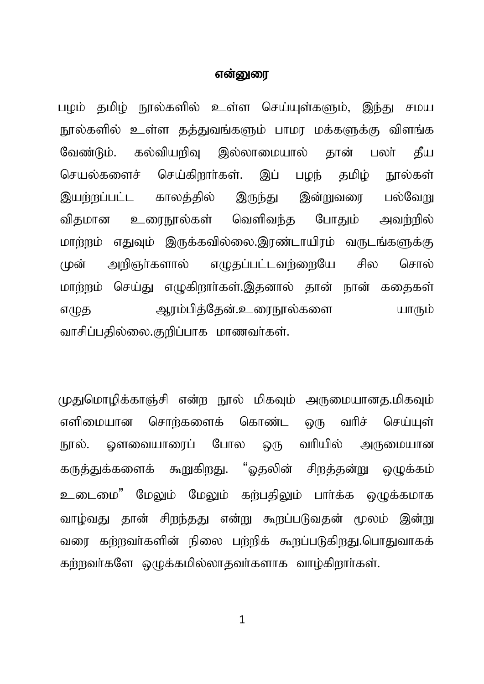#### என்னை

பழம் தமிழ் நூல்களில் உள்ள செய்யுள்களும், இந்து சமய நூல்களில் உள்ள தத்துவங்களும் பாமர மக்களுக்கு விளங்க கல்வியறிவு இல்லாமையால் தான் வேண்டும். பலர் கீய செய்கிறார்கள். இப் பழந் தமிழ் செயல்களைச் நால்கள் காலக்கில் இன்றுவரை இயற்றப்பட்ட இருந்து பல்வேங உரைநூல்கள் வெளிவந்த போதும் அவற்றில் விகமான மாற்றும் எதுவும் இருக்கவில்லை.இரண்டாயிரம் வருடங்களுக்கு (முன் அறிஞர்களால் எழுதப்பட்டவற்றையே சில சொல் மாற்றம் செய்து எழுகிறார்கள்.இதனால் தான் நான் கதைகள் ஆரம்பித்தேன்.உரைநூல்களை எழுத யாரும் வாசிப்பதில்லை.குறிப்பாக மாணவர்கள்.

முதுமொழிக்காஞ்சி என்ற நூல் மிகவும் அருமையானத.மிகவும் சொங்களைக் கொண்ட ஒரு வரிச் எளிமையான செய்யள் ஓளவையாரைப் போல ஒரு வரியில் நூல். அருமையான கருத்துக்களைக் கூறுகிறது. "ஓதலின் சிறத்தன்று ஒழுக்கம் உடைமை" மேலும் மேலும் கற்பதிலும் பார்க்க ஒழுக்கமாக வாழ்வது தான் சிறந்தது என்று கூறப்படுவதன் மூலம் இன்று வரை கற்றவர்களின் நிலை பற்றிக் கூறப்படுகிறது.பொதுவாகக் கற்றவர்களே ஒழுக்கமில்லாதவர்களாக வாழ்கிறார்கள்.

 $\mathbf{1}$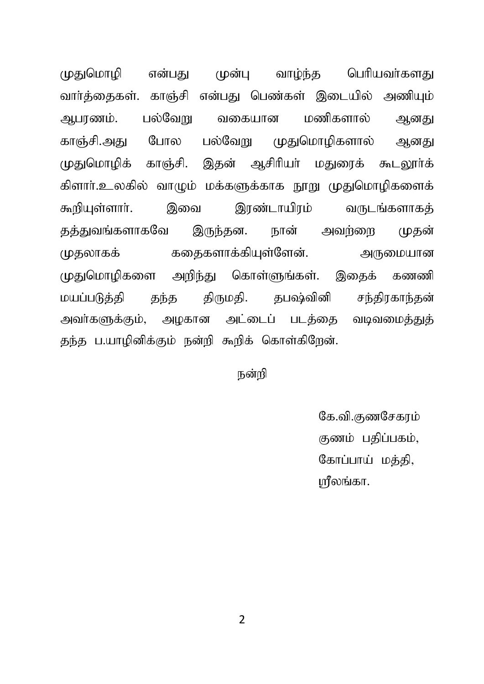முதுமொமி என்பது முன்ப வாம்ந்த பெரியவர்களது வார்க்கைகள். காஞ்சி என்பகு பெண்கள் இடையில் அணியம் அபாணம். பல்வேறு வகையான மணிகளால் அனது காஞ்சி.அது போல பல்வேறு முதுமொழிகளால் அனது முதுமொமிக் காஞ்சி, இதன் ஆசிரியர் மதுரைக் கூடலார்க் கிளார்.உலகில் வாழும் மக்களுக்காக நூறு முதுமொழிகளைக் கூறியுள்ளார். இவை இரண்டாயிரம் வருடங்களாகக் தத்துவங்களாகவே இருந்தன. நான் அவர்ளை முதன் முதலாகக் கதைகளாக்கியுள்ளேன். அருமையான முதுமொழிகளை அறிந்து கொள்ளுங்கள். இதைக் கணணி மயப்படுத்தி தந்த திருமதி. தபஷ்வினி சந்திரகாந்தன் அவர்களுக்கும், அழகான அட்டைப் படத்தை வடிவமைத்துத் தந்த ப.யாழினிக்கும் நன்றி கூறிக் கொள்கிறேன்.

நன்றி

கே.வி.கணசேகாம் குணம் பதிப்பகம், கோப்பாய் மக்கி. மீலங்கா.

 $\overline{\phantom{a}}$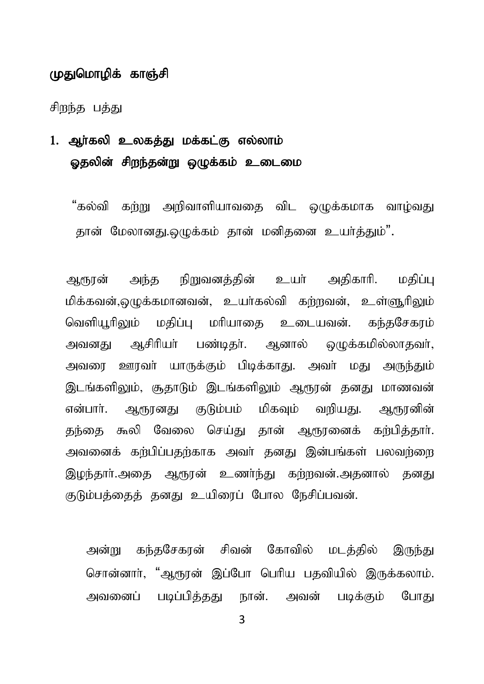#### முதுமொழிக் காஞ்சி

சிறந்த பத்து

## 1. அர்கலி உலகக்கு மக்கட்கு எல்லாம் ஓதலின் சிறந்தன்று ஒழுக்கம் உடைமை

"கல்வி கற்று அறிவாளியாவகை விட ஒழுக்கமாக வாழ்வது கான் மேலானது.ஒமுக்கம் கான் மனிகனை உயர்க்கும்".

ஆரூரன் அந்த நிறுவனத்தின் உயர் அகிகாரி. மகிப்பு மிக்கவன்,ஒமுக்கமானவன், உயர்கல்வி கர்றவன், உள்ளூரிலும் வெளியூரிலும் மதிப்பு மரியாதை உடையவன். கந்தசேகரம் அவனது ஆசிரியர் பண்டிதர். ஆனால் ஒழுக்கமில்லாதவர், அவரை ஊரவர் யாருக்கும் பிடிக்காது. அவர் மது அருந்தும் இடங்களிலும், சூதாடும் இடங்களிலும் ஆரூரன் தனது மாணவன் என்பார். ஆரூானது குடும்பம் மிகவம் வரியது. ஆரூரனின் தந்தை கூலி வேலை செய்து தான் ஆரூரனைக் கற்பித்தார். அவனைக் கற்பிப்பதற்காக அவர் தனது இன்பங்கள் பலவற்றை இமந்தார்.அதை ஆரூரன் உணர்ந்து கற்றவன்.அதனால் தனது குடும்பக்கைக் கனகு உயிரைப் போல நேசிப்பவன்.

அன்று கந்தசேகரன் சிவன் கோவில் மடத்தில் இருந்து சொன்னார். "ஆரூரன் இப்போ பெரிய பகவியில் இருக்கலாம். அவனைப் படிப்பித்தது நான். அவன் படிக்கும் போது

 $\mathbf{3}$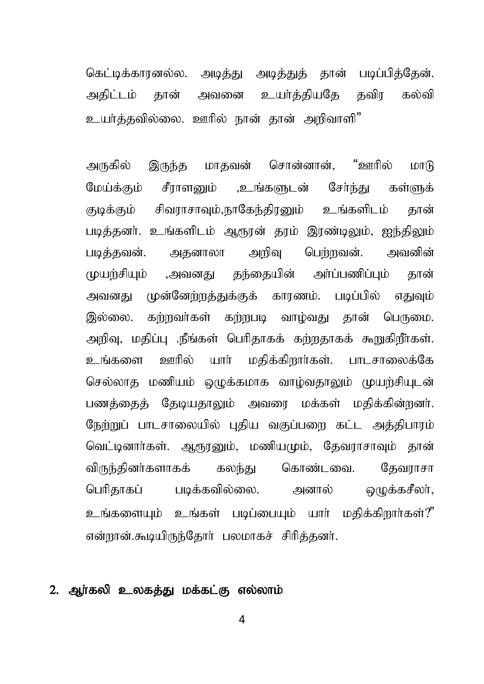கெட்டிக்காரனல்ல. அடிக்குட அடிக்குக் கான் படிப்பிக்கேன். அதிட்டம் தான் அவனை உயர்த்தியதே தவிர கல்வி உயர்க்கவில்லை. ஊரில் நான் கான் அறிவாளி"

அருகில் இருந்த மாதவன் சொன்னான், "ஊரில் மாடு மேய்க்கும் சீராளனும் ,உங்களுடன் சேர்ந்து கள்ளுக் குடிக்கும் சிவராசாவும்,நாகேந்திரனும் உங்களிடம் தான் படித்தனர். உங்களிடம் ஆரூரன் தரம் இரண்டிலும், ஐந்திலும் படித்தவன். அதனாலா அறிவு பெற்றவன். அவனின் முயற்சியும் ,அவனது தந்தையின் அர்ப்பணிப்பும் தான் அவனது முன்னேற்றத்துக்குக் காரணம். படிப்பில் எதுவும் இல்லை. கற்றவர்கள் கற்றபடி வாழ்வது தான் பெருமை. அறிவு, மதிப்பு .நீங்கள் பெரிதாகக் கற்றதாகக் கூறுகிறீர்கள். உங்களை ஊரில் யார் மதிக்கிறார்கள். பாடசாலைக்கே செல்லாத மணியம் ஒழுக்கமாக வாம்வதாலும் முயர்சியுடன் பணத்தைத் தேடியதாலும் அவரை மக்கள் மதிக்கின்றனர். நேற்றுப் பாடசாலையில் புதிய வகுப்பறை கட்ட அத்திபாரம் வெட்டினார்கள். ஆரூரனும், மணியமும், தேவராசாவும் தான் விருந்தினர்களாகக் கலந்து கொண்டவை. தேவராசா பெரிதாகப் படிக்கவில்லை. அனால் ஒமுக்கசீலா்,  $\Omega$ ந்களையும் உங்கள் படிப்பையும் யாா் மகிக்கிறாா்கள்?" என்றான்.கூடியிருந்தோர் பலமாகச் சிரித்தனர்.

#### 2. ஆர்கலி உலகத்து மக்கட்கு எல்லாம்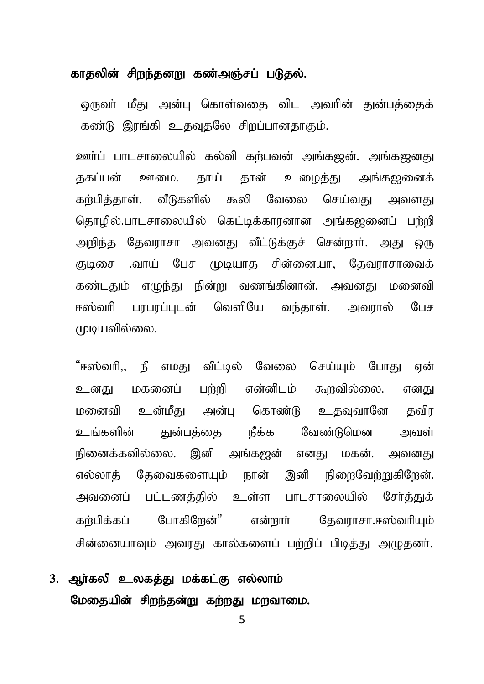#### காதலின் சிறந்தனறு கண்அஞ்சப் படுதல்.

ஒருவா் மீது அன்பு கொள்வகை விட அவரின் துன்பத்தைக் கண்டு இரங்கி உதவுதலே சிறப்பானதாகும்.

ஊர்ப் பாடசாலையில் கல்வி கற்பவன் அங்கஜன். அங்கஜனது தகப்பன் ஊமை. தாய் தான் உமைத்து அங்கஜனைக் கங்பிக்காள், வீடுகளில் கூலி வேலை செய்வகு அவளகு தொழில்,பாடசாலையில் கெட்டிக்காரனான அங்கஜனைப் பற்றி அறிந்த தேவராசா அவனது வீட்டுக்குச் சென்றார். அது ஒரு குடிசை .வாய் பேச முடியாக சின்னையா, கேவராசாவைக் கண்டதும் எமுந்து நின்று வணங்கினான். அவனது மனைவி ஈஸ்வரி பரபரப்புடன் வெளியே வந்தாள். அவரால் பேச முயவில்லை.

"ஈஸ்வரி,, நீ எமது வீட்டில் வேலை செய்யும் போது ஏன் உனது மகனைப் பற்றி என்னிடம் கூறவில்லை. எனது மனைவி உன்மீது அன்பு கொண்டு உதவுவானே தவிர உங்களின் குன்பக்கை நீக்க வேண்டுமென அவள் நினைக்கவில்லை. இனி அங்கஜன் எனகு மகன். அவனது எல்லாத் தேவைகளையும் நான் இனி நிரைவேற்றுகிறேன். அவனைப் பட்டணக்கில் உள்ள பாடசாலையில் சேர்க்குக் கர்பிக்கப் போகிறேன்" என்றார் தேவராசா.ஈஸ்வரியும் சின்னையாவும் அவரது கால்களைப் பற்றிப் பிடித்து அழுதனர்.

## 3. ஆர்கலி உலகத்து மக்கட்கு எல்லாம் மேதையின் சிறந்தன்று கற்றது மறவாமை.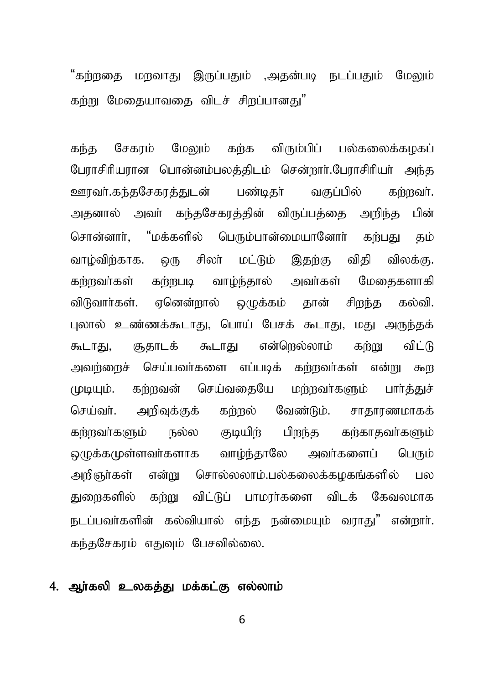"கர்ளகை மாவாகு இருப்பகும் ,அகன்படி நடப்பகும் மேலும் கற்று மேதையாவதை விடச் சிறப்பானது"

கந்த சேகாம் மேலும் கற்க விரும்பிப் பல்கலைக்கமகப் பேராசிரியரான பொன்னம்பலத்திடம் சென்றார்.பேராசிரியர் அந்த ஊரவர்.கந்தசேகரத்துடன் பண்டிதர் வகுப்பில் கற்றவர். அதனால் அவர் கந்தசேகரத்தின் விருப்பத்தை அறிந்த பின் சொன்னார், "மக்களில் பெரும்பான்மையானோர் கற்பது தம் வாழ்விற்காக. ஒரு சிலா் மட்டும் இதற்கு விதி விலக்கு. கர்றவர்கள் கற்றபடி வாம்ந்தால் அவர்கள் மேதைகளாகி விடுவார்கள். ஏனென்றால் ஒழுக்கம் தான் சிறந்த கல்வி. புலால் உண்ணக்கூடாது, பொய் பேசக் கூடாது, மது அருந்தக் கூடாது, சூதாடக் கூடாது என்றெல்லாம் கற்று விட்டு அவற்றைச் செய்பவர்களை எப்படிக் கற்றவர்கள் என்று கூற முடியும். கற்றவன் செய்வதையே மற்றவா்களும் பாா்த்துச் செய்வா். அறிவுக்குக் கற்றல் வேண்டும். சாதாரணமாகக் கர்றவர்களும் நல்ல குடியிர் பிறந்த கர்காதவர்களும் ஒழுக்கமுள்ளவர்களாக வாழ்ந்தாலே அவர்களைப் பெரும் அறிஞர்கள் என்று சொல்லலாம்.பல்கலைக்கழகங்களில் பல துறைகளில் கற்று விட்டுப் பாமரர்களை விடக் கேவலமாக நடப்பவர்களின் கல்வியால் எந்த நன்மையும் வராது" என்றார். கந்தசேகரம் எதுவும் பேசவில்லை.

#### 4. அர்கலி உலகக்கு மக்கட்கு எல்லாம்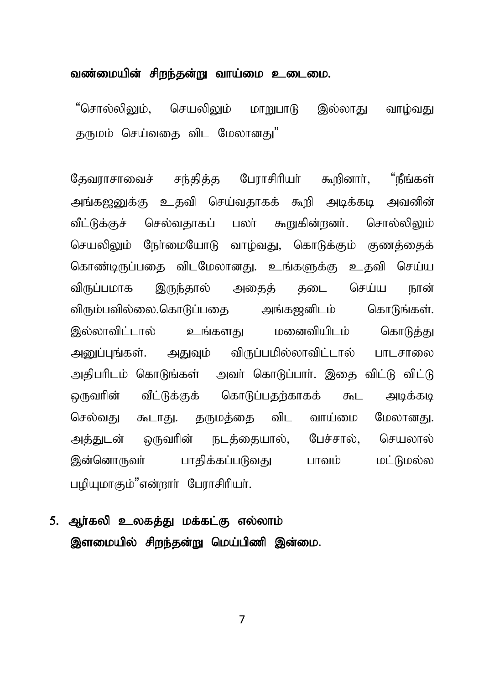#### வண்மையின் சிறந்தன்று வாய்மை உடைமை.

"சொல்லி<u>லு</u>ம், செயலிலும் மாறுபாடு இல்லாது வாழ்வது கருமும் செய்வகை விட மேலானக<mark>ு</mark>"

தேவராசாவைச் சந்தித்த பேராசிரியர் கூறினார், "நீங்கள் அங்கஜனுக்கு உதவி செய்வதாகக் கூறி அடிக்கடி அவனின் வீட்டுக்குச் செல்வதாகப் பலா் கூறுகின்றனா். சொல்லிலும் செயலிலும் நேர்மையோடு வாழ்வது, கொடுக்கும் குணத்தைக் கொண்டிருப்பதை விடமேலானது. உங்களுக்கு உதவி செய்ய விருப்பமாக இருந்தால் அதைத் தடை செய்ய நான் விரும்பவில்லை.கொடுப்பதை அங்கஜனிடம் கொடுங்கள். இல்லாவிட்டால் உங்களது மனைவியிடம் கொடுத்து அனுப்புங்கள். அதுவும் விருப்பமில்லாவிட்டால் பாடசாலை அதிபரிடம் கொடுங்கள் அவர் கொடுப்பார். இதை விட்டு விட்டு ஒருவரின் வீட்டுக்குக் கொடுப்பதற்காகக் கூட அடிக்கடி செல்வது கூடாது. தருமத்தை விட வாய்மை மேலானது. அத்துடன் ஒருவரின் நடத்தையால், பேச்சால், செயலால் இன்னொருவர் பாதிக்கப்படுவது பாவம் மட்டுமல்ல பழியுமாகும்"என்றார் பேராசிரியர்.

5. ஆர்கலி உலகத்து மக்கட்கு எல்லாம் இளமையில் சிறந்தன்று மெய்பிணி இன்மை.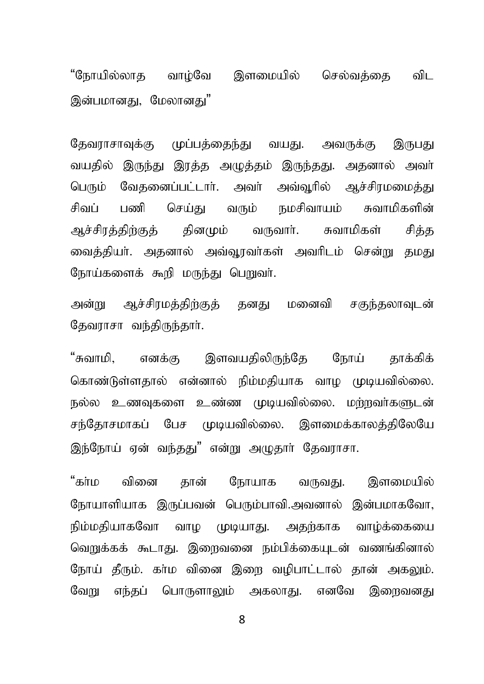"நோயில்லாக வாம்வே இளமையில் செல்வக்கை விட இன்பமானது, மேலானது"

தேவராசாவுக்கு முப்பத்தைந்து வயது. அவருக்கு இருபது வயதில் இருந்து இரத்த அழுத்தம் இருந்தது. அதனால் அவா் பெரும் வேதனைப்பட்டார். அவர் அவ்வூரில் ஆச்சிரமமைத்து சிவப் பணி செய்து வரும் நமசிவாயம் சுவாமிகளின் ஆச்சிரத்திற்குத் தினமும் வருவார். சுவாமிகள் சித்த வைத்தியா். அதனால் அவ்வூரவா்கள் அவாிடம் சென்று தமது நோய்களைக் கூறி மருந்து பெறுவர்.

அன்று அச்சிரமக்கிற்குக் கனகு மனைவி சகுந்கலாவடன் கேவாாசா வந்திருந்தார்.

"சுவாமி, எனக்கு இளவயதிலிருந்தே நோய் தாக்கிக் கொண்டுள்ளதால் என்னால் நிம்மதியாக வாம முடியவில்லை. நல்ல உணவுகளை உண்ண முடியவில்லை. மற்றவர்களுடன் சந்தோசமாகப் பேச முடியவில்லை. இளமைக்காலத்திலேயே இந்நோய் ஏன் வந்தது" என்று அழுதார் தேவராசா.

"கா்ம வினை தான் நோயாக வருவது. இளமையில் நோயாளியாக இருப்பவன் பெரும்பாவி.அவனால் இன்பமாகவோ, நிம்மதியாகவோ வாழ முடியாது. அதற்காக வாழ்க்கையை வெறுக்கக் கூடாது. இறைவனை நம்பிக்கையுடன் வணங்கினால் நோய் தீரும். கா்ம வினை இறை வழிபாட்டால் தான் அகலும். வேறு எந்தப் பொருளாலும் அகலாது. எனவே இறைவனது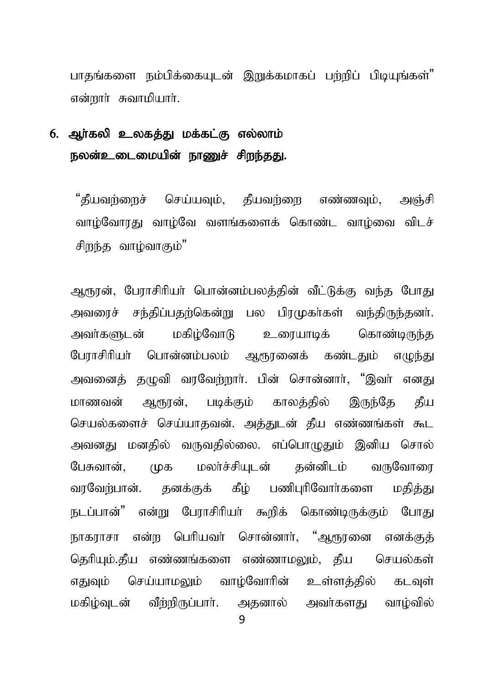பாகங்களை நம்பிக்கையடன் இறுக்கமாகப் பற்றிப் பிடியங்கள்" என்றார் சுவாமியார்.

## 6. ஆர்கலி உலகத்து மக்கட்கு எல்லாம் நலன்உடைமையின் நாணுச் சிறந்தது.

"கீயவர்ளைச் செய்யவும், கீயவர்ளை எண்ணவும், அஞ்சி வாழ்வோரது வாழ்வே வளங்களைக் கொண்ட வாழ்வை விடச் சிறந்த வாம்வாகும்"

ஆரூரன், பேராசிரியர் பொன்னம்பலத்தின் வீட்டுக்கு வந்த போது அவரைச் சந்திப்பகற்கென்று பல பிாமுகர்கள் வந்திருந்கனர். மகிம்வோடு உரையாடிக் அவர்களுடன் கொண்டிருந்த பேராசிரியா் பொன்னம்பலம் ஆரூரனைக் கண்டதும் எழுந்து அவனைத் தமுவி வரவேற்றார். பின் சொன்னார், "இவர் எனது ஆரூரன். பமக்கும் காலக்கில் இருந்தே மாணவன் கீய செயல்களைச் செய்யாகவன். அக்குடன் கீய எண்ணங்கள் கூட அவனது மனதில் வருவதில்லை. எப்பொழுதும் இனிய சொல் பேசுவான். மலர்ச்சியடன் கன்னிடம் வருவோரை மக கனக்குக் கீம் பணிபரிவோர்களை வாவேங்பான். மகிக்கட நடப்பான்" என்று பேராசிரியா் கூறிக் கொண்டிருக்கும் போது நாகராசா என்ற பெரியவர் சொன்னார், "ஆரூரனை எனக்குக் தெரியம்.கீய எண்ணங்களை எண்ணாமலம். கீய செயல்கள் எகுவம் செய்யாமலும் வாம்வோரின் உள்ளக்கில் கடவள் மகிம்வடன் வீா்்விருப்பாா். அகனால் அவா்களகு வாம்வில்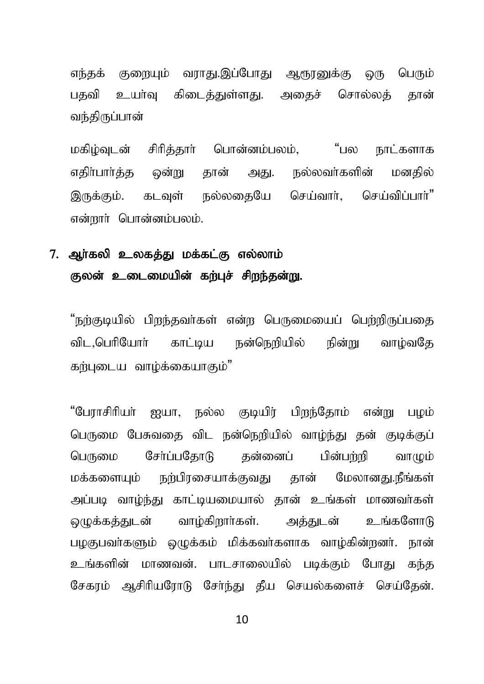எந்தக் குறையும் வராது.இப்போது ஆரூரனுக்கு ஒரு பெரும் பதவி உயர்வு கிடைத்துள்ளது. அதைச் சொல்லத் தான் வந்திருப்பான்

மகிழ்வுடன் சிரித்தார் பொன்னம்பலம், "பல நாட்களாக எதிர்பார்த்த ஒன்று தான் அது. நல்லவர்களின் மனதில் இருக்கும். கடவள் நல்லகையே செய்வார். செய்விப்பார்<sup>"</sup> என்றார் பொன்னம்பலம்.

## 7. ஆர்கலி உலகத்து மக்கட்கு எல்லாம் குலன் உடைமையின் கற்புச் சிறந்தன்று.

"நற்குடியில் பிறந்தவர்கள் என்ற பெருமையைப் பெற்றிருப்பதை விட,பெரியோர் காட்டிய நன்நெறியில் நின்று வாம்வதே கர்படைய வாம்க்கையாகும்"

"பேராசிரியர் ஐயா, நல்ல குடியிர் பிறந்தோம் என்று பழம் பெருமை பேசுவகை விட நன்நெறியில் வாம்ந்து தன் குடிக்குப் பெருமை சேர்ப்பதோடு கன்னைப் பின்பற்றி வாமும் மக்களையம் நற்பிரசையாக்குவது கான் மேலானது.நீங்கள் அப்படி வாழ்ந்து காட்டியமையால் தான் உங்கள் மாணவர்கள் லுமக்கத்துடன் வாழ்கிறார்கள். அத்துடன் உங்களோடு பமகுபவர்களும் ஒமுக்கம் மிக்கவர்களாக வாம்கின்றனர். நான் உங்களின் மாணவன். பாடசாலையில் படிக்கும் போது கந்த சேகாம் ஆசிரியரோடு சேர்ந்து தீய செயல்களைச் செய்கேன்.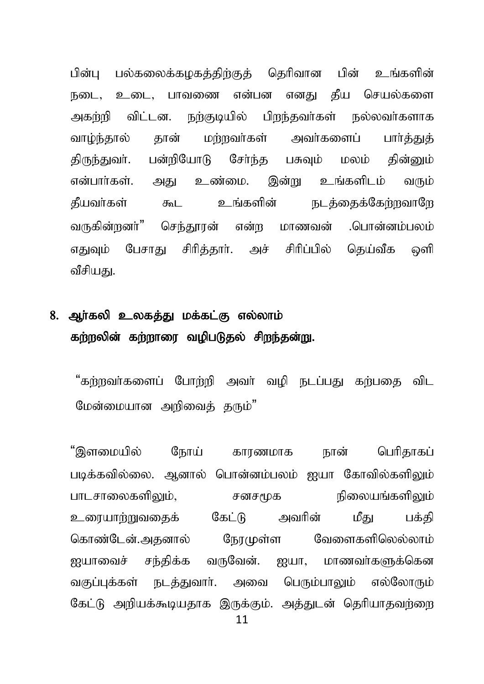பின்பு பல்கலைக்கமகக்கிற்குக் தெரிவான பின் உங்களின் நடை, உடை, பாவணை என்பன எனது தீய செயல்களை அகற்றி விட்டன. நற்குடியில் பிறந்தவர்கள் நல்லவர்களாக வாழ்ந்தால் தான் மற்றவர்கள் அவர்களைப் பார்த்துத் திருந்துவர். பன்றியோடு சேர்ந்த பசுவும் மலம் தின்னும் என்பார்கள். அது உண்மை. இன்று உங்களிடம் வரும் தீயவர்கள் கூட உங்களின் நடத்தைக்கேற்றவாறே வருகின்றனர்" செந்தூரன் என்ற மாணவன் .பொன்னம்பலம் எதுவும் பேசாது சிரித்தார். அச் சிரிப்பில் தெய்வீக ஒளி வீசியகுட

## 8. ஆர்கலி உலகத்து மக்கட்கு எல்லாம் கற்றலின் கற்றாரை வழிபடுதல் சிறந்தன்று.

"கற்றவர்களைப் போற்றி அவர் வழி நடப்பது கற்பதை விட மேன்மையான அறிவைத் தரும்"

"இளமையில் நோய் காரணமாக நான் பெரிகாகப் படிக்கவில்லை. ஆனால் பொன்னம்பலம் ஐயா கோவில்களிலும் ghlrhiyfspYk;> rdr%f epiyaq;fspYk; உரையாற்றுவகைக் கேட்டு அவரின் மீகு பக்கி nfhz;Nld ;.mjdhy; NeuKs;s Ntisfspnyy;yhk ; ஐயாவைச் சந்திக்க வருவேன். ஐயா, மாணவர்களுக்கென வகுப்பக்கள் நடக்குவார். அவை பெரும்பாலும் எல்லோரும் கேட்டு அறியக்கூடியதாக இருக்கும். அத்துடன் தெரியாதவற்றை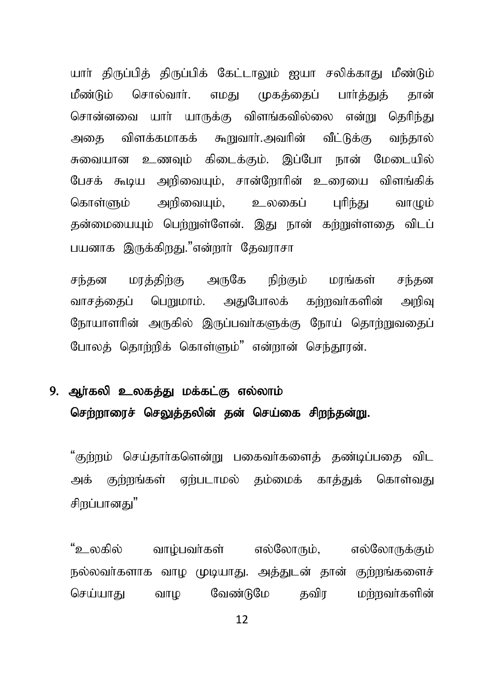யார் திருப்பித் திருப்பிக் கேட்டாலும் ஐயா சலிக்காது மீண்டும் மீண்டும் சொல்வார். எமகு முகக்கைப் பார்க்குக் கான் சொன்னவை யார் யாருக்கு விளங்கவில்லை என்று தெரிந்து அதை விளக்கமாகக் கூறுவார்.அவரின் வீட்டுக்கு வந்தால் சுவையான உணவும் கிடைக்கும். இப்போ நான் மேடையில் பேசக் கூடிய அறிவையும், சான்றோரின் உரையை விளங்கிக் கொள்ளும் அரிவையம். உலகைப் பரிந்கட வாழும் கன்மையையும் பெற்றுள்ளேன். இது நான் கற்றுள்ளதை விடப் பயனாக இருக்கிறது."என்றார் தேவராசா

மரத்திற்கு அருகே நிற்கும் சந்கன மாங்கள் சந்தன வாசத்தைப் பெறுமாம். அதுபோலக் கற்றவர்களின் அரிவ நோயாளரின் அருகில் இருப்பவர்களுக்கு நோய் தொற்றுவதைப் போலத் தொற்றிக் கொள்ளும்" என்றான் செந்தூரன்.

## 9. அர்கலி உலகக்கு மக்கட்கு எல்லாம் செற்றாரைச் செலுத்தலின் தன் செய்கை சிறந்தன்று.

"குற்றம் செய்தார்களென்று பகைவர்களைத் தண்டிப்பதை விட அக் குற்றங்கள் ஏற்படாமல் தம்மைக் காக்துக் கொள்வது சிறப்பானகட்"

"உலகில் வாம்பவர்கள் எல்லோரும். எல்லோருக்கும் நல்லவர்களாக வாம முடியாகு. அக்குடன் கான் குற்றங்களைச் செய்யாகட வேண்டுமே கவிா மர்றவர்களின் வாம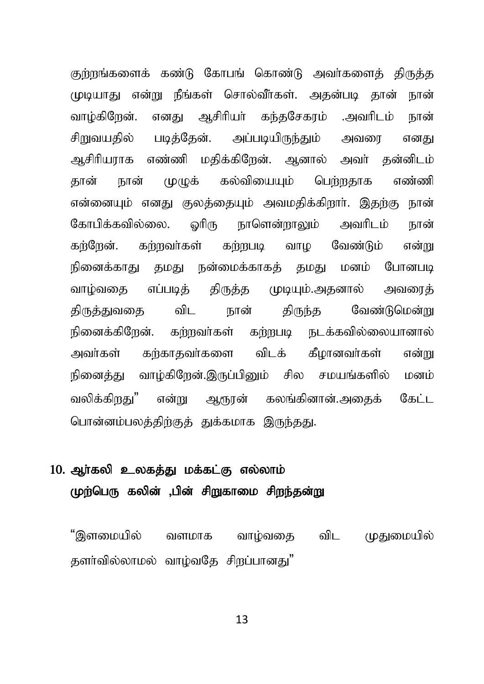குற்றங்களைக் கண்டு கோபங் கொண்டு அவர்களைத் திருத்த முடியாது என்று நீங்கள் சொல்வீர்கள். அதன்படி தான் நான் வாழ்கிறேன். எனது ஆசிரியர் கந்தசேகரம் .அவரிடம் நான் சிறுவயதில் படித்தேன். அப்படியிருந்தும் அவரை எனது ஆசிரியராக எண்ணி மதிக்கிறேன். ஆனால் அவர் தன்னிடம் தான் நான் முமுக் கல்வியையும் பெற்றதாக எண்ணி என்னையும் எனது குலத்தையும் அவமதிக்கிறார். இதற்கு நான் கோபிக்கவில்லை. ஒரிரு நாளென்றாலும் அவரிடம் நான் கர்ரேன். கர்றவர்கள் கர்றபடி வாழ வேண்டும் என்று நினைக்காது தமது நன்மைக்காகக் தமது மனம் போனபடி வாழ்வதை எப்படித் திருத்த முடியும்.அதனால் அவரைத் திருத்துவதை விட நான் திருந்த வேண்டுமென்று நினைக்கிறேன். கற்றவர்கள் கற்றபடி நடக்கவில்லையானால் அவர்கள் கற்காகவர்களை விடக் கீழானவர்கள் என்று நினைத்து வாழ்கிறேன்.இருப்பினும் சில சமயங்களில் மனம் வலிக்கிறது" என்று ஆரூரன் கலங்கினான்.அதைக் கேட்ட பொன்னம்பலத்திற்குத் துக்கமாக இருந்தது.

## 10. ஆர்கலி உலகத்து மக்கட்கு எல்லாம் முற்பெரு கலின் ,பின் சிறுகாமை சிறந்தன்று

"இளமையில் வளமாக வாம்வகை விட முதுமையில் தளர்வில்லாமல் வாழ்வதே சிறப்பானது"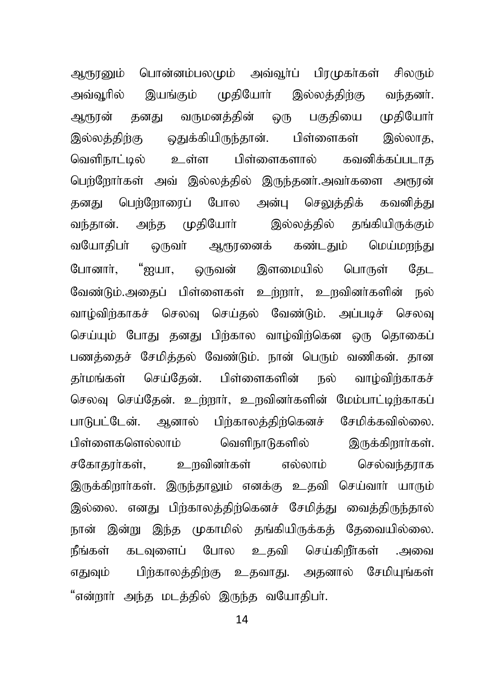ஆரூரனும் பொன்னம்பலமும் அவ்வூர்ப் பிரமுகர்கள் சிலரும் அவ்வூரில் இயங்கும் முதியோர் இல்லத்திற்கு வந்தனர். ஆரூரன் தனது வருமனத்தின் ஒரு பகுதியை முதியோர் இல்லத்திற்கு ஒதுக்கியிருந்தான். பிள்ளைகள் இல்லாத, வெளிநாட்டில் உள்ள பிள்ளைகளால் கவனிக்கப்படாக பெற்றோர்கள் அவ் இல்லத்தில் இருந்தனர்.அவர்களை அரூரன் தனது பெற்றோரைப் போல அன்பு செலுத்திக் கவனித்து வந்தான். அந்த முதியோா் இல்லத்தில் தங்கியிருக்கும் வயோகிபா் ஒருவா் ஆரூரனைக் கண்டதும் மெய்மறந்து போனார். "ஐயா. ஒருவன் இளமையில் பொருள் கேட வேண்டும்.அதைப் பிள்ளைகள் உற்றார், உறவினர்களின் நல் வாழ்விர்காகச் செலவு செய்தல் வேண்டும். அப்படிச் செலவு செய்யும் போது தனது பிற்கால வாம்விற்கென ஒரு தொகைப் பணத்தைச் சேமித்தல் வேண்டும். நான் பெரும் வணிகன். தான தா்மங்கள் செய்தேன். பிள்ளைகளின் நல் வாழ்விற்காகச் செலவு செய்தேன். உற்றார், உறவினர்களின் மேம்பாட்டிற்காகப் பாடுபட்டேன். ஆனால் பிற்காலத்திற்கெனச் சேமிக்கவில்லை. பிள்ளைகளெல்லாம் வெளிநாடுகளில் இருக்கிறார்கள். சகோதரர்கள், உறவினர்கள் எல்லாம் செல்வந்தராக இருக்கிறார்கள். இருந்தாலும் எனக்கு உதவி செய்வார் யாரும் இல்லை. எனது பிற்காலத்திற்கெனச் சேமித்து வைத்திருந்தால் நான் இன்று இந்த முகாமில் தங்கியிருக்கத் தேவையில்லை. நீங்கள் கடவுளைப் போல உதவி செய்கிறீா்கள் .அவை எதுவும் பிற்காலத்திற்கு உதவாது. அதனால் சேமியுங்கள் "என்றாா் அந்த மடத்தில் இருந்த வயோதிபா்.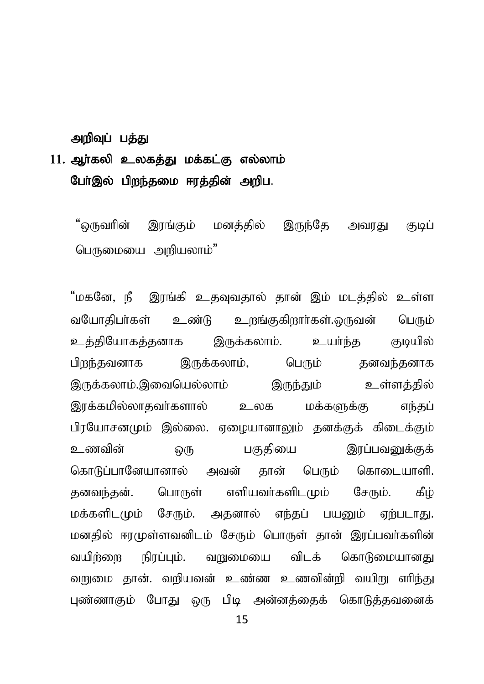#### அறிவுப் பத்து

## $11.$  ஆர்கலி உலகத்து மக்கட்கு எல்லாம் போ்இல் பிறந்தமை ஈரத்தின் அறிப.

"ஒருவரின் இரங்கும் மனத்தில் இருந்தே அவரது குடிப் பெருமையை அறியலாம்"

"மகனே, நீ இரங்கி உதவுவதால் தான் இம் மடத்தில் உள்ள வயோதிபா்கள் உண்டு உறங்குகிறாா்கள்.ஒருவன் பெரும் உத்தியோகத்தனாக இருக்கலாம். உயர்ந்த குடியில் பிறந்தவனாக இருக்கலாம், பெரும் தனவந்தனாக இருக்கலாம்.இவையெல்லாம் இருந்தும் உள்ளத்தில் இரக்கமில்லாதவா்களால் உலக மக்களுக்கு எந்தப் பிரயோசனமும் இல்லை. ஏமையானாலும் தனக்குக் கிடைக்கும் உணவின் ஒரு பகுதியை இரப்பவனுக்குக் கொடுப்பானேயானால் அவன் கான் பெரும் கொடையாளி. தனவந்தன். பொருள் எளியவர்களிடமும் சேரும். கீழ் மக்களிடமும் சேரும். அதனால் எந்தப் பயனும் ஏற்படாது. மனதில் ஈரமுள்ளவனிடம் சேரும் பொருள் தான் இரப்பவர்களின் வயிர்ளை நிரப்பும். வறுமையை விடக் கொடுமையானது வறுமை தான். வறியவன் உண்ண உணவின்றி வயிறு எரிந்து புண்ணாகும் போது ஒரு பிடி அன்னத்தைக் கொடுத்தவனைக்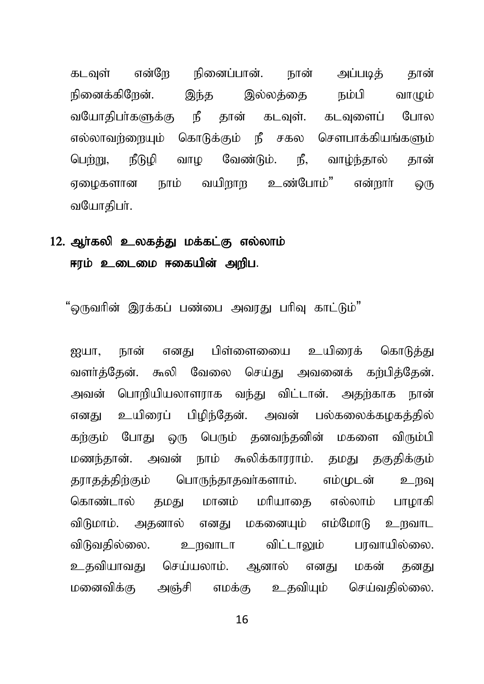என்றே நினைப்பான். கடவள் நான் அப்படிக் கான் நினைக்கிறேன். ி ப்ப வாமும் இந்த இல்லக்கை வயோகிபா்களுக்கு நீ தான் கடவுள். கடவுளைப் போல எல்லாவர்ளையும் கொடுக்கும் நீ சகல சௌபாக்கியங்களும் நீடுழி வாழ வேண்டும். நீ, வாம்ந்தால் பெர்று, கான் நாம் வயிறாற உண்போம்" என்றார் எமைகளான ஒரு வயோகிபர்.

### 12. ஆர்கலி உலகத்து மக்கட்கு எல்லாம் ஈரம் உடைமை ஈகையின் அறிப.

"ஒருவரின் இரக்கப் பண்பை அவரது பரிவு காட்டும்"

எனகு பிள்ளைவைப உயிரைக் கொடுக்கு னுபா. நான் வளர்த்தேன். கூலி வேலை செய்து அவனைக் கற்பித்தேன். அவன் பொரியியலாளராக வந்து விட்டான். அதற்காக நான் எனது உயிரைப் பிமிந்தேன். அவன் பல்கலைக்கமகத்தில் கற்கும் போது ஒரு பெரும் தனவந்தனின் மகளை விரும்பி மணந்தான். அவன் நாம் கூலிக்காரராம். தமது தகுதிக்கும் கராகக்கிற்கும் பொருந்தாதவர்களாம். எம்முடன் உருவு கொண்டால் தமது மானம் மரியாதை எல்லாம் பாமாகி மகனையும் எம்மோடு விடுமாம். அதனால் எனது உ நவாட விடுவதில்லை. உறவாடா விட்டாலும் பரவாயில்லை. உகவியாவகு செய்யலாம். அனால் எனகு மகன் கனகட மனைவிக்கு அஞ்சி எமக்கு உதவியும் செய்வதில்லை.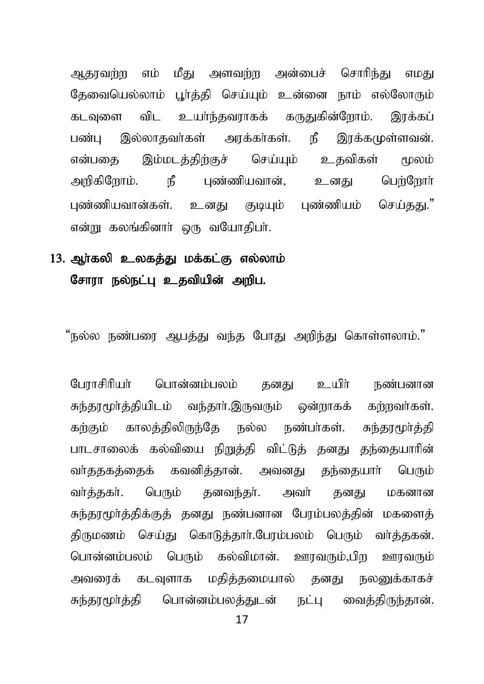ஆதாவற்ற எம் மீது அளவற்ற அன்பைச் சொரிந்து எமது தேவையெல்லாம் பூர்த்தி செய்யும் உன்னை நாம் எல்லோரும் கடவுளை விட உயர்ந்தவராகக் கருதுகின்றோம். இரக்கப் பண்ப இல்லாதவர்கள் அரக்கர்கள். நீ இரக்கமுள்ளவன். என்பகை இம்மடத்திற்குச் செய்யும் உதவிகள் மூலம் அறிகிறோம். நீ புண்ணியவான், உனது பெற்றோர் புண்ணியவான்கள். உனது குடியும் புண்ணியம் செய்தது." என்று கலங்கினார் ஒரு வயோகிபர்.

## 13. அர்கலி உலகக்கு மக்கட்கு எல்லாம் சோரா நல்நட்பு உதவியின் அறிப.

"நல்ல நண்பரை ஆபத்து வந்த போது அறிந்து கொள்ளலாம்."

போாசிரியர் பொன்னம்பலம் கனகு உயிர் நண்பனான சுந்தூமூர்த்தியிடம் வந்தார்.இருவரும் ஒன்றாகக் கற்றவர்கள். கர்கும் காலத்திலிருந்தே நல்ல நண்பர்கள். சுந்தரமூர்த்தி பாடசாலைக் கல்வியை நிறுத்தி விட்டுத் தனது தந்தையாரின் வா்ததகத்தைக் கவனித்தான். அவனது தந்தையாா் பெரும் வர்த்தகர். பெரும் தனவந்தர். அவர் தனது மகனான சுந்தரமூர்த்திக்குத் தனது நண்பனான பேரம்பலத்தின் மகளைத் திருமணம் செய்து கொடுத்தார்.பேரம்பலம் பெரும் வர்த்தகன். பொன்னம்பலம் பெரும் கல்விமான். ஊரவரும்,பிற ஊரவரும் அவரைக் கடவுளாக மதித்தமையால் தனது நலனுக்காகச் சுந்தரமூர்த்தி பொன்னம்பலத்துடன் நட்பு வைத்திருந்தான்.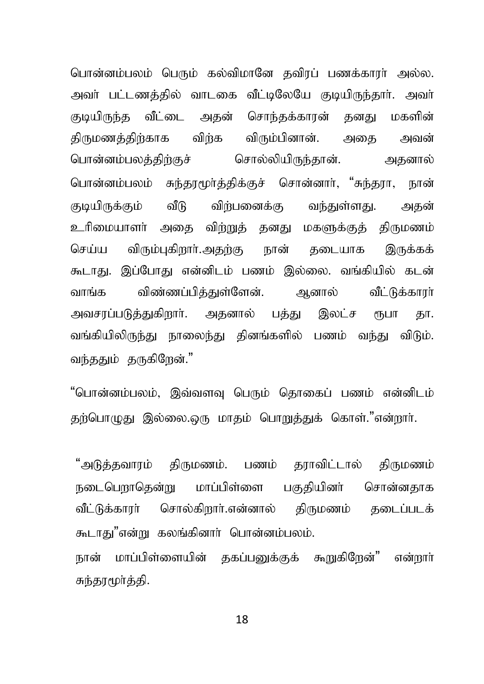பொன்னம்பலம் பெரும் கல்விமானே தவிரப் பணக்காரா் அல்ல. அவர் பட்டணத்தில் வாடகை வீட்டிலேயே குடியிருந்தார். அவர் குடியிருந்த வீட்டை அதன் சொந்தக்காரன் தனது மகளின் திருமணத்திற்காக விற்க விரும்பினான். அதை அவன் பொன்னம்பலத்திற்குச் சொல்லியிருந்தான். அதனால் பொன்னம்பலம் சுந்தரமூர்த்திக்குச் சொன்னார், "சுந்தரா, நான் குடியிருக்கும் வீடு விற்பனைக்கு வந்துள்ளது. அதன் உரிமையாளர் அதை விற்றுத் தனது மகளுக்குத் திருமணம் செய்ய விரும்புகிறார்.அதற்கு நான் தடையாக இருக்கக் கூடாது. இப்போது என்னிடம் பணம் இல்லை. வங்கியில் கடன் வாங்க விண்ணப்பித்துள்ளேன். ஆனால் வீட்டுக்காரா் அவசரப்படுத்துகிறார். அதனால் பத்து இலட்ச ரூபா தா. வங்கியிலிருந்து நாலைந்து தினங்களில் பணம் வந்து விடும். வந்ததும் தருகிறேன்."

"பொன்னம்பலம், இவ்வளவு பெரும் தொகைப் பணம் என்னிடம் தற்பொழுது இல்லை.ஒரு மாதம் பொறுத்துக் கொள்."என்றார்.

"அடுத்தவாரம் திருமணம். பணம் தராவிட்டால் திருமணம் நடைபௌடுகன்று மாப்பிள்ளை பகுகியினர் சொன்னகாக வீட்டுக்காார் சொல்கிறார்.என்னால் கிருமணம் கடைப்படக் கூடாது"என்று கலங்கினார் பொன்னம்பலம்.

நான் மாப்பிள்ளையின் தகப்பனுக்குக் கூறுகிறேன்" என்றார் சுந்தாமூர்த்தி,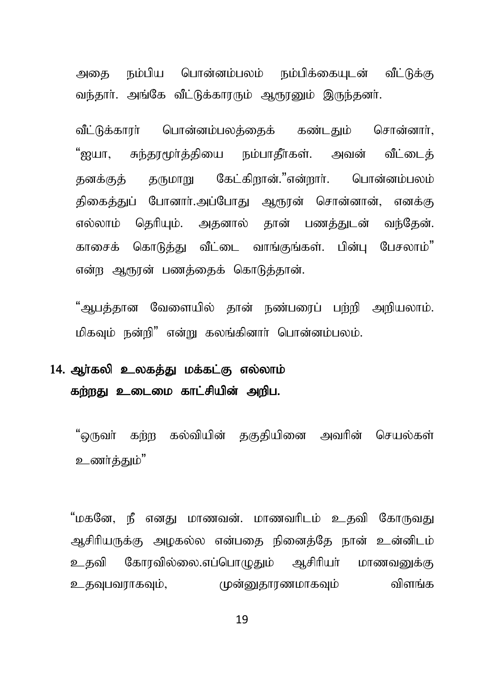அகை நம்பிய பொன்னம்பலம் நம்பிக்கையடன் வீட்டுக்கு வந்தார். அங்கே வீட்டுக்காரரும் ஆரூரனும் இருந்தனர்.

வீட்டுக்காரா் பொன்னம்பலத்தைக் கண்டதும் சொன்னாா், "ஐயா, சுந்தாமூர்த்தியை நம்பாகீர்கள். அவன் வீட்டைக் தனக்குத் தருமாறு கேட்கிறான்."என்றார். பொன்னம்பலம் திகைத்துப் போனார்.அப்போது ஆரூரன் சொன்னான், எனக்கு எல்லாம் தெரியும். அதனால் தான் பணத்துடன் வந்தேன். காசைக் கொடுக்கு வீட்டை வாங்குங்கள். பின்ப பேசலாம்" என்ற ஆரூரன் பணத்தைக் கொடுத்தான்.

"அபக்கான வேளையில் தான் நண்பரைப் பற்றி அறியலாம். மிகவம் நன்றி" என்று கலங்கினார் பொன்னம்பலம்.

## 14. அர்கலி உலகத்து மக்கட்கு எல்லாம் கற்றது உடைமை காட்சியின் அறிப.

"ஒருவா் கற்ற கல்வியின் தகுதியினை அவரின் செயல்கள் உணர்த்தும்"

"மகனே, நீ எனது மாணவன். மாணவரிடம் உதவி கோருவது ஆசிரியருக்கு அழகல்ல என்பகை நினைக்கே நான் உன்னிடம் உதவி கோரவில்லை.எப்பொழுதும் ஆசிரியர் மாணவனுக்கு உதவுபவராகவும், முன்னுதாரணமாகவும் விளங்க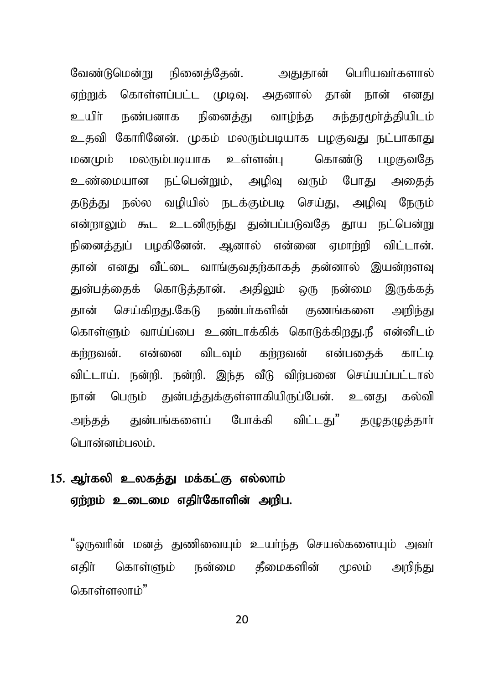வேண்டுமென்று நினைத்தேன். அதுதான் பெரியவர்களால் ஏற்றுக் கொள்ளப்பட்ட முடிவு. அகனால் கான் நான் எனது உயிா் நண்பனாக நினைத்து வாம்ந்த சுந்தரமூா்த்தியிடம் உதவி கோரினேன். முகம் மலரும்படியாக பமகுவது நட்பாகாது மனமும் மலரும்படியாக உள்ளன்பு கொண்டு பழகுவதே உண்மையான நட்பென்றும், அழிவு வரும் போது அதைத் தடுத்து நல்ல வழியில் நடக்கும்படி செய்து, அழிவு நேரும் என்றாலும் கூட உடனிருந்து துன்பப்படுவதே தூய நட்பென்று நினைத்துப் பழகினேன். ஆனால் என்னை ஏமாற்றி விட்டான். தான் எனது வீட்டை வாங்குவதற்காகக் தன்னால் இயன்றளவு துன்பத்தைக் கொடுத்தான். அதிலும் ஒரு நன்மை இருக்கத் தான் செய்கிறது.கேடு நண்பர்களின் குணங்களை அறிந்து கொள்ளும் வாய்ப்பை உண்டாக்கிக் கொடுக்கிறது.நீ என்னிடம் கர்றவன். என்னை விடவும் கர்றவன் என்பகைக் காட்டி விட்டாய். நன்றி. நன்றி. இந்த வீடு விற்பனை செய்யப்பட்டால் நான் பெரும் துன்பத்துக்குள்ளாகியிருப்பேன். உனது கல்வி அந்தத் துன்பங்களைப் போக்கி விட்டது" தழுதமுத்தார் பொன்னம்பலம்...

### 15. ஆர்கலி உலகத்து மக்கட்கு எல்லாம் ஏற்றம் உடைமை எதிர்கோளின் அறிப.

"ஒருவரின் மனத் துணிவையும் உயர்ந்த செயல்களையும் அவர் எகிர் கொள்ளும் நன்மை கீமைகளின் மூலம் அறிந்து கொள்ளலாம்"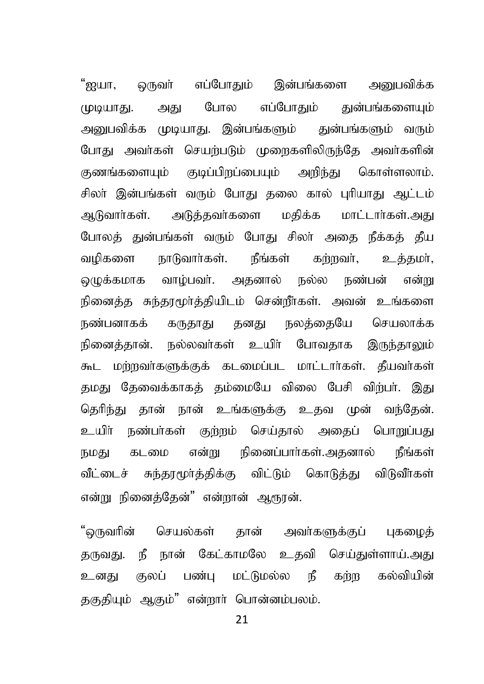"ஐயா. ஒருவா் எப்போதும் இன்பங்களை அனுபவிக்க எப்போதும் துன்பங்களையும் போல (ழடியாது. அது அனுபவிக்க முடியாது. இன்பங்களும் துன்பங்களும் வரும் போகு அவர்கள் செயற்படும் முறைகளிலிருந்தே அவர்களின் குணங்களையும் குடிப்பிறப்பையும் அறிந்து கொள்ளலாம். சிலா இன்பங்கள் வரும் போது தலை கால் புரியாது ஆட்டம் ஆடுவார்கள். அடுக்கவர்களை மகிக்க மாட்டார்கள்.அது போலத் துன்பங்கள் வரும் போது சிலா் அதை நீக்கத் தீய நீங்கள் வமிகளை நாடுவார்கள். கர்றவர், உக்கமா். வாழ்பவர். அதனால் நல்ல நண்பன் ெமக்கமாக என்று நினைத்த சுந்தரமூர்த்தியிடம் சென்றீர்கள். அவன் உங்களை நண்பனாகக் கருதாது தனது நலத்தையே செயலாக்க நினைத்தான். நல்லவர்கள் உயிர் போவதாக இருந்தாலும் கூட மற்றவர்களுக்குக் கடமைப்பட மாட்டார்கள். தீயவர்கள் தமது தேவைக்காகக் தம்மையே விலை பேசி விற்பா். இது தெரிந்து தான் நான் உங்களுக்கு உதவ முன் வந்தேன். உயிா் நண்பா்கள் குற்றம் செய்தால் அதைப் பொறுப்பது என்று நினைப்பார்கள்.அதனால் கடமை நீங்கள் நமகு வீட்டைச் சுந்தரமூர்த்திக்கு விட்டும் கொடுத்து விடுவீர்கள் என்று நினைக்கேன்" என்றான் ஆரூரன்.

"ஒருவரின் செயல்கள் தான் அவர்களுக்குப் புகமைக் தருவது. நீ நான் கேட்காமலே உதவி செய்துள்ளாய்.அது உனது குலப் பண்பு மட்டுமல்ல நீ கற்ற கல்வியின் தகுதியும் ஆகும்" என்றார் பொன்னம்பலம்.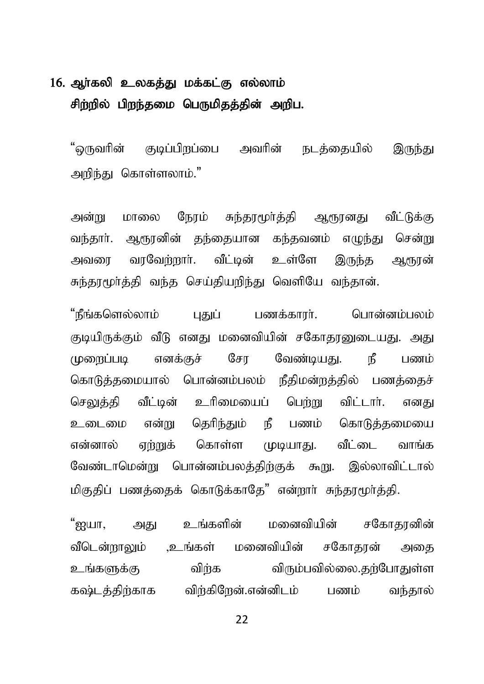## 16. ஆா்கலி உலகத்து மக்கட்கு எல்லாம் சிற்றில் பிறந்தமை பெருமிதத்தின் அறிப.

"ஒருவரின் குடிப்பிறப்பை அவரின் நடத்தையில் இருந்து அறிந்து கொள்ளலாம்."

அன்று மாலை நேரம் சுந்தரமூர்த்தி ஆரூரனது வீட்டுக்கு வந்தார். ஆரூரனின் தந்தையான கந்தவனம் எமுந்து சென்று அவரை வாவேற்றார். வீட்டின் உள்ளே இருந்த ஆரூரன் சுந்தரமூர்த்தி வந்த செய்தியறிந்து வெளியே வந்தான்.

"நீங்களெல்லாம் புதுப் பணக்காரா். பொன்னம்பலம் குடியிருக்கும் வீடு எனது மனைவியின் சகோதரனுடையது. அது முறைப்படி எனக்குச் சோ வேண்டியது. நீ பணம் கொடுத்தமையால் பொன்னம்பலம் நீதிமன்றத்தில் பணத்தைச் செலுத்தி வீட்டின் உரிமையைப் பெற்று விட்டார். எனது உடைமை என்று தெரிந்தும் நீ பணம் கொடுத்தமையை என்னால் ஏற்றுக் கொள்ள முடியாது. வீட்டை வாங்க வேண்டாமென்று பொன்னம்பலத்திற்குக் கூறு. இல்லாவிட்டால் மிகுதிப் பணத்தைக் கொடுக்காதே" என்றார் சுந்தரமூர்த்தி.

"ஐயா. அது உங்களின் மனைவியின் சகோகானின் வீடென்றாலும் ,உங்கள் மனைவியின் சகோதரன் அதை உங்களுக்கு விற்க விரும்பவில்லை.தற்போதுள்ள கஷ்டத்திற்காக விற்கிறேன்.என்னிடம் பணம் வந்தால்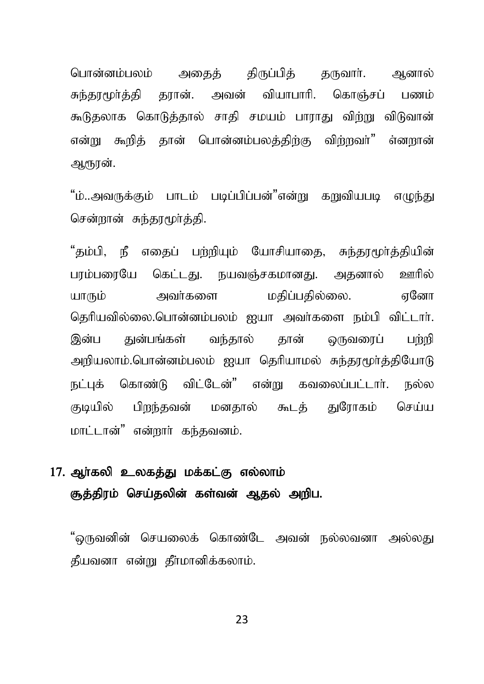பொன்னம்பலம் அதைத் திருப்பித் தருவார். ஆனால் சுந்தூமூர்த்தி தூரன். அவன் வியாபாரி. கொஞ்சப் பணம் கூடுதலாக கொடுத்தால் சாதி சமயம் பாராது விற்று விடுவான் என்று கூறிக் கான் பொன்னம்பலக்கிற்கு விற்றவர்" எ்னறான் ஆரூரன்.

"ம்..அவருக்கும் பாடம் படிப்பிப்பன்"என்று கறுவியபடி எழுந்து சென்றான் சுந்தரமூர்த்தி.

"தம்பி, நீ எதைப் பற்றியும் யோசியாதை, சுந்தரமூர்த்தியின் பரம்பரையே கெட்டது. நயவஞ்சகமானது. அதனால் ஊரில் யாரும் அவர்களை மகிப்பகில்லை. எனோ தெரியவில்லை.பொன்னம்பலம் ஐயா அவர்களை நம்பி விட்டார். இன்ப குன்பங்கள் வந்கால் கான் வநவனைப் பள்ளி அறியலாம்.பொன்னம்பலம் ஐயா தெரியாமல் சுந்தரமூர்த்தியோடு நட்புக் கொண்டு விட்டேன்" என்று கவலைப்பட்டார். நல்ல குடியில் பிறந்தவன் மனதால் கூடத் துரோகம் செய்ய மாட்டான்" என்றார் கந்தவனம்.

### 17. ஆா்கலி உலகத்து மக்கட்கு எல்லாம் சூத்திரம் செய்தலின் கள்வன் ஆதல் அறிப.

"ஒருவனின் செயலைக் கொண்டே அவன் நல்லவனா அல்லது கீயவனா என்று கீர்மானிக்கலாம்.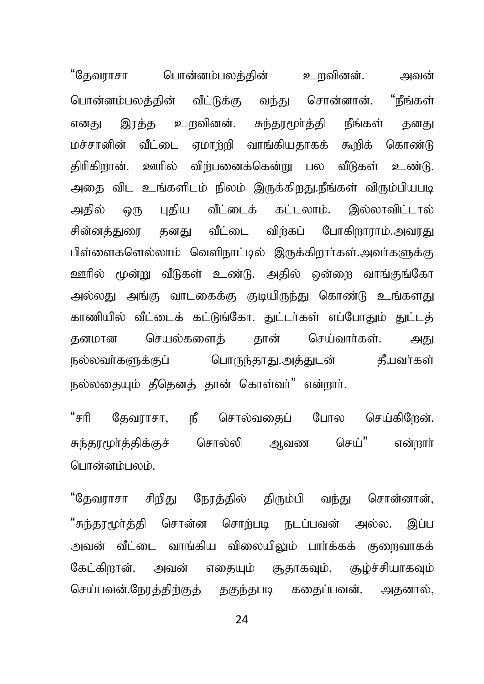"கேவாாசா பொன்னம்பலக்கின் உறவினன். அவன் பொன்னம்பலத்தின் வீட்டுக்கு வந்து சொன்னான். "நீங்கள் எனது இரக்க உறவினன். சுந்தரமூர்த்தி நீங்கள் தனது மச்சானின் வீட்டை ஏமாற்றி வாங்கியதாகக் கூறிக் கொண்டு திரிகிறான். ஊரில் விற்பனைக்கென்று பல வீடுகள் உண்டு. அதை விட உங்களிடம் நிலம் இருக்கிறது.நீங்கள் விரும்பியபடி அதில் ஒரு புதிய வீட்டைக் கட்டலாம். இல்லாவிட்டால் சின்னக்குறை கனது வீட்டை விற்கப் போகிறாராம்.அவரது பிள்ளைகளெல்லாம் வெளிநாட்டில் இருக்கிறார்கள்.அவர்களுக்கு ஊரில் மூன்று வீடுகள் உண்டு. அதில் ஒன்றை வாங்குங்கோ அல்லது அங்கு வாடகைக்கு குடியிருந்து கொண்டு உங்களது காணியில் வீட்டைக் கட்டுங்கோ. துட்டர்கள் எப்போதும் துட்டத் தனமான செயல்களைக் கான் செய்வார்கள். அது நல்லவா்களுக்குப் பொருந்தாது.அத்துடன் தீயவா்கள் நல்லகையும் தீகெனக் கான் கொள்வர்<sup>"</sup> என்றார்.

"சரி தேவராசா, நீ சொல்வதைப் போல செய்கிறேன். சுந்தரமூர்த்திக்குச் சொல்லி ஆவண செய்" என்றார் பொன்னம்பலம்.

"தேவராசா சிறிது நேரத்தில் திரும்பி வந்து சொன்னான், "சுந்தரமூர்த்தி சொன்ன சொற்படி நடப்பவன் அல்ல. இப்ப அவன் வீட்டை வாங்கிய விலையிலும் பார்க்கக் குறைவாகக் கேட்கிறான். அவன் எதையும் சூதாகவும், சூழ்ச்சியாகவும் செய்பவன்.நேரத்திற்குத் தகுந்தபடி கதைப்பவன். அதனால்,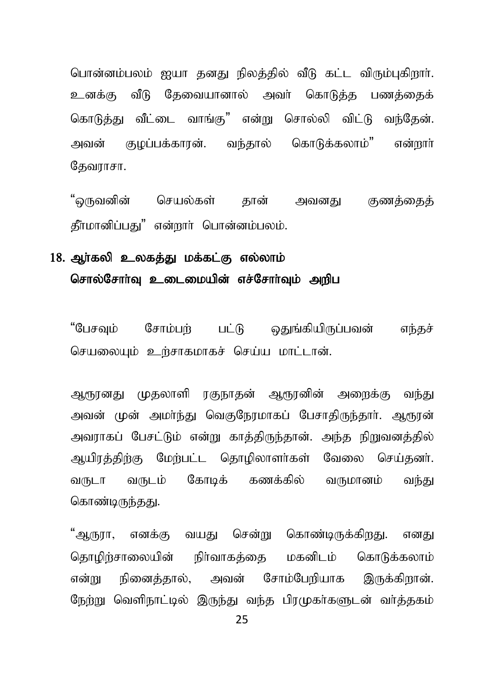பொன்னம்பலம் ஐயா தனது நிலத்தில் வீடு கட்ட விரும்புகிறார். உனக்கு வீடு தேவையானால் அவர் கொடுத்த பணத்தைக் கொடுக்கு வீட்டை வாங்க" என்று சொல்லி விட்டு வந்கேன். அவன் குமப்பக்காான். வந்கால் கொடுக்கலாம்" என்றார் தேவராசா.

"ஒருவனின் செயல்கள் தான் அவனது குணத்தைத் தீா்மானிப்பது" என்றாா் பொன்னம்பலம்.

#### 18. ஆர்கலி உலகத்து மக்கட்கு எல்லாம் சொல்சோர்வு உடைமையின் எச்சோர்வும் அறிப

"பேசவும் சோம்பற் பட்டு ஒதுங்கியிருப்பவன் எந்தச் செயலையும் உற்சாகமாகச் செய்ய மாட்டான்.

ஆரூரனது முதலாளி ரகுநாதன் ஆரூரனின் அறைக்கு வந்து அவன் முன் அமா்ந்து வெகுநேரமாகப் பேசாகிருந்தாா். ஆரூரன் அவராகப் பேசட்டும் என்று காத்திருந்தான். அந்த நிறுவனத்தில் ஆயிரத்திற்கு மேற்பட்ட தொழிலாளர்கள் வேலை செய்தனர். வருடா வருடம் கோடிக் கணக்கில் வருமானம் வந்து கொண்டிருந்தது.

"ஆருரா, எனக்கு வயது சென்று கொண்டிருக்கிறது. எனது தொமிற்சாலையின் நிர்வாகக்கை மகனிடம் கொடுக்கலாம் என்று நினைக்கால், அவன் சோம்பேறியாக இருக்கிறான். நேற்று வெளிநாட்டில் இருந்து வந்த பிரமுகர்களுடன் வர்த்தகம்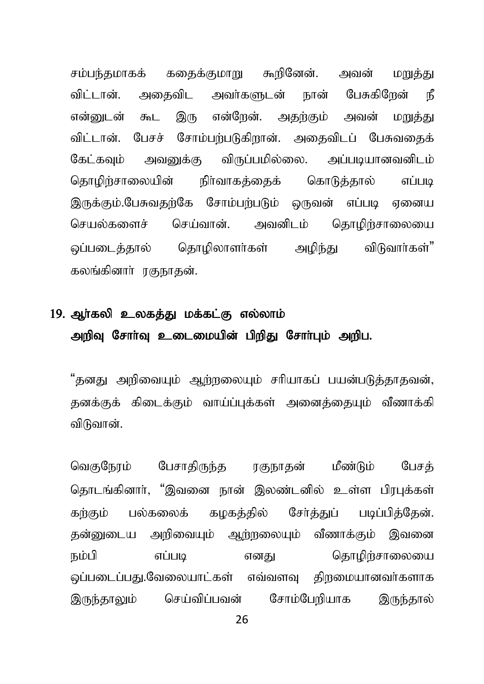சம்பந்தமாகக் கதைக்குமாறு கூறினேன். அவன் மறுத்து விட்டான். அதைவிட அவர்களுடன் நான் பேசுகிறேன் நீ என்றைடன் கூட இரு என்றேன். அதற்கும் அவன் மறுத்து விட்டான். பேசச் சோம்பற்படுகிறான். அதைவிடப் பேசுவதைக் கேட்கவும் அவனுக்கு விருப்பமில்லை. அப்படியானவனிடம் தொழிற்சாலையின் நிர்வாகத்தைக் கொடுத்தால் எப்படி இருக்கும்.பேசுவதற்கே சோம்பற்படும் ஒருவன் எப்படி ஏனைய செயல்களைச் செய்வான். அவனிடம் தொழிற்சாலையை ஒப்படைத்தால் தொழிலாளர்கள் அழிந்து விடுவார்கள்" கலங்கினார் ரகுநாகன்.

# 19. ஆர்கலி உலகத்து மக்கட்கு எல்லாம் அறிவு சோர்வு உடைமையின் பிறிது சோர்பும் அறிப.

"தனது அறிவையும் ஆற்றலையும் சரியாகப் பயன்படுத்தாதவன், தனக்குக் கிடைக்கும் வாய்ப்புக்கள் அனைக்கையும் வீணாக்கி விடுவான்.

வெகுநேரம் பேசாதிருந்த ரகுநாதன் மீண்டும் பேசத் கொடங்கினார், "இவனை நான் இலண்டனில் உள்ள பிரபுக்கள் கற்கும் பல்கலைக் கழகத்தில் சேர்த்துப் படிப்பித்தேன். தன்னுடைய அறிவையும் ஆற்றலையும் வீணாக்கும் இவனை நம்பி எப்படி எனது கொழிர்சாலையை லப்படைப்பது.வேலையாட்கள் எவ்வளவு திறமையானவர்களாக இருந்தாலும் செய்விப்பவன் சோம்பேறியாக இருந்தால்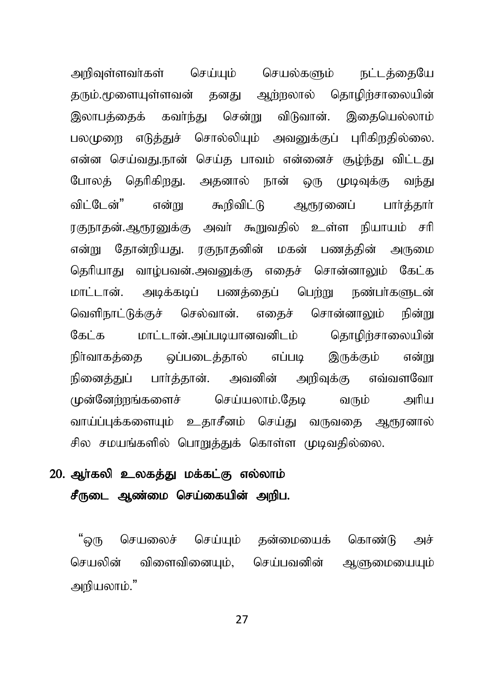அறிவுள்ளவர்கள் செய்யும் செயல்களும் நட்டத்தையே தரும்.மூளையுள்ளவன் தனது ஆற்றலால் தொழிற்சாலையின் இலாபத்தைக் கவர்ந்து சென்று விடுவான். இதையெல்லாம் பலமுறை எடுத்துச் சொல்லியும் அவனுக்குப் புரிகிறதில்லை. என்ன செய்வது.நான் செய்த பாவம் என்னைச் சூம்ந்து விட்டது போலக் தெரிகிறது. அதனால் நான் ஒரு முடிவுக்கு வந்து விட்டேன்" என்று கூறிவிட்டு ஆரூரனைப் பார்த்தார் ரகுநாதன்.ஆரூரனுக்கு அவர் கூறுவதில் உள்ள நியாயம் சரி என்று தோன்றியது. ரகுநாதனின் மகன் பணக்கின் அருமை தெரியாது வாழ்பவன்.அவனுக்கு எதைச் சொன்னாலும் கேட்க மாட்டான். அடிக்கடிப் பணக்கைப் பெற்று நண்பர்களுடன் வெளிநாட்டுக்குச் செல்வான். எகைச் சொன்னாலும் நின்று கேட்க மாட்டான்.அப்படியானவனிடம் தொழிற்சாலையின் நிர்வாகத்தை ஒப்படைத்தால் எப்படி இருக்கும் என்று நினைத்துப் பார்த்தான். அவனின் அறிவுக்கு எவ்வளவோ முன்னேற்றங்களைச் செய்யலாம்.தேடி வரும் அரிய வாய்ப்புக்களையும் உதாசீனம் செய்து வருவதை ஆரூரனால் சில சமயங்களில் பொறுக்குக் கொள்ள முடிவகில்லை.

### $20$ . அர்கலி உலகக்கு மக்கட்கு எல்லாம் சீருடை ஆண்மை செய்கையின் அறிப.

"ளை செயலைச் செய்யும் தன்மையைக் கொண்டு அச் செயலின் விளைவினையும், செய்பவனின் ஆளுமையையும் அறியலாம்."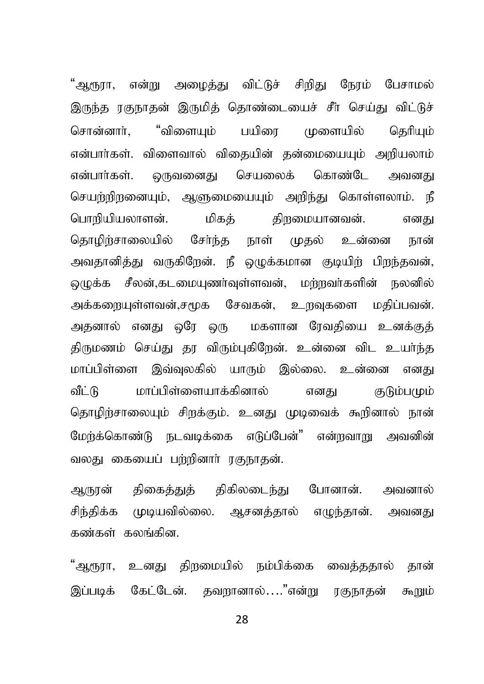"ஆரூரா, என்று அழைத்து விட்டுச் சிறிது நேரம் பேசாமல் இருந்த ரகுநாதன் இருமித் தொண்டையைச் சீா் செய்து விட்டுச் "விளையம் பயிரை சொன்னார். முளையில் கெரியம் என்பார்கள். விளைவால் விகையின் கன்மையையம் அறியலாம் என்பார்கள். ஒருவனைது செயலைக் கொண்டே அவனகு செயற்றிறனையும். ஆளுமையையும் அறிந்து கொள்ளலாம். நீ பொரியியலாளன். மிகக் கிறமையானவன். எனகட சேர்ந்க நாள் கொமிர்சாலையில் முகல் உன்னை நான் அவதானித்து வருகிறேன். நீ ஒழுக்கமான குடியிற் பிறந்தவன், மெக்க சீலன்.கடமையணர்வள்ளவன். மற்றவர்களின் நலனில் அக்களையள்ளவன்.சமூக சேவகன். உருவகளை மகிப்பவன். அதனால் எனது ஒரே ஒரு மகளான ரேவகியை உனக்குக் திருமணம் செய்து தர விரும்புகிறேன். உன்னை விட உயர்ந்த மாப்பிள்ளை இவ்வலகில் யாரும் இல்லை. உன்னை எனது வீட்டு மாப்பிள்ளையாக்கினால் எனகு குடும்பமும் தொழிற்சாலையும் சிறக்கும். உனது முடிவைக் கூறினால் நான் மேற்க்கொண்டு நடவடிக்கை எடுப்பேன்" என்றவாறு அவனின் வலது கையைப் பற்றினாா் ரகுநாகன்.

திகைத்துத் திகிலடைந்து ஆருரன் போனான். அவனால் சிந்திக்க முடியவில்லை. ஆசனத்தால் எழுந்தான். அவனது கண்கள் கலங்கின.

"ஆரூரா, உனகு கிறமையில் நம்பிக்கை வைக்ககால் கான் இப்படிக் கேட்டேன். கவுளானால்...."என்று ாகுநாகன் கூறும்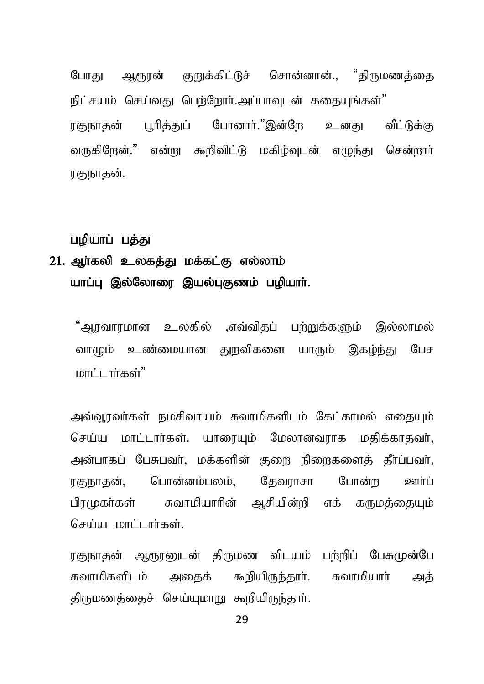போகு ஆரூரன் குறுக்கிட்டுச் சொன்னான்.. "கிருமணக்கை நிட்சயம் செய்வது பெற்றோர்.அப்பாவடன் ககையங்கள்" பரிக்குப் போனார்."இன்றே உனகு வீட்டுக்கு ாகஙாகன் வருகிறேன்." என்று கூறிவிட்டு மகிம்வடன் எழுந்து சென்றார் ரகுநாகன்.

#### பழியாப் பத்து

## 21. அர்கலி உலகக்கு மக்கட்கு எல்லாம் யாப்பு இல்லோரை இயல்புகுணம் பழியாா்.

"அாவாரமான உலகில் ,எவ்விதப் பற்றுக்களும் இல்லாமல் வாமும் உண்மையான குறவிகளை யாரும் இகம்ந்து பேச மாட்டார்கள்"

அவ்வூரவா்கள் நமசிவாயம் சுவாமிகளிடம் கேட்காமல் எதையும் செய்ய மாட்டார்கள். யாரையும் மேலானவராக மதிக்காதவர், அன்பாகப் பேசுபவர். மக்களின் குறை நிறைகளைக் கீர்ப்பவர். பொன்னம்பலம். கேவாாசா போன்ற பா்ற ாகுநாகன். பிரமுகா்கள் சுவாமியாரின் ஆசியின்றி எக் கருமக்கையம் செய்ய மாட்டார்கள்

ரகுநாதன் ஆரூரனுடன் திருமண விடயம் பற்றிப் பேசுமுன்பே சுவாமிகளிடம் அதைக் கூறியிருந்தார். சுவாமியாா் அக் திருமணத்தைச் செய்யுமாறு கூறியிருந்தார்.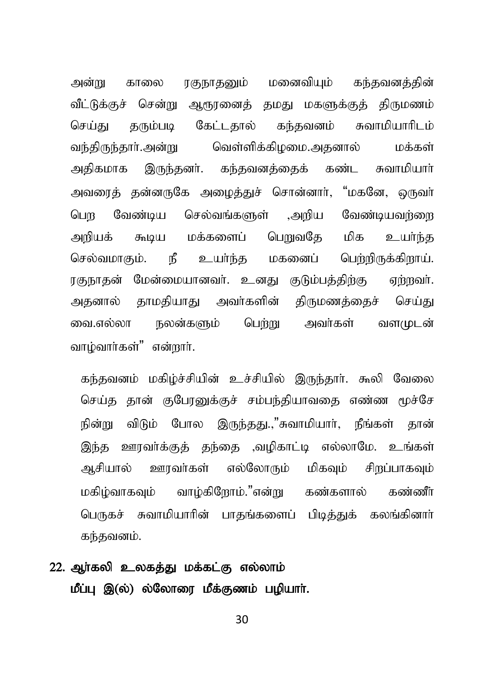அன்று காலை ரகுநாதனும் மனைவியும் கந்தவனத்தின் வீட்டுக்குச் சென்று ஆரூரனைத் தமது மகளுக்குத் திருமணம் செய்து தரும்படி கேட்டதால் கந்தவனம் சுவாமியாரிடம் வந்திருந்தார்.அன்று வெள்ளிக்கிமமை.அதனால் மக்கள் அதிகமாக இருந்தனர். கந்தவனத்தைக் கண்ட சுவாமியார் அவரைத் தன்னருகே அழைத்துச் சொன்னார், "மகனே, ஒருவர் பெற வேண்டிய செல்வங்களுள் ,அறிய வேண்டியவர்ளை அறியக் கூடிய மக்களைப் பெறுவதே மிக உயர்ந்த செல்வமாகும். நீ உயர்ந்த மகனைப் பெற்றிருக்கிறாய். ரகுநாதன் மேன்மையானவர். உனது குடும்பத்திற்கு ஏற்றவர். அதனால் தாமதியாது அவர்களின் திருமணத்தைச் செய்து வை.எல்லா நலன்களும் பெற்று அவர்கள் வளமுடன் வாழ்வார்கள்" என்றார்.

கந்தவனம் மகிம்ச்சியின் உச்சியில் இருந்தார். கூலி வேலை செய்த தான் குபேரனுக்குச் சம்பந்தியாவதை எண்ண மூச்சே நின்று விடும் போல இருந்தது.,"சுவாமியார், நீங்கள் தான் இந்த ஊரவர்க்குத் தந்தை ,வழிகாட்டி எல்லாமே. உங்கள் அசியால் ஊரவர்கள் எல்லோரும் மிகவும் சிறப்பாகவும் மகிழ்வாகவும் வாழ்கிறோம்."என்று கண்களால் கண்ணீர் பெருகச் சுவாமியாரின் பாதங்களைப் பிடித்துக் கலங்கினார் கந்தவனம்.

## 22. ஆர்கலி உலகக்து மக்கட்கு எல்லாம் மீப்பு இ(ல்) ல்லோரை மீக்குணம் பமியாா்.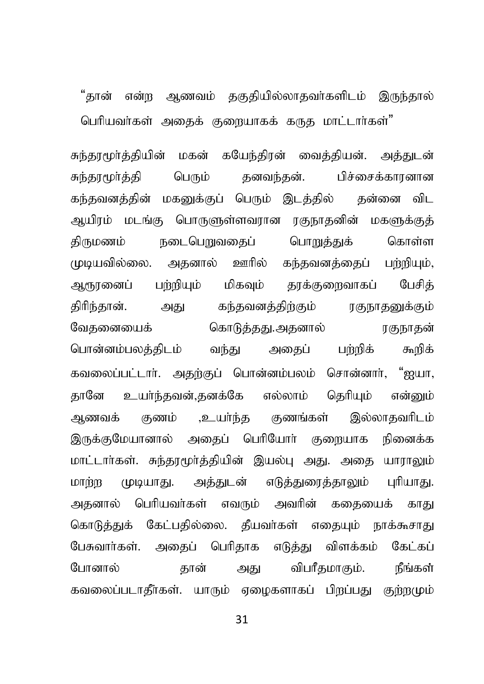"கான் என்ற அணவம் ககுகியில்லாகவர்களிடம் இருந்கால்

பெரியவர்கள் அதைக் குறையாகக் கருத மாட்டார்கள்"

சுந்தூமூர்த்தியின் மகன் கயேந்திரன் வைத்தியன். அத்துடன் சுந்தரமூர்த்தி பெரும் கனவந்கன். பிச்சைக்காரனான கந்தவனத்தின் மகனுக்குப் பெரும் இடத்தில் கன்னை விட ஆயிரம் மடங்கு பொருளுள்ளவரான ரகுநாதனின் மகளுக்குத் நடைபெறுவதைப் பொறுத்துக் கொள்ள கிருமணம் முடியவில்லை. அதனால் ஊரில் கந்தவனக்கைப் பர்றியும், ஆரூரணைப் பர்றியும் மிகவும் தூக்குறைவாகப் பேசிக் திரிந்தான். அது கந்தவனத்திற்கும் ரகுநா<u>கனு</u>க்கும் கொடுத்தது.அதனால் ரகுநாதன் வேகனையைக் பொன்னம்பலக்கிடம் வந்து பர்றிக் அகைப் கூறிக் கவலைப்பட்டார். அதற்குப் பொன்னம்பலம் சொன்னார், "ஐயா, தானே உயர்ந்தவன்,தனக்கே எல்லாம் தெரியும் என்னும் ,உயா்ந்த குணங்கள் அணவக் கணம் இல்லாதவரிடம் இருக்குமேயானால் அதைப் பெரியோர் குறையாக நினைக்க மாட்டார்கள். சுந்தூமூர்த்தியின் இயல்பு அது. அதை யாராலும் மாற்ற முடியாது. அத்துடன் எடுத்துரைத்தாலும் புரியாது. அகனால் பெரியவர்கள் எவரும் அவரின் கதையைக் காது கொடுத்துக் கேட்பதில்லை. தீயவர்கள் எதையும் நாக்கூசாது பேசுவார்கள். அதைப் பெரிதாக எடுத்து விளக்கம் கேட்கப் போனால் கான் அகுப விபரீகமாகும். நீங்கள் கவலைப்படாதீா்கள். யாரும் ஏழைகளாகப் பிறப்பது குற்றமும்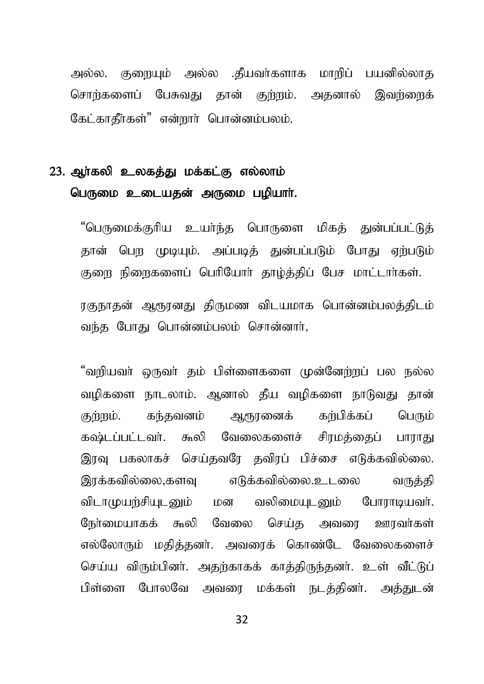அல்ல. குறையும் அல்ல .தீயவர்களாக மாறிப் பயனில்லாத சொற்களைப் பேசுவது தான் குற்றம். அதனால் இவற்றைக் கேட்காதீர்கள்" என்றார் பொன்னம்பலம்.

# 23. ஆர்கலி உலகத்து மக்கட்கு எல்லாம் பெருமை உடையதன் அருமை பழியாா்.

"பெருமைக்குரிய உயர்ந்த பொருளை மிகக் குன்பப்பட்டுக் தான் பெற முடியும். அப்படித் துன்பப்படும் போது ஏற்படும் குறை நிறைகளைப் பெரியோர் தாழ்த்திப் பேச மாட்டார்கள்.

ரகுநாதன் ஆரூரனது திருமண விடயமாக பொன்னம்பலத்திடம் வந்த போது பொன்னம்பலம் சொன்னார்,

"வறியவா் ஒருவா் தம் பிள்ளைகளை முன்னேற்றப் பல நல்ல வழிகளை நாடலாம். ஆனால் கீய வழிகளை நாடுவது தான் கர்பிக்கப் பெரும் குள்ளம். கந்தவனம் அருானைக் கஷ்டப்பட்டவர். கூலி வேலைகளைச் சிரமத்தைப் பாராது இரவு பகலாகச் செய்தவரே தவிரப் பிச்சை எடுக்கவில்லை. இரக்கவில்லை,களவு எடுக்கவில்லை.உடலை வருக்கி விடாமுயற்சியுடனும் மன வலிமையுடனும் போராடியவர். நேர்மையாகக் கூலி வேலை செய்த அவரை ஊாவர்கள் எல்லோரும் மதிக்கனர். அவரைக் கொண்டே வேலைகளைச் செய்ய விரும்பினர். அதற்காகக் காத்திருந்தனர். உள் வீட்டுப் பிள்ளை போலவே அவரை மக்கள் நடத்தினர். அத்துடன்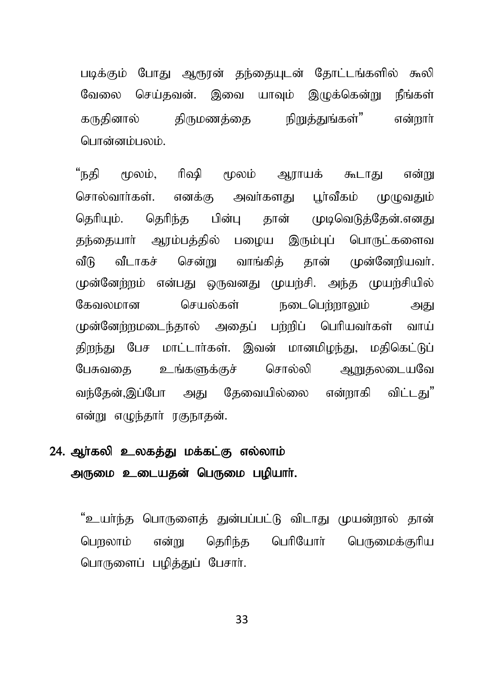படிக்கும் போது ஆரூரன் தந்தையுடன் தோட்டங்களில் கூலி வேலை செய்தவன். இவை யாவும் இழுக்கென்று நீங்கள் கருதினால் திருமணக்கை நிறுக்குங்கள்" என்றார் பொன்னம்பலம்.

"நதி மூலம், ரிஷி மூலம் ஆராயக் கூடாது என்று சொல்வார்கள். எனக்கு அவர்களகு பா்வீகம் முமுவகும் தெரியும். தெரிந்த பின்பு தான் முடிவெடுத்தேன்.எனது தந்தையாா் ஆரம்பத்தில் பழைய இரும்புப் பொருட்களைவ சென்று வாங்கிக் கான் முன்னேறியவர். வீடாகச் ഖീിി முன்னேற்றம் என்பது ஒருவனது முயற்சி. அந்த முயற்சியில் செயல்கள் நடைபெள்ளாலும் கேவலமான அகுட முன்னேற்றமடைந்தால் அதைப் பற்றிப் பெரியவர்கள் வாய் திறந்து பேச மாட்டார்கள். இவன் மானமிழந்து, மதிகெட்டுப் சொல்லி ஆறுதலடையவே பேசுவகை உங்களுக்குச் வந்தேன்,இப்போ அது கேவையில்லை என்றாகி விட்டகு" என்று எமுந்கார் ரகுநாகன்.

# 24. ஆர்கலி உலகக்து மக்கட்கு எல்லாம் அருமை உடையதன் பெருமை பழியார்.

"உயா்ந்த பொருளைத் துன்பப்பட்டு விடாது முயன்றால் தான் பொலாம் என்று தெரிந்த பெரியோர் பெருமைக்குரிய பொருளைப் பழிக்குப் பேசார்.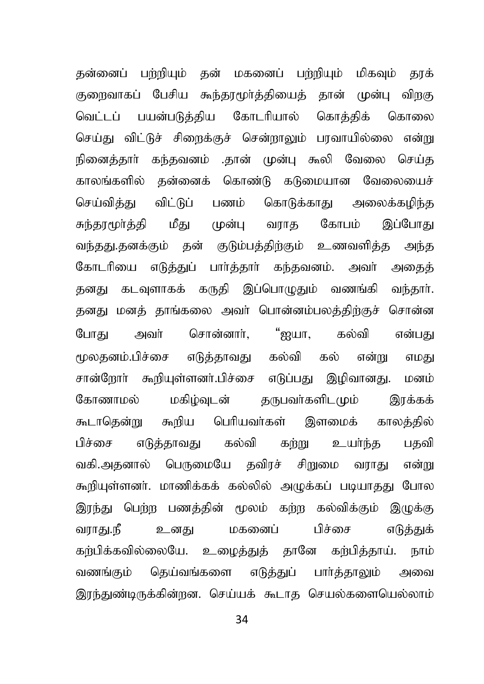தன்னைப் பற்றியும் தன் மகனைப் பற்றியும் மிகவும் தூக் குறைவாகப் பேசிய கூந்தூமூர்த்தியைத் தான் முன்பு விறகு வெட்டப் பயன்படுத்திய கோடரியால் கொத்திக் கொலை செய்து விட்டுச் சிறைக்குச் சென்றாலும் பரவாயில்லை என்று நினைத்தார் கந்தவனம் .தான் முன்பு கூலி வேலை செய்த காலங்களில் தன்னைக் கொண்டு கடுமையான வேலையைச் செய்வித்து விட்டுப் பணம் கொடுக்காது அலைக்கழிந்த சுந்தூமூர்த்தி மீது முன்பு வராத கோபம் இப்போது வந்தது.தனக்கும் தன் குடும்பத்திற்கும் உணவளித்த அந்த கோடரியை எடுத்துப் பார்த்தார் கந்தவனம். அவர் அதைத் தனது கடவுளாகக் கருதி இப்பொழுதும் வணங்கி வந்தார். தனது மனத் தாங்கலை அவா் பொன்னம்பலத்திற்குச் சொன்ன போது அவர் சொன்னார், "ஐயா, கல்வி என்பது மலகனம்.பிச்சை எடுக்காவகு கல்வி கல் என்று எமகு சான்றோர் கூறியுள்ளனர்.பிச்சை எடுப்பது இழிவானது. மனம் கோணாமல் மகிழ்வுடன் குருபவர்களிடமும் இரக்கக் கூடாதென்று கூறிய பெரியவர்கள் இளமைக் காலத்தில் பிச்சை எடுத்தாவது கல்வி கற்று உயர்ந்த பதவி வகி.அதனால் பெருமையே தவிரச் சிறுமை வராது என்று கூறியுள்ளனர். மாணிக்கக் கல்லில் அழுக்கப் படியாதது போல இரந்து பெற்ற பணத்தின் மூலம் கற்ற கல்விக்கும் இழுக்கு வராது.நீ உனது மகனைப் பிச்சை எடுத்துக் கர்பிக்கவில்லையே. உழைத்துத் தானே கர்பித்தாய். நாம் வணங்கும் தெய்வங்களை எடுத்துப் பார்த்தாலும் அவை இரந்துண்டிருக்கின்றன. செய்யக் கூடாத செயல்களையெல்லாம்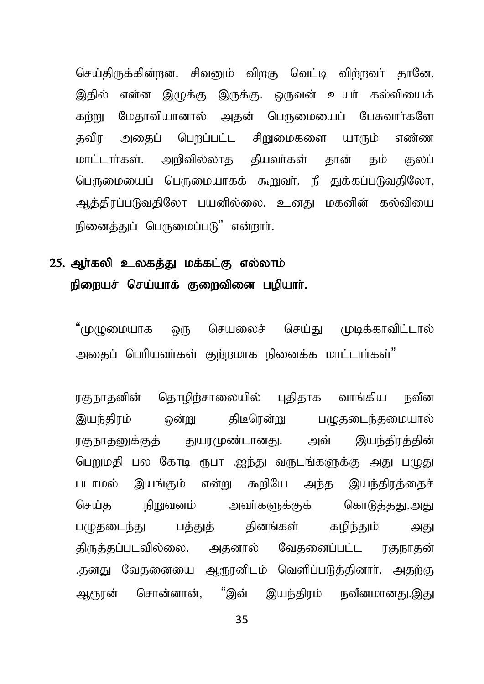செய்திருக்கின்றன. சிவனும் விறகு வெட்டி விற்றவர் தானே. இதில் என்ன இமுக்கு இருக்கு. ஒருவன் உயர் கல்வியைக் கற்று மேதாவியானால் அதன் பெருமையைப் பேசுவார்களே தவிர அதைப் பெறப்பட்ட சிறுமைகளை யாரும் எண்ண மாட்டார்கள். அறிவில்லாக கீயவர்கள் கான் கம் குலப் பெருமையைப் பெருமையாகக் கூறுவர். நீ துக்கப்படுவதிலோ, ஆத்திரப்படுவதிலோ பயனில்லை. உனது மகனின் கல்வியை நினைக்குப் பெருமைப்படு" என்றார்.

# 25. அர்கலி உலகக்கு மக்கட்கு எல்லாம் நிறையச் செய்யாக் குறைவினை பழியாா்.

"முமுமையாக ஒரு செயலைச் செய்கு முடிக்காவிட்டால் அதைப் பெரியவர்கள் குற்றமாக நினைக்க மாட்டார்கள்"

ரகுநாதனின் தொழிற்சாலையில் புதிதாக வாங்கிய நவீன இயந்திரம் ஒன்று திடீரென்று பமுதடைந்தமையால் ரகுநாதனுக்குத் துயரமுண்டானது. அவ் இயந்திரத்தின் பெறுமதி பல கோடி ரூபா .ஐந்து வருடங்களுக்கு அது பழுது படாமல் இயங்கும் என்று கூறியே அந்த இயந்திரத்தைச் செய்த நிறுவனம் அவர்களுக்குக் கொடுத்தது.அது பழுதடைந்து பத்துத் தினங்கள் கழிந்தும் அது திருத்தப்படவில்லை. அதனால் வேதனைப்பட்ட ரகுநாதன் ,தனது வேதனையை ஆரூரனிடம் வெளிப்படுத்தினார். அதற்கு அருான் சொன்னான். "இவ் இயந்கிரம் நவீனமானது.இது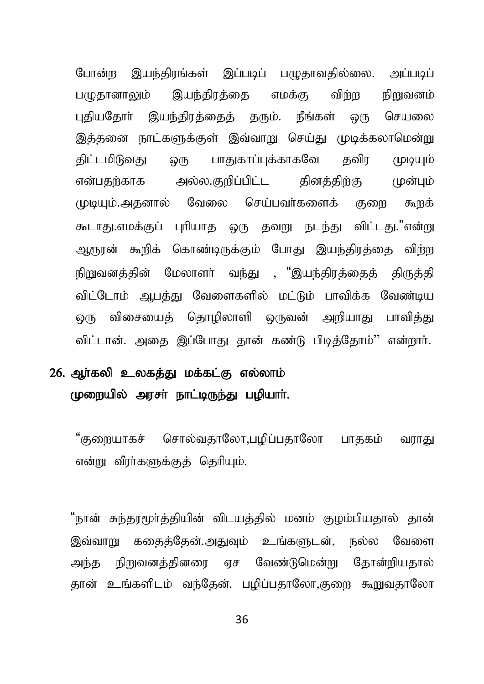போன்ற இயந்திரங்கள் இப்படிப் பமுதாவதில்லை. அப்படிப் பமுதானாலும் இயந்திரத்தை எமக்கு விற்ற நிறுவனம் புதியதோர் இயந்திரத்தைத் தரும். நீங்கள் ஒரு செயலை இத்தனை நாட்களுக்குள் இவ்வாறு செய்து முடிக்கலாமென்று திட்டமிடுவது ஒரு பாதுகாப்புக்காகவே தவிர முடியும் என்பதற்காக அல்ல.குறிப்பிட்ட தினக்கிற்கு முன்பும் முடியும்.அதனால் வேலை செய்பவர்களைக் குறை கூறக் கூடாது.எமக்குப் புரியாத ஒரு தவறு நடந்து விட்டது."என்று ஆரூரன் கூறிக் கொண்டிருக்கும் போது இயந்திரத்தை விற்ற நிறுவனக்கின் மேலாளர் வந்து , "இயந்திரக்கைக் கிருக்கி விட்டோம் ஆபத்து வேளைகளில் மட்டும் பாவிக்க வேண்டிய ஒரு விசையைத் தொழிலாளி ஒருவன் அறியாது பாவித்து விட்டான். அதை இப்போது தான் கண்டு பிடித்தோம்'' என்றார்.

## 26. ஆா்கலி உலகத்து மக்கட்கு எல்லாம் முறையில் அரசா் நாட்டிருந்து பழியாா்.

"குறையாகச் சொல்வதாலோ,பமிப்பதாலோ பாதகம் வராது என்று வீரா்களுக்குத் தெரியும்.

"நான் சுந்தரமூர்த்தியின் விடயத்தில் மனம் குழம்பியதால் தான் இவ்வாறு கதைத்தேன்.அதுவும் உங்களுடன், நல்ல வேளை அந்த நிறுவனத்தினரை ஏச வேண்டுமென்று தோன்றியதால் தான் உங்களிடம் வந்தேன். பழிப்பதாலோ,குறை கூறுவதாலோ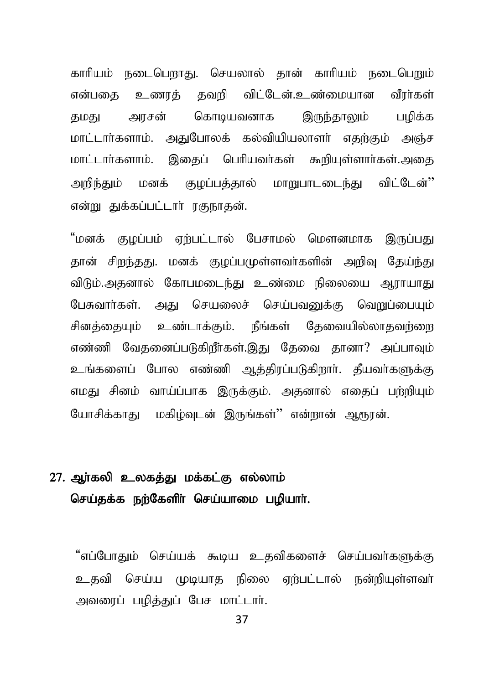காரியம் நடைபெறாது. செயலால் தான் காரியம் நடைபெறும் என்பகை உணாக் கவரி விட்டேன்.உண்மையான வீார்கள் தமது அரசன் கொடியவனாக இருந்தாலும் பழிக்க மாட்டார்களாம். அதுபோலக் கல்வியியலாளர் எதற்கும் அஞ்ச மாட்டார்களாம். இகைப் பெரியவர்கள் கூறியுள்ளார்கள்.அதை அறிந்தும் மனக் குழப்பத்தால் மாறுபாடடைந்து விட்டேன்'' என்று துக்கப்பட்டார் ரகுநாகன்.

"மனக் குழப்பம் ஏற்பட்டால் பேசாமல் மௌனமாக இருப்பது கான் சிறந்தது, மனக் குமப்பமுள்ளவர்களின் அறிவ கேய்ந்து விடும்.அகனால் கோபமடைந்து உண்மை நிலையை ஆராயாகு பேசுவார்கள். அது செயலைச் செய்பவனுக்கு வொய்பையும் சினக்கையம் உண்டாக்கும். நீங்கள் கேவையில்லாகவர்ளை எண்ணி வேகனைப்படுகிறீர்கள்.இகு கேவை கானா? அப்பாவம் உங்களைப் போல எண்ணி ஆத்திரப்படுகிறார். தீயவர்களுக்கு எமது சினம் வாய்ப்பாக இருக்கும். அதனால் எதைப் பற்றியும் யோசிக்காது மகிழ்வுடன் இருங்கள்'' என்றான் ஆரூரன்.

### 27. ஆா்கலி உலகத்து மக்கட்கு எல்லாம் செய்தக்க நற்கேளிர் செய்யாமை பழியார்.

"எப்போதும் செய்யக் கூடிய உதவிகளைச் செய்பவா்களுக்கு உதவி செய்ய முடியாத நிலை ஏற்பட்டால் நன்றியுள்ளவா் அவரைப் பழித்துப் பேச மாட்டார்.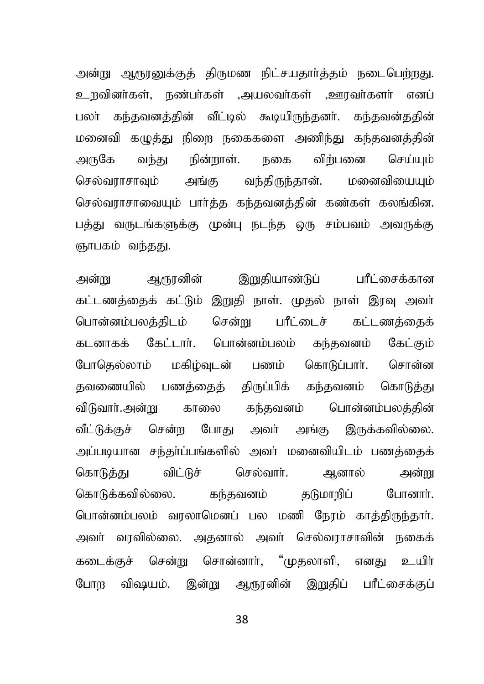அன்று ஆரூரனுக்குத் திருமண நிட்சயதார்த்தம் நடைபெற்றது. உருவினர்கள், நண்பர்கள் ,அயலவர்கள் ,ஊரவர்களர் எனப் பலா் கந்தவனத்தின் வீட்டில் கூடியிருந்தனா். கந்தவன்ததின் மனைவி கமுத்து நிறை நகைகளை அணிந்து கந்தவனத்தின் அருகே வந்து நின்றாள். நகை விற்பனை செய்யும் செல்வாாசாவும் அங்கு வந்திருந்தான். மனைவியையும் செல்வராசாவையும் பார்த்த கந்தவனத்தின் கண்கள் கலங்கின. பத்து வருடங்களுக்கு முன்பு நடந்த ஒரு சம்பவம் அவருக்கு ஞாபகம் வந்தது.

அன்று ஆரூரனின் இறுதியாண்டுப் பரீட்சைக்கான கட்டணக்கைக் கட்டும் இறுகி நாள். முகல் நாள் இரவு அவர் பொன்னம்பலக்கிடம் சென்று பரீட்டைச் கட்டணக்கைக் கடனாகக் கேட்டார். பொன்னம்பலம் கந்தவனம் கேட்கும் போகெல்லாம் மகிம்வடன் பணம் கொடுப்பார். சொன்ன தவணையில் பணக்கைக் கிருப்பிக் கந்தவனம் கொடுக்கு tpLthh;.md ;W fhiy fe;jtdk; nghd ;dk;gyj;jpd ; வீட்டுக்குச் சென்ற போது அவர் அங்கு இருக்கவில்லை. அப்படியான சந்தர்ப்பங்களில் அவர் மனைவியிடம் பணக்கைக் கொடுத்து விட்டுச் செல்வார். ஆனால் அன்று கொடுக்கவில்லை. கந்தவனம் கடுமாறிப் போனார். பொன்னம்பலம் வாலாமெனப் பல மணி நோம் காக்கிருந்கார். அவர் வரவில்லை. அதனால் அவர் செல்வராசாவின் நகைக் கடைக்குச் சென்று சொன்னார், "முதலாளி, எனது உயிர் போற விஷயம். இன்று ஆரூரனின் இறுதிப் பரீட்சைக்குப்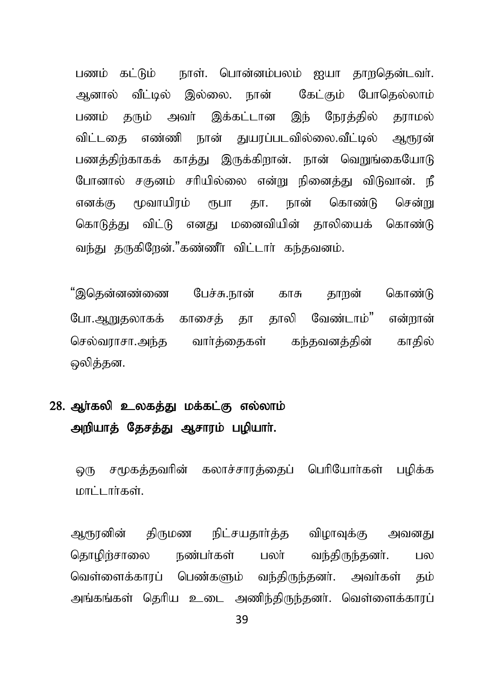பணம் கட்டும் நாள். பொன்னம்பலம் ஐயா தாறதென்டவர். அனால் வீட்டில் இல்லை. நான் கேட்கும் போதெல்லாம் பணம் தரும் அவர் இக்கட்டான இந் நேரத்தில் தராமல் விட்டகை எண்ணி நான் துயரப்படவில்லை.வீட்டில் ஆரூரன் பணத்திற்காகக் காத்து இருக்கிறான். நான் வெறுங்கையோடு போனால் சகுனம் சரியில்லை என்று நினைத்து விடுவான். நீ எனக்கு மூவாயிாம் ரூபா கா. நான் கொண்டு சென்று கொடுத்து விட்டு எனது மனைவியின் தாலியைக் கொண்டு வந்து தருகிறேன்."கண்ணீர் விட்டார் கந்தவனம்.

"இதென்னண்ணை பேச்சு.நான் காசு தாறன் கொண்டு போ.ஆறுதலாகக் காசைக் தா தாலி வேண்டாம்" என்றான் செல்வராசா.அந்த வார்த்தைகள் கந்தவனத்தின் காதில் ஒலித்தன.

# 28. ஆர்கலி உலகத்து மக்கட்கு எல்லாம் அறியாத் தேசத்து ஆசாரம் பழியாா்.

லு சமூகத்தவரின் கலாச்சாரத்தைப் பெரியோர்கள் பழிக்க மாட்டார்கள்.

ஆரூரனின் திருமண நிட்சயதார்த்த விழாவுக்கு அவனது தொழிற்சாலை நண்பா்கள் பலா் வந்திருந்தனா். பல வெள்ளைக்காரப் பெண்களும் வந்திருந்தனர். அவர்கள் தம் அங்கங்கள் தெரிய உடை அணிந்திருந்தனர். வெள்ளைக்காரப்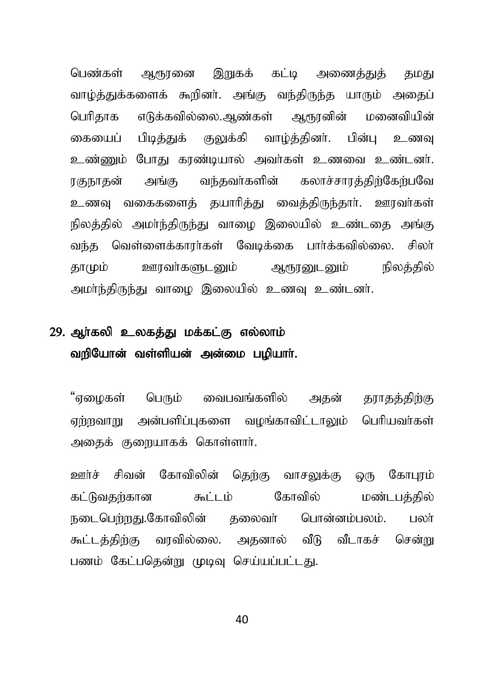பெண்கள் ஆரூரனை இறுகக் கட்டி அணைத்துத் தமது வாழ்த்துக்களைக் கூறினா். அங்கு வந்திருந்த யாரும் அதைப் பெரிதாக எடுக்கவில்லை.ஆண்கள் ஆரூரனின் மனைவியின் கையைப் பிடித்துக் குலுக்கி வாழ்த்தினர். பின்பு உணவு உண்ணும் போது கரண்டியால் அவர்கள் உணவை உண்டனர். ரகுநாதன் அங்கு வந்தவர்களின் கலாச்சாரத்திற்கேற்பவே உணவு வகைகளைத் தயாரித்து வைத்திருந்தார். ஊரவர்கள் நிலத்தில் அமா்ந்திருந்து வாழை இலையில் உண்டகை அங்கு வந்த வெள்ளைக்காரா்கள் வேடிக்கை பாா்க்கவில்லை. சிலா் காமும் ஊரவர்களுடனும் ஆரூரனுடனும் நிலக்கில் அமா்ந்திருந்து வாழை இலையில் உணவு உண்டனா்.

### 29. அர்கலி உலகக்கு மக்கட்கு எல்லாம் வரியோன் வள்ளியன் அன்மை பமியாா்.

"ஏழைகள் பெரும் வைபவங்களில் அதன் தராதத்திற்கு ஏற்றவாறு அன்பளிப்புகளை வழங்காவிட்டாலும் பெரியவா்கள் அதைக் குறையாகக் கொள்ளார்.

ஊர்ச் சிவன் கோவிலின் கெற்கு வாசலுக்கு ஒரு கோபூம் கட்டுவதற்கான கூட்டம் கோவில் மண்டபத்தில் நடைபெற்றது.கோவிலின் கலைவர் பொன்னம்பலம். பலர் கூட்டக்கிற்கு வாவில்லை. அகனால் வீடு வீடாகச் சென்று பணம் கேட்பகென்று முடிவ செய்யப்பட்டது.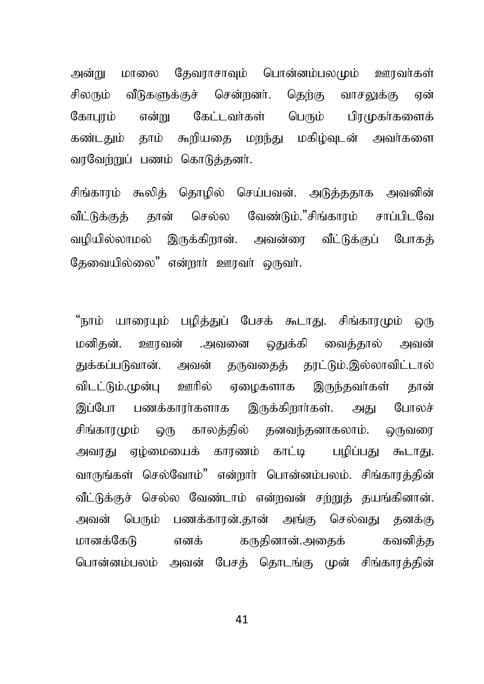மாலை தேவராசாவும் பொன்னம்பலமும் ஊரவர்கள் அன்று சிலரும் வீடுகளுக்குச் சென்றனர். தெற்கு வாசலுக்கு என் என்று கேட்டவர்கள் பெரும் கோபாம் பிாமுகா்களைக் கண்டதும் தாம் கூறியதை மறந்து மகிம்வுடன் அவர்களை வாவேற்றுப் பணம் கொடுத்தனர்.

சிங்காரம் கூலித் தொழில் செய்பவன். அடுத்ததாக அவனின் செல்ல வேண்டும்."சிங்காரம் சாப்பிடவே வீட்டுக்குக் கான் வழியில்லாமல் இருக்கிறான். அவன்ரை வீட்டுக்குப் போகக் தேவையில்லை" என்றார் ஊரவர் ஒருவர்.

"நாம் யாரையும் பழித்துப் பேசக் கூடாது. சிங்காரமும் ஒரு மனிகன். ஊாவன் .அவனை தைக்கி வைக்கால் அவன் துக்கப்படுவான். அவன் தருவதைத் தரட்டும்.இல்லாவிட்டால் விடட்டும்.முன்பு ஊரில் ஏழைகளாக இருந்தவர்கள் கான் பணக்காரர்களாக இருக்கிறார்கள். அது போலச் இப்போ சிங்காாமும் ஒரு காலக்கில் கனவந்கனாகலாம். ஒருவரை அவரது ஏழ்மையைக் காரணம் காட்டி பழிப்பது கூடாது. வாருங்கள் செல்வோம்" என்றார் பொன்னம்பலம். சிங்காரத்தின் வீட்டுக்குச் செல்ல வேண்டாம் என்றவன் சற்றுத் தயங்கினான். அவன் பெரும் பணக்காரன்.தான் அங்கு செல்வது தனக்கு மானக்கேடு எனக் கருதினான்.அதைக் கவனிக்க பொன்னம்பலம் அவன் பேசக் தொடங்கு முன் சிங்காரக்கின்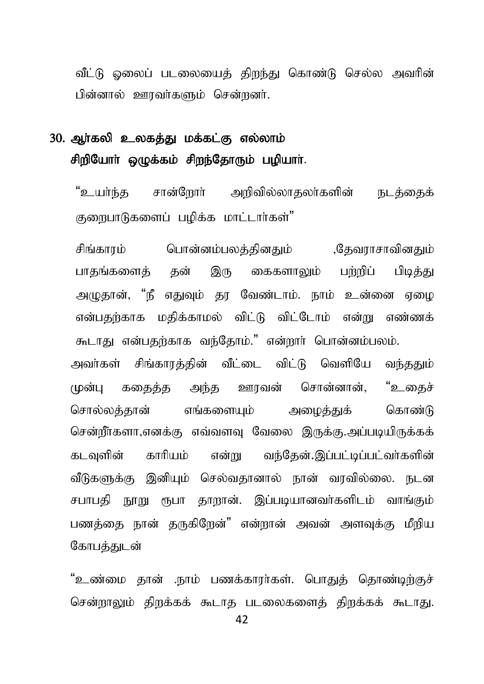வீட்டு ஒலைப் படலையைக் கிறந்து கொண்டு செல்ல அவரின் பின்னால் ஊரவர்களும் சென்றனர்.

# 30. அர்கலி உலகக்து மக்கட்கு எல்லாம் சிறியோர் ஒழுக்கம் சிறந்தோரும் பழியார்.

"உயர்ந்த சான்ளேரர் அறிவில்லாகலர்களின் நடக்கைக் குறைபாடுகளைப் பழிக்க மாட்டார்கள்"

பொன்னம்பலக்கினகும் சிங்காாம் .தேவராசாவினகும் பாதங்களைத் தன் இரு கைகளாலும் பற்றிப் பிடிக்கு அழுதான், "நீ எதுவும் தர வேண்டாம். நாம் உன்னை ஏழை என்பதற்காக மதிக்காமல் விட்டு விட்டோம் என்று எண்ணக் கூடாது என்பதற்காக வந்தோம்." என்றார் பொன்னம்பலம்.

அவர்கள் சிங்காரக்கின் வீட்டை விட்டு வெளியே வந்ததும் சொன்னான், "உகைச் ககைக்க அந்க ஊரவன் முன்ப சொல்லக்கான் எங்களையம் கொண்டு அழைத்துக் சென்றீர்களா,எனக்கு எவ்வளவு வேலை இருக்கு.அப்படியிருக்கக் என்று வந்தேன்.இப்பட்டிப்பட்வா்களின் கடவளின் காரியம் வீடுகளுக்கு இனியும் செல்வதானால் நான் வரவில்லை. நடன சபாபதி நூறு ரூபா தாறான். இப்படியானவர்களிடம் வாங்கும் பணத்தை நான் தருகிறேன்" என்றான் அவன் அளவுக்கு மீறிய கோபக்குடன்

"உண்மை தான் .நாம் பணக்காரர்கள். பொதுத் தொண்டிற்குச் சென்றாலும் திறக்கக் கூடாத படலைகளைத் திறக்கக் கூடாது.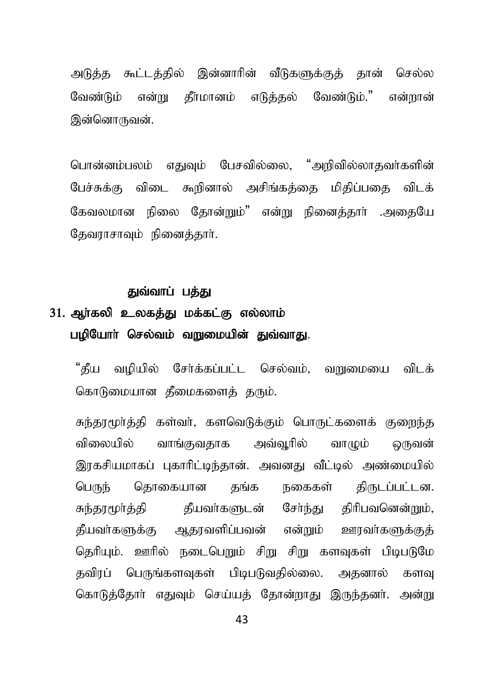அடுத்த கூட்டத்தில் இன்னாரின் வீடுகளுக்குத் தான் செல்ல வேண்டும் என்று கீர்மானம் எடுக்கல் வேண்டும்." என்றான் இன்னொருவன்.

பொன்னம்பலம் எதுவும் பேசவில்லை, "அறிவில்லாதவா்களின் பேச்சுக்கு விடை கூறினால் அசிங்கத்தை மிதிப்பதை விடக் கேவலமான நிலை தோன்றும்" என்று நினைத்தார் .அதையே தேவராசாவும் நினைத்தார்.

#### துவ்வாப் பக்து

# 31. ஆர்கலி உலகத்து மக்கட்கு எல்லாம் பழியோா் செல்வம் வறுமையின் துவ்வாது.

"கீய வழியில் சேர்க்கப்பட்ட செல்வம், வறுமையை விடக் கொடுமையான தீமைகளைத் தரும்.

சுந்தரமூர்த்தி கள்வர், களவெடுக்கும் பொருட்களைக் குறைந்த விலையில் வாங்குவகாக அவ்வரில் வாமும் ஒருவன் இரகசியமாகப் புகாரிட்டிந்தான். அவனது வீட்டில் அண்மையில் தொகையான தங்க பெருந் நகைகள் திருடப்பட்டன. சுந்தரமூர்த்தி தீயவர்களுடன் சேர்ந்து திரிபவனென்றும், தீயவா்களுக்கு ஆதரவளிப்பவன் என்றும் ஊரவா்களுக்குத் தெரியும். ஊரில் நடைபெறும் சிறு சிறு களவுகள் பிடிபடுமே தவிரப் பெருங்களவுகள் பிடிபடுவதில்லை. அதனால் களவு கொடுத்தோர் எதுவும் செய்யத் தோன்றாது இருந்தனர். அன்று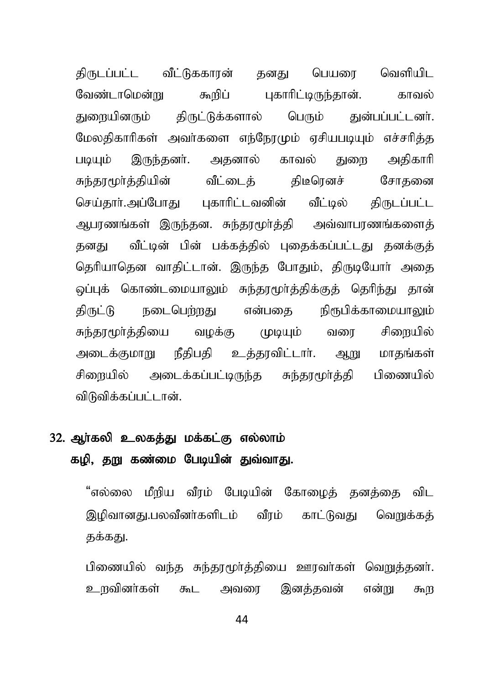கிருடப்பட்ட வீட்டுககாரன் கனகு பெயரை வெளியிட வேண்டாமென்று கூறிப் புகாரிட்டிருந்தான். காவல் துறையினரும் திருட்டுக்களால் பெரும் துன்பப்பட்டனர். மேலதிகாரிகள் அவர்களை எந்நேரமும் ஏசியபடியும் எச்சரித்த படியும் இருந்தனர். அதனால் காவல் துரை அதிகாரி சுந்தூமூர்த்தியின் வீட்டைத் திடீரெனச் சோதனை செய்தார்.அப்போது புகாரிட்டவனின் வீட்டில் திருடப்பட்ட அபாணங்கள் இருந்தன. சுந்தரமூர்த்தி அவ்வாபரணங்களைத் தனது வீட்டின் பின் பக்கத்தில் புதைக்கப்பட்டது தனக்குத் தெரியாதென வாதிட்டான். இருந்த போதும், திருடியோர் அதை ஒப்புக் கொண்டமையாலும் சுந்தரமூர்த்திக்குத் தெரிந்து தான் திருட்டு நடைபெற்றது என்பதை நிரூபிக்காமையாலும் சுந்தூமூர்த்தியை வழக்கு முடியும் வரை சிறையில் அடைக்குமாறு நீதிபதி உத்தரவிட்டார். ஆறு மாதங்கள் சிறையில் அடைக்கப்பட்டிருந்த சுந்தூமூர்த்தி பிணையில் விடுவிக்கப்பட்டான்.

### 32. ஆர்கலி உலகத்து மக்கட்கு எல்லாம் கழி, தறு கண்மை பேடியின் துவ்வாது.

"எல்லை மீறிய வீரம் பேடியின் கோழைத் தனத்தை விட இழிவானது,பலவீனர்களிடம் வீரம் காட்டுவது வெறுக்கக் தக்கது.

பிணையில் வந்த சுந்தூமூர்த்தியை ஊரவர்கள் வெறுத்தனர். உருவினர்கள் கூட அவரை இனக்கவன் என்று கூற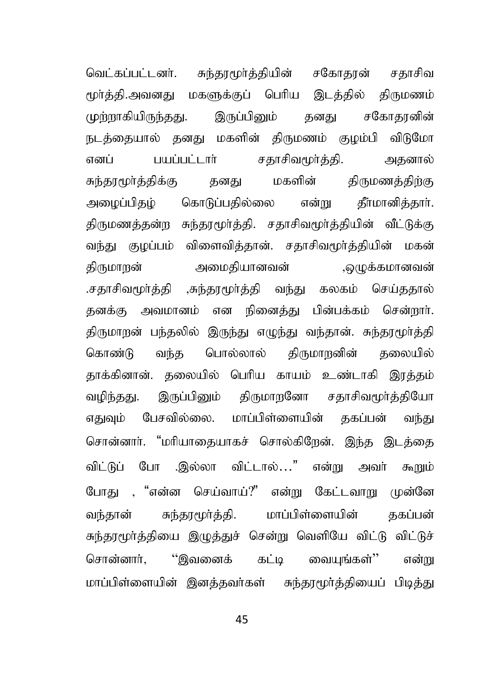வெட்கப்பட்டனர். சுந்தூமூர்த்தியின் சகோதரன் சதாசிவ மூர்த்தி.அவனது மகளுக்குப் பெரிய இடத்தில் திருமணம் முற்றாகியிருந்தது. இருப்பினும் தனது சகோதரனின் நடக்கையால் கனகு மகளின் கிருமணம் குமம்பி விடுமோ எனப் பயப்பட்டார் சதாசிவமூர்த்தி. அதனால் சுந்தரமூர்த்திக்கு தனது மகளின் திருமணத்திற்கு அழைப்பிதழ் கொடுப்பதில்லை என்று தீாமானித்தாா். திருமணத்தன்ற சுந்தரமூர்த்தி. சதாசிவமூர்த்தியின் வீட்டுக்கு வந்து குழப்பம் விளைவித்தான். சதாசிவமூர்த்தியின் மகன் திருமாறன் அமைதியானவன் ,ஒழுக்கமானவன் .சதாசிவமூர்த்தி ,சுந்தரமூர்த்தி வந்து கலகம் செய்ததால் தனக்கு அவமானம் என நினைத்து பின்பக்கம் சென்றார். திருமாறன் பந்தலில் இருந்து எழுந்து வந்தான். சுந்தரமூர்த்தி கொண்டு வந்த பொல்லால் திருமாறனின் தலையில் தாக்கினான். தலையில் பெரிய காயம் உண்டாகி இரக்கம் வழிந்தது. இருப்பினும் திருமாறனோ சதாசிவமூர்த்தியோ எதுவும் பேசவில்லை. மாப்பிள்ளையின் தகப்பன் வந்து சொன்னார். "மரியாதையாகச் சொல்கிறேன். இந்த இடத்தை விட்டுப் போ .இல்லா விட்டால்..." என்று அவர் கூறும் போகு , "என்ன செய்வாய்?" என்று கேட்டவாறு முன்னே வந்தான் சுந்தூமூர்த்தி. மாப்பிள்ளையின் தகப்பன் சுந்தரமூர்த்தியை இழுத்துச் சென்று வெளியே விட்டு விட்டுச் சொன்னார், ''இவனைக் கட்டி வையுங்கள்'' என்று மாப்பிள்ளையின் இனத்தவர்கள் சுந்தரமூர்த்தியைப் பிடித்து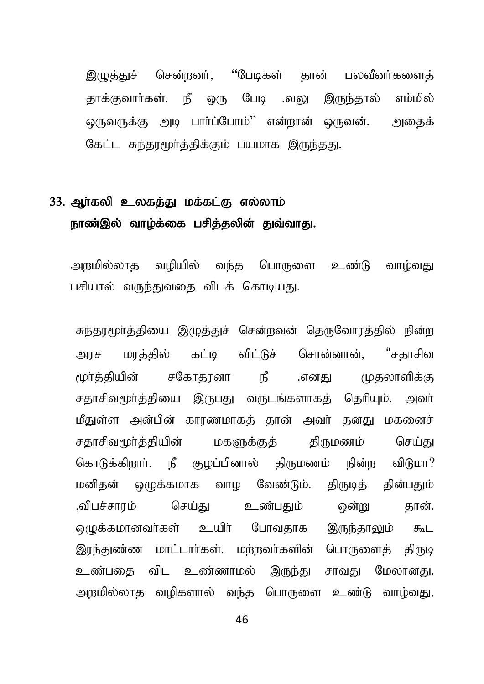இழுத்துச் சென்றனர், ''பேடிகள் தான் பலவீனர்களைத் தாக்குவார்கள். நீ ஒரு பேடி .வலு இருந்தால் எம்மில் ஒருவருக்கு அடி பார்ப்போம்'' என்றான் ஒருவன். அதைக் கேட்ட சுந்தரமூர்த்திக்கும் பயமாக இருந்தது.

### 33. ஆர்கலி உலகத்து மக்கட்கு எல்லாம் நாண்இல் வாழ்க்கை பசித்தலின் துவ்வாது.

அறுமில்லாத வழியில் வந்த பொருளை உண்டு வாழ்வது பசியால் வருந்துவதை விடக் கொடியது.

சுந்தரமூர்த்தியை இழுத்துச் சென்றவன் தெருவோரத்தில் நின்ற அரச மரத்தில் கட்டி விட்டுச் சொன்னான், "சகாசிவ மர்க்கியின் சகோகானா நீ .எனகு முகலாளிக்கு சகாசிவமூர்க்கியை இருபகுட வருடங்களாகக் கெரியம். அவர் மீதுள்ள அன்பின் காரணமாகத் தான் அவர் தனது மகனைச் சதாசிவமூர்த்தியின் மகளுக்குத் திருமணம் செய்து கொடுக்கிறார். நீ குமப்பினால் கிருமணம் நின்ற விடுமா? மனிகன் ஒமுக்கமாக வாம வேண்டும். கிருடிக் கின்பகும் ,விபச்சாரம் செய்து உண்பதும் ஒன்று தான். லுமக்கமானவர்கள் உயிர் போவதாக இருந்தாலும் கூட இாந்துண்ண மாட்டார்கள். மற்றவர்களின் பொருளைத் திருடி உண்பகை விட உண்ணாமல் இருந்து சாவது மேலானது. அறுமில்லாத வழிகளால் வந்த பொருளை உண்டு வாழ்வது,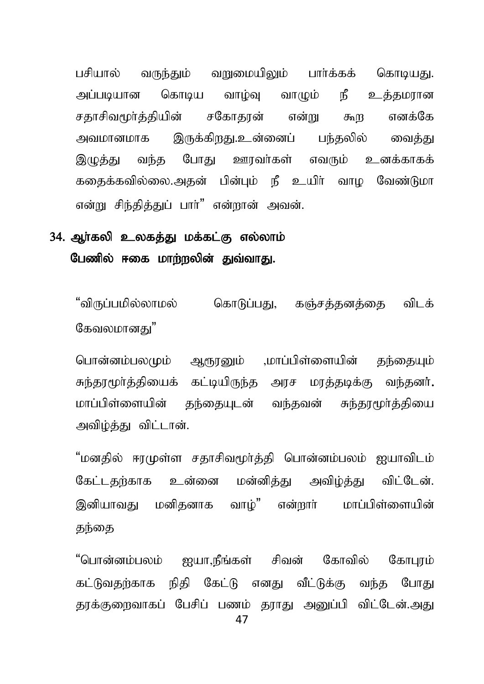பசியால் வருந்தும் வறுமையிலும் பார்க்கக் கொடியது. அப்படியான கொடிய வாழ்வு வாமும் நீ உத்தமரான சதாசிவமூர்த்தியின் சகோதரன் என்று கூற எனக்கே அவமானமாக இருக்கிறது.உன்னைப் பந்தலில் வைத்து இமுத்து வந்த போது ஊரவர்கள் எவரும் உனக்காகக் கதைக்கவில்லை.அதன் பின்பும் நீ உயிர் வாழ வேண்டுமா என்று சிந்தித்துப் பார்" என்றான் அவன்.

### 34. ஆர்கலி உலகத்து மக்கட்கு எல்லாம் பேணில் ஈகை மாற்றலின் துவ்வாது.

"விருப்பமில்லாமல் கொடுப்பது, கஞ்சத்தனத்தை விடக் கேவலமானகு"

பொன்னம்பலமும் ஆரூரனும் ,மாப்பிள்ளையின் தந்தையும் சுந்தரமூர்த்தியைக் கட்டியிருந்த அரச மரத்தடிக்கு வந்தனர். மாப்பிள்ளையின் தந்தையுடன் வந்தவன் சுந்தரமூர்த்தியை அவிம்க்கட விட்டான்.

"மனதில் ஈரமுள்ள சதாசிவமூர்த்தி பொன்னம்பலம் ஐயாவிடம் கேட்டதற்காக உன்னை மன்னிக்கு அவிம்க்கு விட்டேன். இனியாவது மனிகனாக வாம்" என்றார் மாப்பிள்ளையின் குந்தை

"பொன்னம்பலம் ஐயா,நீங்கள் சிவன் கோவில் கோபூம் கட்டுவதற்காக நிதி கேட்டு எனது வீட்டுக்கு வந்த போது தாக்குளைவாகப் பேசிப் பணம் காாகு அமை்பி விட்டேன்.அது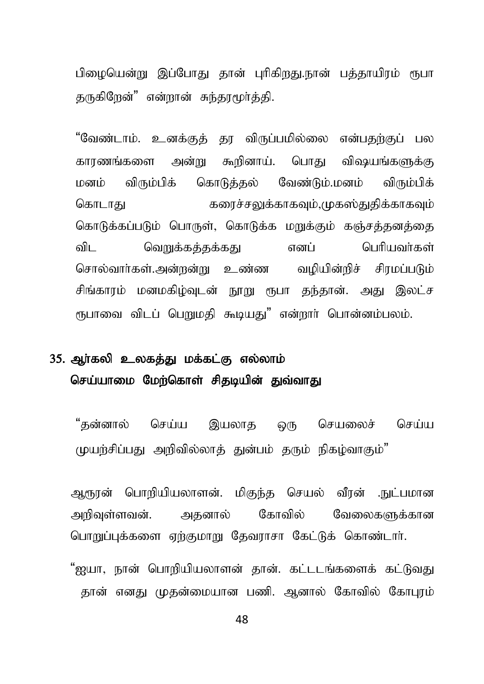பிமையென்று இப்போது தான் புரிகிறது.நான் பத்தாயிரம் ரூபா தருகிறேன்" என்றான் சுந்தாமூர்த்தி.

"வேண்டாம். உனக்குக் தர விருப்பமில்லை என்பதற்குப் பல காரணங்களை அன்று கூறினாய். பொது விஷயங்களுக்கு மனம் விரும்பிக் கொடுத்தல் வேண்டும்.மனம் விரும்பிக் கொடாது கரைச்சலுக்காகவும்,முகஸ்துதிக்காகவும் கொடுக்கப்படும் பொருள், கொடுக்க மறுக்கும் கஞ்சத்தனத்தை விட வெறுக்கத்தக்கது எனப் பெரியவர்கள் சொல்வார்கள்.அன்றன்று உண்ண வழியின்றிச் சிரமப்படும் சிங்காரம் மனமகிழ்வுடன் நூறு ரூபா தந்தான். அது இலட்ச ரூபாவை விடப் பெறுமதி கூடியது" என்றார் பொன்னம்பலம்.

### 35. அர்கலி உலகக்கு மக்கட்கு எல்லாம் செய்யாமை மேற்கொள் சிதடியின் துவ்வாது

"தன்னால் செய்ய இயலாத ஒரு செயலைச் செய்ய முயற்சிப்பது அறிவில்லாக் துன்பம் தரும் நிகழ்வாகும்"

ஆரூரன் பொறியியலாளன். மிகுந்த செயல் வீரன் .நுட்பமான அறிவள்ளவன். அகனால் கோவில் வேலைகளுக்கான பொறுப்புக்களை ஏற்குமாறு தேவராசா கேட்டுக் கொண்டார்.

"ஐயா, நான் பொறியியலாளன் தான். கட்டடங்களைக் கட்டுவது தான் எனது முதன்மையான பணி. ஆனால் கோவில் கோபுரம்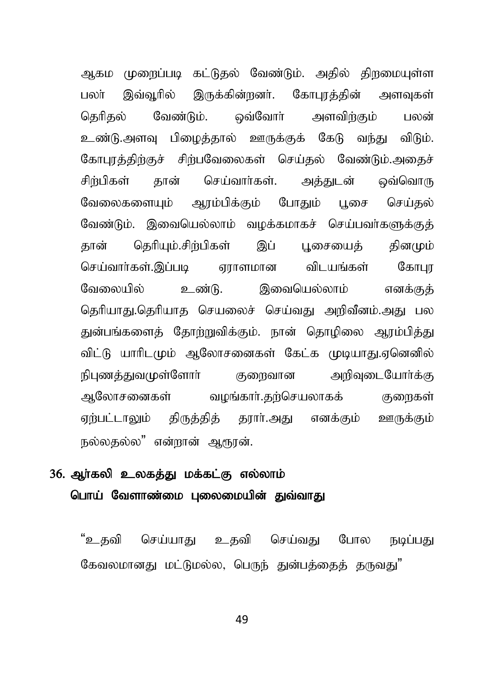அகம முறைப்படி கட்டுதல் வேண்டும். அதில் திறமையுள்ள பலா் இவ்வூரில் இருக்கின்றனா். கோபூரத்தின் அளவுகள் தெரிதல் வேண்டும். ஒவ்வோர் அளவிற்கும் பலன் உண்டு.அளவு பிமைத்தால் ஊருக்குக் கேடு வந்து விடும். கோபூரத்திற்குச் சிற்பவேலைகள் செய்தல் வேண்டும்.அதைச் சிற்பிகள் தான் செய்வார்கள். அக்குடன் ஒவ்வொரு வேலைகளையும் ஆரம்பிக்கும் போதும் பூசை செய்தல் வேண்டும். இவையெல்லாம் வழக்கமாகச் செய்பவர்களுக்குத் தான் தெரியும்.சிற்பிகள் இப் புசையைத் தினமும் nra;thh;fs;.,g;gb Vuhskhd tplaq ;fs; NfhGu வேலையில் உண்டு. இவையெல்லாம் எனக்குக் தெரியாது.தெரியாத செயலைச் செய்வது அறிவீனம்.அது பல துன்பங்களைத் தோற்றுவிக்கும். நான் தொழிலை ஆரம்பித்து விட்டு யாரிடமும் ஆலோசனைகள் கேட்க முடியாது.ஏனெனில் நிபுணத்துவமுள்ளோர் குறைவான அறிவுடையோர்க்கு ஆலோசனைகள் வழங்கார்.தற்செயலாகக் குறைகள் ஏற்பட்டாலும் திருத்தித் தூார்.அது எனக்கும் ஊருக்கும் நல்லதல்ல" என்றான் ஆரூரன்.

### 36. ஆா்கலி உலகத்து மக்கட்கு எல்லாம் பொய் வேளாண்மை புலைமையின் துவ்வாது

"உகவி செய்யாது உகவி செய்வது போல நடிப்பது கேவலமானது மட்டுமல்ல, பெருந் துன்பக்கைக் குருவது"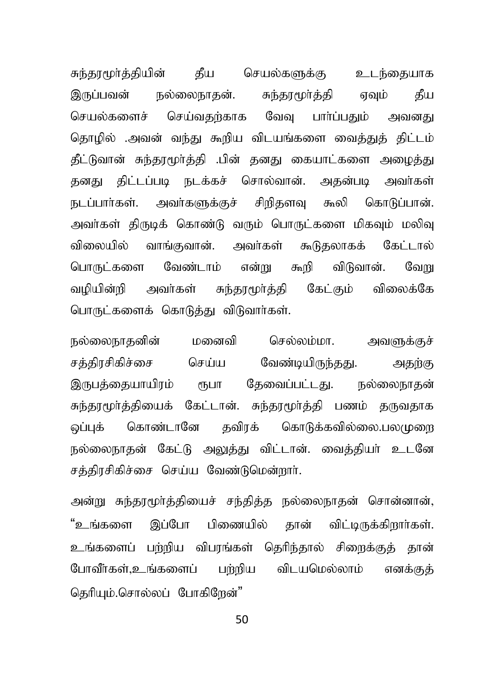சுந்தரமூர்த்தியின் தீய செயல்களுக்கு உடந்தையாக இருப்பவன் நல்லைநாதன். சுந்தரமூர்த்தி ஏவும் தீய செயல்களைச் செய்வதற்காக வேவு பாா்ப்பதும் அவனது தொழில் .அவன் வந்து கூறிய விடயங்களை வைக்குக் கிட்டம் கீட்டுவான் சுந்தூமூர்த்தி .பின் தனது கையாட்களை அமைத்து தனது திட்டப்படி நடக்கச் சொல்வான். அதன்படி அவர்கள் நடப்பார்கள். அவர்களுக்குச் சிறிதளவு கூலி கொடுப்பான். அவர்கள் திருடிக் கொண்டு வரும் பொருட்களை மிகவும் மலிவு விலையில் வாங்குவான். அவர்கள் கூடுதலாகக் கேட்டால் பொருட்களை வேண்டாம் என்று கூறி விடுவான். வேறு வழியின்றி அவர்கள் சுந்தரமூர்த்தி கேட்கும் விலைக்கே பொருட்களைக் கொடுத்து விடுவார்கள்.

நல்லைநாதனின் மனைவி செல்லம்மா. அவளுக்குச் சத்திரசிகிச்சை செய்ய வேண்டியிருந்தது. அதற்கு இருபத்தையாயிரம் ரூபா தேவைப்பட்டது. நல்லைநாதன் சுந்தரமூர்த்தியைக் கேட்டான். சுந்தரமூர்த்தி பணம் தருவதாக ஒப்புக் கொண்டானே தவிரக் கொடுக்கவில்லை.பலமுறை நல்லைநாதன் கேட்டு அலுத்து விட்டான். வைத்தியா் உடனே சத்திரசிகிச்சை செய்ய வேண்டுமென்றார்.

அன்று சுந்தரமூர்த்தியைச் சந்தித்த நல்லைநாதன் சொன்னான், "உங்களை இப்போ பிணையில் கான் விட்டிருக்கிறார்கள். உங்களைப் பர்மிய விபாங்கள் தெரிந்தால் சிறைக்குத் தான் போவீர்கள்,உங்களைப் பற்றிய விடயமெல்லாம் எனக்குத் தெரியும்.சொல்லப் போகிறேன்"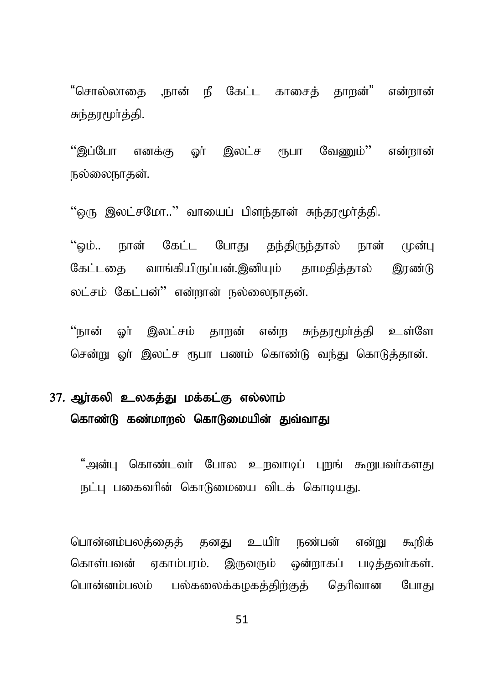"சொல்லாகை நான் நீ கேட்ட காசைக் காறன்" என்றான் சுந்தரமூர்த்தி.

"இப்போ எனக்கு ஓர் இலட்ச ரூபா வேணும்'' என்றான் நல்லைநாகன்.

"ஒரு இலட்சமோ.." வாயைப் பிளந்தான் சுந்தாமூர்த்தி.

"வம்.. நான் கேட்ட போது தந்திருந்தால் நான் முன்பு கேட்டகை வாங்கியிருப்பன்.இனியும் தாமகித்தால் இரண்டு லட்சம் கேட்பன்'' என்றான் நல்லைநாதன்.

"நான் ஓர் இலட்சம் தாறன் என்ற சுந்தரமூர்த்தி உள்ளே சென்று ஓர் இலட்ச ரூபா பணம் கொண்டு வந்து கொடுத்தான்.

# 37. அர்கலி உலகக்கு மக்கட்கு எல்லாம் கொண்டு கண்மாறல் கொடுமையின் துவ்வாது

"அன்பு கொண்டவர் போல உறவாடிப் புறங் கூறுபவர்களது நட்பு பகைவரின் கொடுமையை விடக் கொடியது.

பொன்னம்பலக்கைக் கனகு உயிர் நண்பன் என்று கூறிக் கொள்பவன் ஏகாம்பரம். இருவரும் ஒன்றாகப் படித்தவர்கள். பொன்னம்பலம் பல்கலைக்கமகத்திற்குத் தெரிவான போது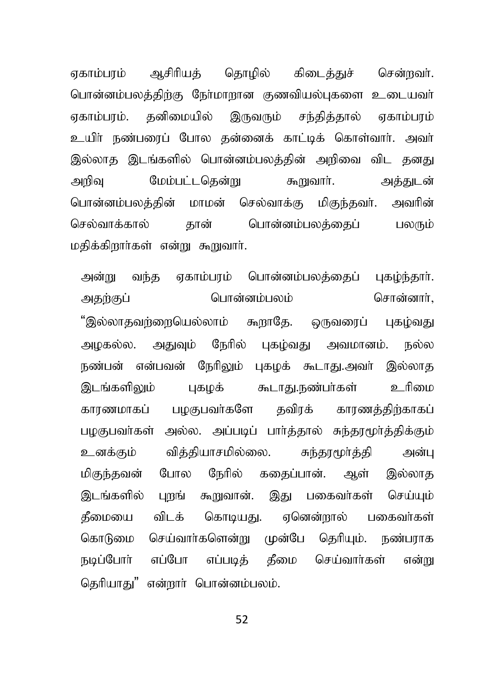ஏகாம்பாம் ஆசிரியத் தொழில் கிடைத்துச் சென்றவர். பொன்னம்பலத்திற்கு நேர்மாறான குணவியல்புகளை உடையவர் ஏகாம்பாம். தனிமையில் இருவரும் சந்தித்தால் ஏகாம்பரம் உயிா் நண்பரைப் போல தன்னைக் காட்டிக் கொள்வாா். அவா் இல்லாத இடங்களில் பொன்னம்பலக்கின் அரிவை விட தனது அறிவு மேம்பட்டதென்று கூறுவார். அத்துடன் பொன்னம்பலத்தின் மாமன் செல்வாக்கு மிகுந்தவர். அவரின் செல்வாக்கால் தான் பொன்னம்பலத்தைப் பலரும் மகிக்கிறார்கள் என்று கூறுவார்.

அன்று வந்த ஏகாம்பரம் பொன்னம்பலத்தைப் புகழ்ந்தாா். அதற்குப் பொன்னம்பலம் சொன்னாா், "இல்லாதவற்றையெல்லாம் கூறாதே. ஒருவரைப் புகம்வது அழகல்ல. அதுவும் நேரில் புகழ்வது அவமானம். நல்ல நண்பன் என்பவன் நேரிலும் புகழக் கூடாது.அவர் இல்லாத இடங்களிலும் புகழக் கூடாது.நண்பா்கள் உரிமை காரணமாகப் பழகுபவா்களே தவிரக் காரணத்திற்காகப் பழகுபவர்கள் அல்ல. அப்படிப் பார்த்தால் சுந்தரமூர்த்திக்கும் உனக்கும் வித்தியாசமில்லை. சுந்தரமூர்த்தி அன்பு மிகுந்தவன் போல நேரில் கதைப்பான். ஆள் இல்லாத இடங்களில் பாங் கூறுவான். இது பகைவர்கள் செய்யம் தீமையை விடக் கொடியது. ஏனென்றால் பகைவர்கள் கொடுமை செய்வார்களென்று முன்பே தெரியும். நண்பராக நடிப்போர் எப்போ எப்படித் தீமை செய்வார்கள் என்று கெரியாகு" என்றார் பொன்னம்பலம்.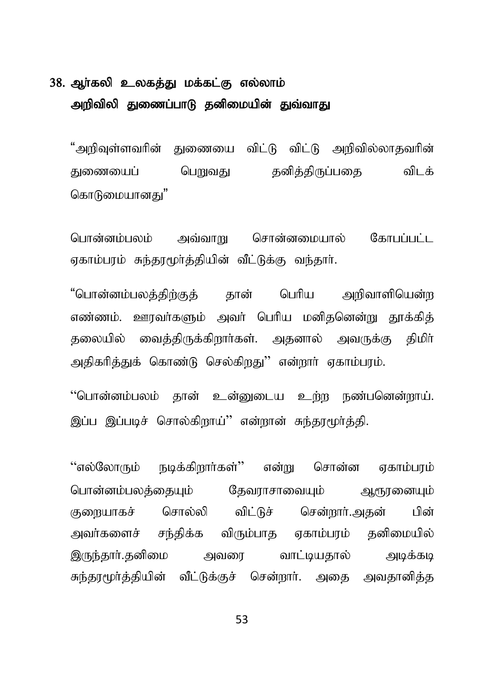### 38. ஆர்கலி உலகத்து மக்கட்கு எல்லாம் அறிவிலி துணைப்பாடு தனிமையின் துவ்வாகு

"அறிவுள்ளவரின் துணையை விட்டு விட்டு அறிவில்லாதவரின் குணையைப் பெறுவது கனிக்கிருப்பகை விடக் கொடுமையானகு"

பொன்னம்பலம் அவ்வாறு சொன்னமையால் கோபப்பட்ட எகாம்பாம் சுந்தாமூர்க்கியின் வீட்டுக்கு வந்தார்.

"பொன்னம்பலக்கிற்குக் கான் பெரிய அறிவாளியென்ற எண்ணம். ஊரவர்களும் அவர் பெரிய மனிதனென்று தூக்கித் தலையில் வைத்திருக்கிறார்கள். அதனால் அவருக்கு திமிர் அதிகரித்துக் கொண்டு செல்கிறது'' என்றார் ஏகாம்பரம்.

"பொன்னம்பலம் தான் உன்னுடைய உற்ற நண்பனென்றாய். இப்பு இப்படிச் சொல்கிறாய்'' என்றான் சுந்தாமூர்த்தி.

"எல்லோரும் நடிக்கிறார்கள்" என்று சொன்ன எகாம்பாம் பொன்னம்பலத்தையும் தேவராசாவையும் ஆரூரனையும் குறையாகச் சொல்லி விட்டுச் சென்றார்.அதன் பின் அவர்களைச் சந்திக்க விரும்பாத ஏகாம்பரம் தனிமையில் இருந்தார்.தனிமை அவரை வாட்டியதால் அடிக்கடி சுந்தரமூர்த்தியின் வீட்டுக்குச் சென்றார். அதை அவதானித்த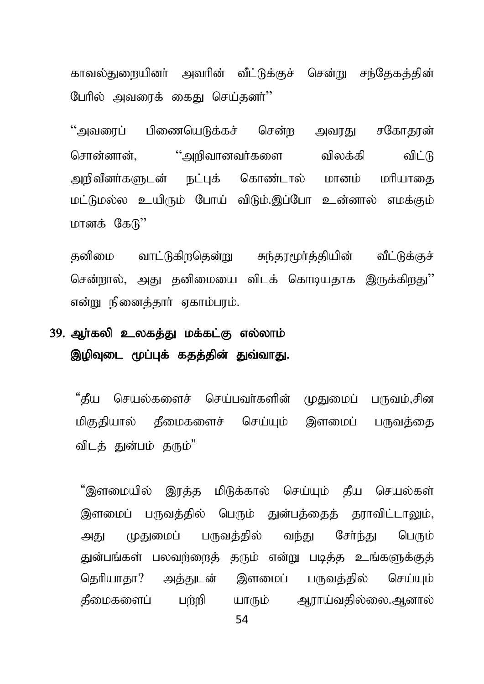காவல்துறையினர் அவரின் வீட்டுக்குச் சென்று சந்தேகத்தின் பேரில் அவரைக் கைது செய்தனர்"

"அவரைப் பிணையெடுக்கச் சென்ற அவரது சகோதரன் சொன்னான், ''அறிவானவர்களை விலக்கி விட்டு அறிவீனர்களுடன் நட்புக் கொண்டால் மானம் மரியாதை மட்டுமல்ல உயிரும் போய் விடும்.இப்போ உன்னால் எமக்கும் மானக் கேடு $"$ 

தனிமை வாட்டுகிறதென்று சுந்தரமூர்த்தியின் வீட்டுக்குச் சென்றால், அது தனிமையை விடக் கொடியதாக இருக்கிறது'' என்று நினைத்தார் ஏகாம்பரம்.

### 39. ஆர்கலி உலகத்து மக்கட்கு எல்லாம் இழிவுடை மூப்புக் கதத்தின் துவ்வாது.

"கீய செயல்களைச் செய்பவர்களின் முதுமைப் பருவம்,சின மிகுகியால் கீமைகளைச் செய்யம் இளமைப் பருவக்கை விடக் குன்பம் கரும்"

"இளமையில் இரக்க மிடுக்கால் செய்யும் கீய செயல்கள் இளமைப் பருவத்தில் பெரும் துன்பத்தைத் தராவிட்டாலும், அது முதுமைப் பருவத்தில் வந்து சேர்ந்து பெரும் துன்பங்கள் பலவற்றைத் தரும் என்று படித்த உங்களுக்குத் தெரியாதா? அத்துடன் இளமைப் பருவத்தில் செய்யும் கீமைகளைப் பற்றி யாரும் ஆராய்வதில்லை.ஆனால்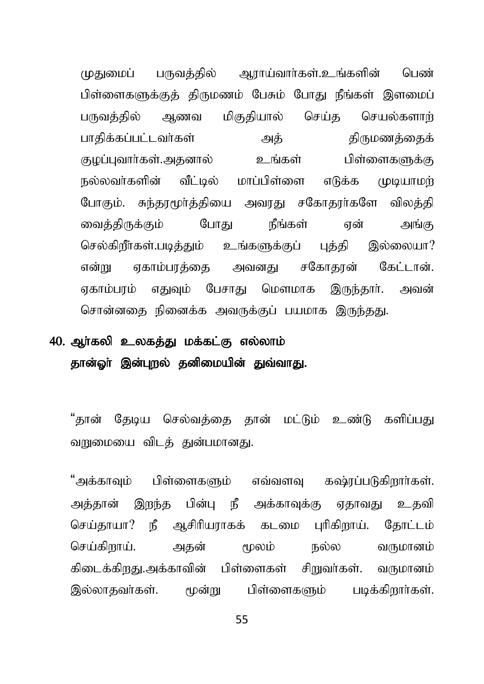முதுமைப் பருவத்தில் ஆராய்வார்கள்.உங்களின் பெண் பிள்ளைகளுக்குத் திருமணம் பேசும் போது நீங்கள் இளமைப் பருவத்தில் ஆணவ மிகுதியால் செய்த செயல்களாற் ghjpf ;fg;gl;lth;fs; mj; jpUkzj;ijf ; குழப்புவார்கள்.அதனால் உங்கள் பிள்ளைகளுக்கு நல்லவர்களின் வீட்டில் மாப்பிள்ளை எடுக்க முடியாமர் போகும். சுந்தரமூர்த்தியை அவரது சகோதரர்களே விலத்தி வைக்கிருக்கும் போகு நீங்கள் என் அங்கு செல்கிறீாகள்.படித்தும் உங்களுக்குப் பக்கி இல்லையா? என்று ஏகாம்பாத்தை அவனது சகோதரன் கேட்டான். எகாம்பாம் எதுவும் பேசாது மௌமாக இருந்தாா். அவன் சொன்னதை நினைக்க அவருக்குப் பயமாக இருந்தது.

## 40. ஆர்கலி உலகத்து மக்கட்கு எல்லாம் தான்ஓர் இன்புறல் தனிமையின் துவ்வாது.

"தான் தேடிய செல்வத்தை தான் மட்டும் உண்டு களிப்பது வறுமையை விடக் குன்பமானது.

"அக்காவும் பிள்ளைகளும் எவ்வளவ கஷ்ரப்படுகிறார்கள். அக்கான் இறந்த பின்ப நீ அக்காவக்கு எகாவகு உகவி செய்தாயா? நீ ஆசிரியராகக் கடமை புரிகிறாய். தோட்டம் செய்கிறாய். அகன் மூலம் நல்ல வருமானம் கிடைக்கிறது.அக்காவின் பிள்ளைகள் சிறுவா்கள். வருமானம் இல்லாதவர்கள். மூன்று பிள்ளைகளும் படிக்கிறார்கள்.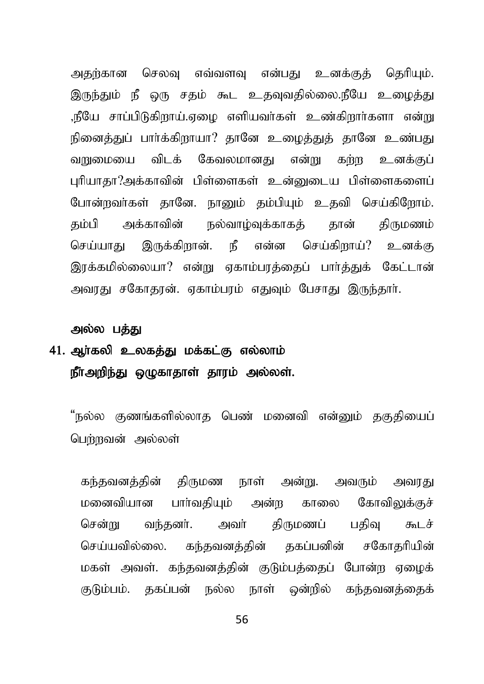அதற்கான செலவு எவ்வளவு என்பது உனக்குத் தெரியும். இருந்தும் நீ ஒரு சதம் கூட உதவுவதில்லை.நீயே உழைத்து .நீயே சாப்பிடுகிறாய்.ஏமை எளியவர்கள் உண்கிறார்களா என்று நினைத்துப் பார்க்கிறாயா? தானே உழைத்துத் தானே உண்பது வறுமையை விடக் கேவலமானது என்று கற்ற உனக்குப் புரியாதா?அக்காவின் பிள்ளைகள் உன்னுடைய பிள்ளைகளைப் போன்றவர்கள் தானே. நானும் தம்பியும் உதவி செய்கிறோம். கம்பி அக்காவின் நல்வாம்வக்காகக் கான் கிருமணம் செய்யாது இருக்கிறான். நீ என்ன செய்கிறாய்? உனக்கு இரக்கமில்லையா? என்று ஏகாம்பரத்தைப் பார்த்துக் கேட்டான் அவரது சகோதரன். ஏகாம்பரம் எதுவும் பேசாது இருந்தார்.

#### அல்ல பக்கு

# $41.$  அர்கலி உலகக்கு மக்கட்கு எல்லாம் நீர்அறிந்து ஒழுகாதாள் தாரம் அல்லள்.

"நல்ல குணங்களில்லாத பெண் மனைவி என்னும் தகுதியைப் பெர்றவன் அல்லள்

கந்தவனக்கின் கிருமண நாள் அன்று. அவரும் அவாகு மனைவியான பார்வதியும் அன்ற காலை கோவிலுக்குச் சென்று வந்தனர். அவர் திருமணப் பகிவ கூடச் செய்யவில்லை. கந்தவனக்கின் ககப்பனின் சகோகரியின் மகள் அவள். கந்தவனத்தின் குடும்பத்தைப் போன்ற ஏழைக் குடும்பம். தகப்பன் நல்ல நாள் ஒன்றில் கந்தவனக்கைக்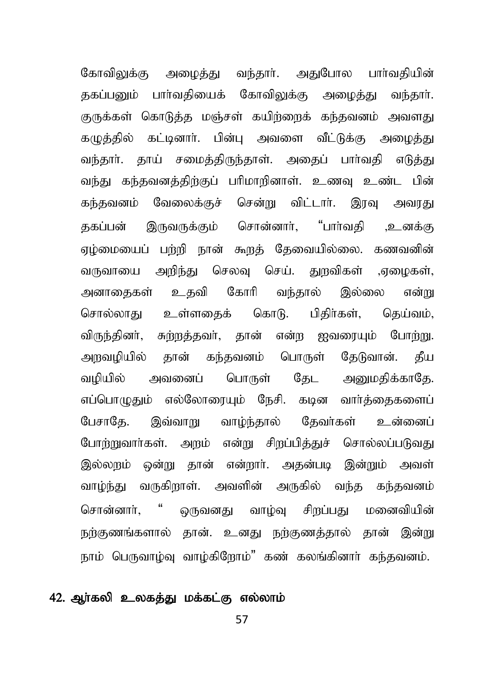கோவிலுக்கு அமைக்கு வந்தார். அதுபோல பார்வதியின் தகப்பனும் பார்வதியைக் கோவிலுக்கு அழைத்து வந்தார். குருக்கள் கொடுத்த மஞ்சள் கயிற்றைக் கந்தவனம் அவளது கமுத்தில் கட்டினார். பின்பு அவளை வீட்டுக்கு அமைத்து வந்தார். தாய் சமைத்திருந்தாள். அதைப் பார்வதி எடுத்து வந்து கந்தவனத்திற்குப் பரிமாறினாள். உணவு உண்ட பின் கந்தவனம் வேலைக்குச் சென்று விட்டார். இரவு அவரது தகப்பன் இருவருக்கும் சொன்னார், "பார்வதி ,உனக்கு ஏழ்மையைப் பற்றி நான் கூறத் தேவையில்லை. கணவனின் வருவாயை அறிந்து செலவு செய். துறவிகள் ,ஏமைகள், அனாதைகள் உதவி கோரி வந்தால் இல்லை என்று சொல்லாது உள்ளதைக் கொடு. பிதிர்கள், தெய்வம், விருந்தினர், சுற்றத்தவர், தான் என்ற ஐவரையும் போற்று. அறவழியில் தான் கந்தவனம் பொருள் தேடுவான். தீய வழியில் அவனைப் பொருள் தேட அறுமதிக்காதே. எப்பொழுதும் எல்லோரையும் நேசி. கடின வார்த்தைகளைப் பேசாகே. இவ்வாறு வாழ்ந்தால் தேவர்கள் உன்னைப் போற்றுவார்கள். அறம் என்று சிறப்பித்துச் சொல்லப்படுவது இல்லறும் ஒன்று தான் என்றார். அதன்படி இன்றும் அவள் வாழ்ந்து வருகிறாள். அவளின் அருகில் வந்த கந்தவனம் சொன்னாா், " ஒருவனது வாழ்வு சிறப்பது மனைவியின் நற்குணங்களால் தான். உனது நற்குணத்தால் தான் இன்று நாம் பெருவாழ்வு வாழ்கிரோம்" கண் கலங்கினாா் கந்தவனம்.

#### 42. ஆர்கலி உலகத்து மக்கட்கு எல்லாம்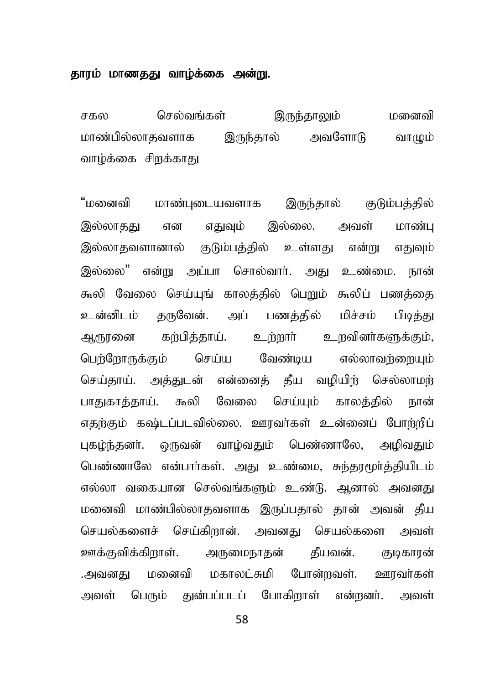#### தாரம் மாணதது வாழ்க்கை அன்று.

சகல செல்வங்கள் இருந்தாலும் மனைவி மாண்பில்லாதவளாக இருந்தால் அவளோடு வாமும் வாழ்க்கை சிறக்காது

"மனைவி மாண்புடையவளாக இருந்தால் குடும்பத்தில் இல்லாதது என எதுவும் இல்லை. அவள் மாண்பு இல்லாதவளானால் குடும்பத்தில் உள்ளது என்று எதுவும் இல்லை" என்று அப்பா சொல்வார். அது உண்மை, நான் கூலி வேலை செய்யுங் காலத்தில் பெறும் கூலிப் பணத்தை உன்னிடம் கருவேன். அப் பணத்தில் மிச்சம் பிடித்து ஆரூரனை கற்பித்தாய். உற்றார் உறவினர்களுக்கும், பெற்றோருக்கும் செய்ய வேண்டிய எல்லாவர்ளையும் செய்தாய். அத்துடன் என்னைத் தீய வழியிற் செல்லாமற் பாதுகாத்தாய். கூலி வேலை செய்யும் காலத்தில் நான் எதற்கும் கஷ்டப்படவில்லை. ஊரவர்கள் உன்னைப் போற்றிப் புகழ்ந்தனர். ஒருவன் வாழ்வதும் பெண்ணாலே, அமிவதும் பெண்ணாலே என்பார்கள். அது உண்மை, சுந்தூமூர்த்தியிடம் எல்லா வகையான செல்வங்களும் உண்டு. ஆனால் அவனது மனைவி மாண்பில்லாதவளாக இருப்பதால் தான் அவன் தீய செயல்களைச் செய்கிறான். அவனது செயல்களை அவள் ஊக்குவிக்கிறாள். அருமைநாதன் தீயவன். குடிகாரன் .அவனது மனைவி மகாலட்சுமி போன்றவள். ஊரவர்கள் அவள் பெரும் துன்பப்படப் போகிறாள் என்றனர். அவள்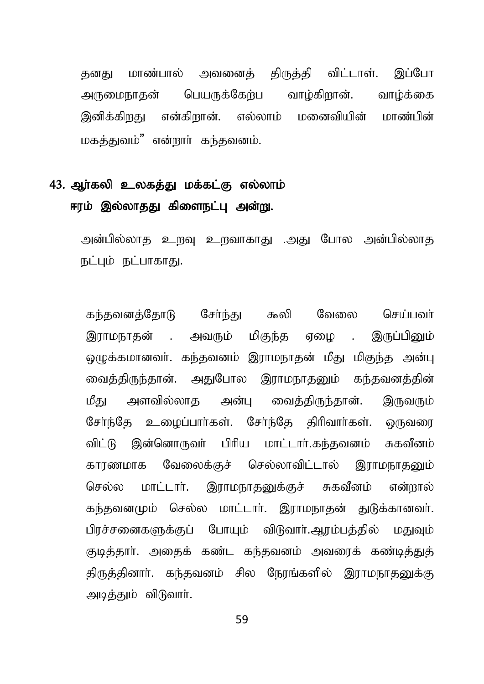தனது மாண்பால் அவனைத் திருத்தி விட்டாள். இப்போ அருமைநாதன் பெயருக்கேற்ப வாழ்கிறான். வாழ்க்கை இனிக்கிறது என்கிறான். எல்லாம் மனைவியின் மாண்பின் மகக்குவம்" என்றார் கந்தவனம்.

## 43. ஆர்கலி உலகத்து மக்கட்கு எல்லாம் ஈரம் இல்லாதது கிளைநட்பு அன்று.

அன்பில்லாத உறவு உறவாகாது .அது போல அன்பில்லாத நட்பும் நட்பாகாகு.

கந்தவனத்தோடு சேர்ந்து கூலி வேலை செய்பவர் இராமநாதன் . அவரும் மிகுந்த ஏழை . இருப்பினும் ஒழுக்கமானவர். கந்தவனம் இராமநாதன் மீது மிகுந்த அன்பு வைத்திருந்தான். அதுபோல இராமநாதனும் கந்தவனத்தின் மீது அளவில்லாத அன்பு வைக்கிருந்தான். இருவரும் சேர்ந்தே உழைப்பார்கள். சேர்ந்தே திரிவார்கள். ஒருவரை விட்டு இன்னொருவா் பிரிய மாட்டாா்.கந்தவனம் சுகவீனம் காரணமாக வேலைக்குச் செல்லாவிட்டால் இராமநாதனும் செல்ல மாட்டார். இராமநாதனுக்குச் சுகவீனம் என்றால் கந்தவனமும் செல்ல மாட்டார். இராமநாதன் துடுக்கானவர். பிரச்சனைகளுக்குப் போயும் விடுவார்.ஆரம்பத்தில் மதுவும் குடித்தார். அதைக் கண்ட கந்தவனம் அவரைக் கண்டித்துத் திருத்தினார். கந்தவனம் சில நேரங்களில் இராமநாதனுக்கு அடித்தும் விடுவாா்.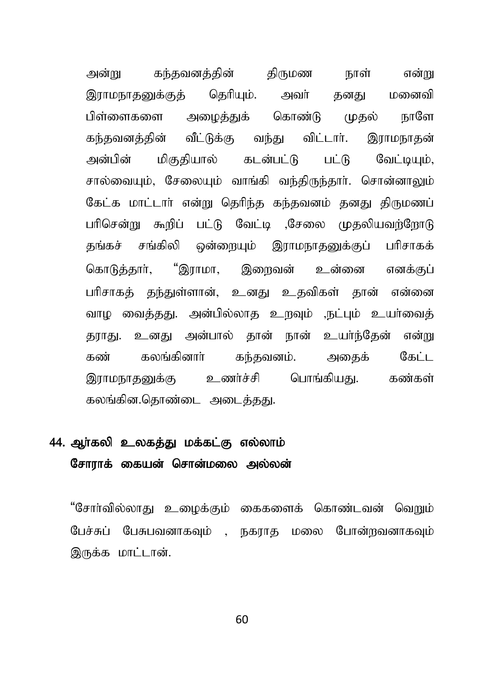அன்று கந்தவனத்தின் திருமண நாள் என்று இராமநாதனுக்குத் தெரியும். அவர் தனது மனைவி பிள்ளைகளை அமைத்துக் கொண்டு முதல் நாளே கந்தவனத்தின் வீட்டுக்கு வந்து விட்டார். இராமநாகன் அன்பின் மிகுதியால் கடன்பட்டு பட்டு வேட்டியும், சால்வையும், சேலையும் வாங்கி வந்திருந்தார். சொன்னாலும் கேட்க மாட்டார் என்று தெரிந்த கந்தவனம் தனது திருமணப் பரிசென்று கூறிப் பட்டு வேட்டி ,சேலை முதலியவற்றோடு தங்கச் சங்கிலி ஒன்றையும் இராமநாதனுக்குப் பரிசாகக் கொடுக்கார், "இராமா, இறைவன் உன்னை எனக்குப் பரிசாகக் தந்துள்ளான், உனது உதவிகள் தான் என்னை வாழ வைத்தது. அன்பில்லாத உருவும் ,நட்பும் உயர்வைத் தூரது. உனது அன்பால் தான் நான் உயர்ந்தேன் என்று கண் கலங்கினார் கந்தவனம். அகைக் கேட்ட இராமநாதனுக்கு உணர்ச்சி பொங்கியது. கண்கள் கலங்கின.தொண்டை அடைத்தது.

### 44. ஆர்கலி உலகத்து மக்கட்கு எல்லாம் சோராக் கையன் சொன்மலை அல்லன்

"சோர்வில்லாது உழைக்கும் கைகளைக் கொண்டவன் வெறும் பேச்சுப் பேசுபவனாகவும் , நகராக மலை போன்றவனாகவும் இருக்க மாட்டான்.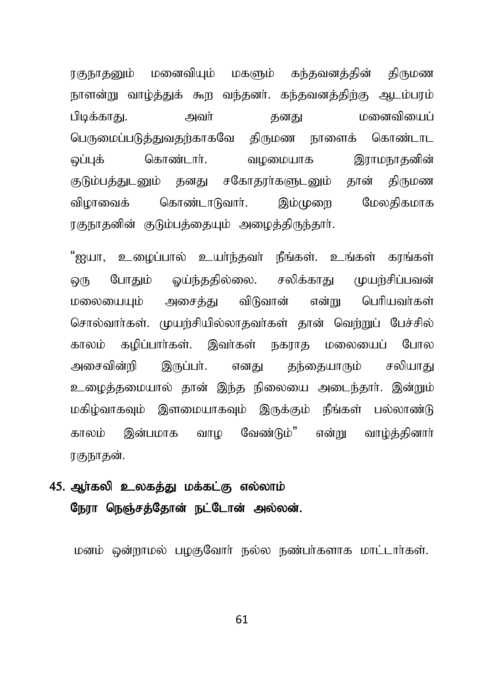ரகுநாதனும் மனைவியும் மகளும் கந்தவனக்கின் கிருமண நாளன்று வாழ்த்துக் கூற வந்தனர். கந்தவனத்திற்கு ஆடம்பரம் மனைவியைப் பிடிக்காகு. அவர் கனகு பெருமைப்படுத்துவதற்காகவே திருமண நாளைக் கொண்டாட கொண்டார். வழமையாக ஒப்புக் இராமநாகனின் குடும்பத்துடனும் தனது சகோதரர்களுடனும் தான் திருமண கொண்டாடுவார். இம்முறை மேலகிகமாக விமாவைக் ரகுநாதனின் குடும்பக்கையும் அமைக்கிருந்தார்.

"ஐயா, உழைப்பால் உயா்ந்தவா் நீங்கள். உங்கள் கரங்கள் போதும் ஒய்ந்ததில்லை. சலிக்காது முயற்சிப்பவன் ஒரு மலையையம் அசைக்கு விடுவான் என்று பெரியவர்கள் சொல்வார்கள். முயற்சியில்லாதவர்கள் தான் வெற்றுப் பேச்சில் காலம் கழிப்பார்கள். இவர்கள் நகராத மலையைப் போல அசைவின்றி இருப்பா். எனகு கந்தையாரும் சலியாகட உழைத்தமையால் தான் இந்த நிலையை அடைந்தார். இன்றும் மகிழ்வாகவும் இளமையாகவும் இருக்கும் நீங்கள் பல்லாண்டு காலம் இன்பமாக வாம வேண்டும்" என்று வாம்த்தினார் ரகுநாகன்.

### 45. ஆர்கலி உலகத்து மக்கட்கு எல்லாம் நேரா நெஞ்சத்தோன் நட்டோன் அல்லன்.

மனம் ஒன்றாமல் பமகுவோர் நல்ல நண்பர்களாக மாட்டார்கள்.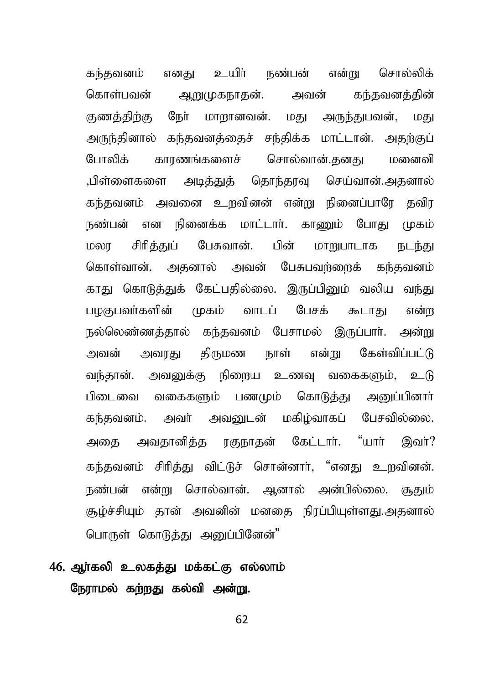கந்தவனம் எனது உயிா் நண்பன் என்று சொல்லிக் கொள்பவன் ஆறுமுகநாகன். அவன் கந்கவனத்தின் குணக்கிற்கு நேர் மாறானவன். மது அருந்துபவன், மது அருந்தினால் கந்தவனத்தைச் சந்திக்க மாட்டான். அதற்குப் போலிக் காரணங்களைச் சொல்வான்.கனகு மனைவி ,பிள்ளைகளை அடித்துத் தொந்தரவு செய்வான்.அதனால் கந்தவனம் அவனை உருவினன் என்று நினைப்பாரே தவிர நண்பன் என நினைக்க மாட்டார். காணும் போகு முகம் மலா சிரித்துப் பேசுவான். பின் மாறுபாடாக நடந்து கொள்வான். அகனால் அவன் பேசுபவற்றைக் கந்தவனம் காது கொடுத்துக் கேட்பதில்லை. இருப்பினும் வலிய வந்து பமகுபவர்களின் முகம் வாடப் பேசக் கூடாகு என்ற நல்லெண்ணத்தால் கந்தவனம் பேசாமல் இருப்பார். அன்று அவன் அவரது திருமண நாள் என்று கேள்விப்பட்டு வந்தான். அவனுக்கு நிறைய உணவு வகைகளும், உடு பிடைவை வகைகளும் பணமும் கொடுத்து அனுப்பினார் கந்தவனம். அவர் அவனுடன் மகிம்வாகப் பேசவில்லை. அதை அவதானித்த ரகுநாதன் கேட்டார். "யார் இவர்? கந்தவனம் சிரித்து விட்டுச் சொன்னார், "எனது உறவினன். நண்பன் என்று சொல்வான். ஆனால் அன்பில்லை. சூதும் குழ்ச்சியும் தான் அவனின் மனதை நிரப்பியுள்ளது.அதனால் பொருள் கொடுத்து அனுப்பினேன்"

### 46. ஆர்கலி உலகத்து மக்கட்கு எல்லாம் நேராமல் கற்றது கல்வி அன்று.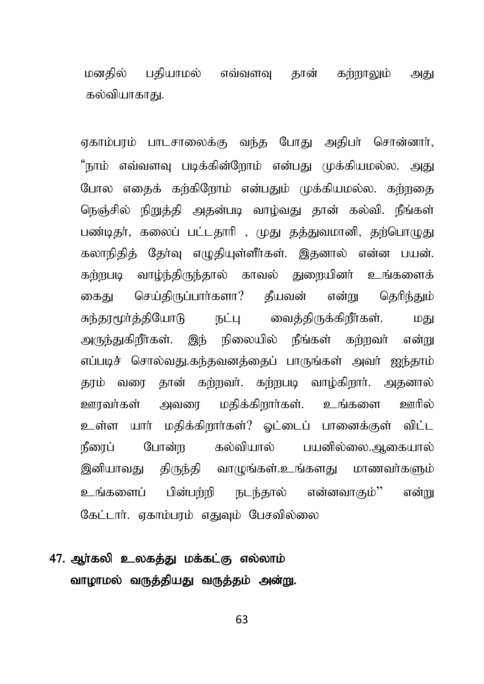மனகில் பகியாமல் எவ்வளவு தான் கற்றாலும் அது கல்வியாகாகு.

ஏகாம்பரம் பாடசாலைக்கு வந்த போது அதிபா் சொன்னாா், "நாம் எவ்வளவு படிக்கின்றோம் என்பது முக்கியமல்ல. அது போல எதைக் கற்கிறோம் என்பதும் முக்கியமல்ல. கற்றதை நெஞ்சில் நிறுத்தி அதன்படி வாழ்வது தான் கல்வி. நீங்கள் பண்டிதர், கலைப் பட்டதாரி , முது தத்துவமானி, தற்பொழுது கலாநிதித் தேர்வு எழுதியுள்ளீர்கள். இதனால் என்ன பயன். கற்றபடி வாழ்ந்திருந்தால் காவல் துறையினர் உங்களைக் கைது செய்திருப்பார்களா? தீயவன் என்று தெரிந்தும் சுந்தரமூர்த்தியோடு நட்பு வைத்திருக்கிறீர்கள். மது அருந்துகிறீர்கள். இந் நிலையில் நீங்கள் கற்றவர் என்று எப்படிச் சொல்வது.கந்தவனத்தைப் பாருங்கள் அவர் ஐந்தாம் தரம் வரை தான் கற்றவர். கற்றபடி வாழ்கிறார். அதனால் ஊரவர்கள் அவரை மதிக்கிறார்கள். உங்களை ஊரில் உள்ள யார் மதிக்கிறார்கள்? ஒட்டைப் பானைக்குள் விட்ட நீரைப் போன்ற கல்வியால் பயனில்லை.ஆகையால் இனியாவது திருந்தி வாழுங்கள்.உங்களது மாணவா்களும் உங்களைப் பின்பற்றி நடந்தால் என்னவாகும்'' என்று கேட்டார். ஏகாம்பரம் எதுவும் பேசவில்லை

## 47. ஆர்கலி உலகத்து மக்கட்கு எல்லாம் வாழாமல் வருத்தியது வருத்தம் அன்று.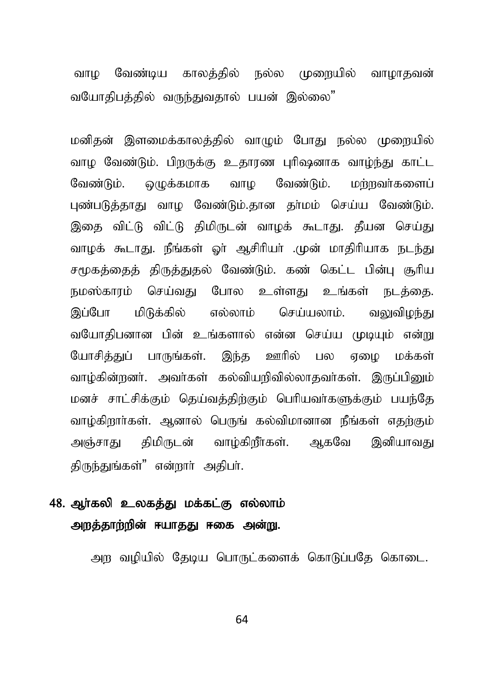வாம வேண்டிய காலத்தில் நல்ல முறையில் வாமாதவன் வயோதிபத்தில் வருந்துவதால் பயன் இல்லை"

மனிதன் இளமைக்காலத்தில் வாமும் போது நல்ல முறையில் வாழ வேண்டும். பிறருக்கு உதாரண புரிஷனாக வாழ்ந்து காட்ட லுக்கமாக வாம வேண்டும். மர்றவர்களைப் வேண்டும். புண்படுத்தாது வாழ வேண்டும்.தான தா்மம் செய்ய வேண்டும். இதை விட்டு விட்டு திமிருடன் வாழக் கூடாது. தீயன செய்து வாழக் கூடாது. நீங்கள் ஓர் ஆசிரியர் .முன் மாதிரியாக நடந்து சமூகத்தைத் திருத்துதல் வேண்டும். கண் கெட்ட பின்பு சூரிய நமஸ்காரம் செய்வது போல உள்ளது உங்கள் நடத்தை. இப்போ மிடுக்கில் எல்லாம் செய்யலாம். வலுவிமந்கட வயோதிபனான பின் உங்களால் என்ன செய்ய முடியும் என்று யோசித்துப் பாருங்கள். இந்த ஊரில் பல ஏமை மக்கள் வாழ்கின்றனர். அவர்கள் கல்வியறிவில்லாகவர்கள். இருப்பினும் மனச் சாட்சிக்கும் தெய்வத்திற்கும் பெரியவர்களுக்கும் பயந்தே வாழ்கிறார்கள். ஆனால் பெருங் கல்விமானான நீங்கள் எதற்கும் அஞ்சாது திமிருடன் வாழ்கிறீர்கள். ஆகவே இனியாவது திருந்துங்கள்" என்றார் அதிபர்.

## 48. ஆர்கலி உலகத்து மக்கட்கு எல்லாம் அறத்தாற்றின் ஈயாதது ஈகை அன்று.

அர வமியில் கேடிய பொருட்களைக் கொடுப்பதே கொடை.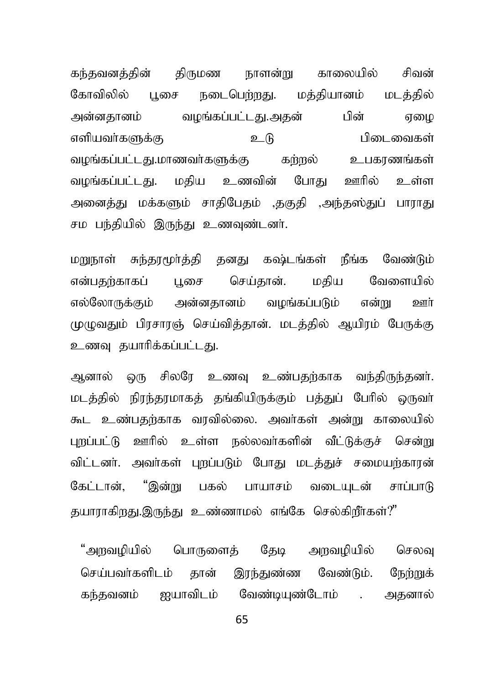கந்தவனத்தின் திருமண நாளன்று காலையில் சிவன் கோவிலில் புசை நடைபெற்றது. மத்தியானம் மடத்தில் அன்னதானம் வழங்கப்பட்டது.அதன் பின் ஏமை vspath;fSf;F cL gpilitfs; வழங்கப்பட்டது.மாணவர்களுக்கு கற்றல் உபகரணங்கள் வழங்கப்பட்டது. மதிய உணவின் போது ஊரில் உள்ள அனைத்து மக்களும் சாதிபேதம் ,தகுதி ,அந்தஸ்துப் பாராது சம பந்தியில் இருந்து உணவுண்டனர்.

மறுநாள் சுந்தூமூர்த்தி தனது கஷ்டங்கள் நீங்க வேண்டும் என்பதற்காகப் பூசை செய்தான். மதிய வேளையில் எல்லோருக்கும் அன்னதானம் வழங்கப்படும் என்று ஊர் முழுவதும் பிரசாரஞ் செய்வித்தான். மடத்தில் ஆயிரம் பேருக்கு உணவு தயாரிக்கப்பட்டது.

ஆனால் ஒரு சிலரே உணவு உண்பதற்காக வந்திருந்தனர். மடத்தில் நிரந்தரமாகத் தங்கியிருக்கும் பத்துப் பேரில் ஒருவர் கூட உண்பதற்காக வரவில்லை. அவர்கள் அன்று காலையில் புறப்பட்டு ஊரில் உள்ள நல்லவர்களின் வீட்டுக்குச் சென்று விட்டனர். அவர்கள் புறப்படும் போது மடத்துச் சமையற்காரன் கேட்டான், "இன்று பகல் பாயாசம் வடையுடன் சாப்பாடு தயாராகிறது.இருந்து உண்ணாமல் எங்கே செல்கிறீர்கள்?"

"அறவழியில் பொருளைத் தேடி அறவழியில் செலவு செய்பவர்களிடம் தான் இரந்துண்ண வேண்டும். நேற்றுக் கந்தவனம் ஐயாவிடம் வேண்டியுண்டோம் . அதனால்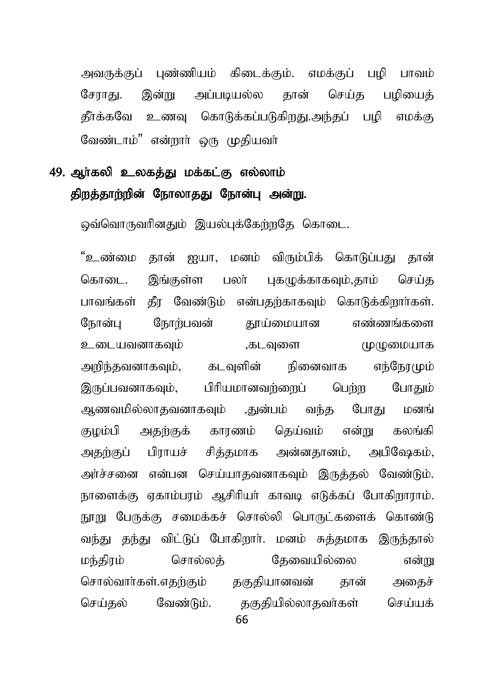அவருக்குப் புண்ணியம் கிடைக்கும். எமக்குப் பமி பாவம் அப்படியல்ல செய்த சோாகு. இன்று கான் பமியைக் தீர்க்கவே உணவு கொடுக்கப்படுகிறது.அந்தப் பழி எமக்கு வேண்டாம்" என்றார் ஒரு முகியவர்

# 49. அர்கலி உலகக்து மக்கட்கு எல்லாம் திறத்தாற்றின் நோலாதது நோன்பு அன்று.

ஒவ்வொருவரினதும் இயல்புக்கேற்றதே கொடை.

"உண்மை தான் ஐயா, மனம் விரும்பிக் கொடுப்பது தான் கொடை. இங்குள்ள பலர் புகமுக்காகவும்,தாம் செய்க பாவங்கள் தீர வேண்டும் என்பதற்காகவும் கொடுக்கிறார்கள். நோன்பு நோற்பவன் தூய்மையான எண்ணங்களை உடையவனாகவும் .கடவுளை முமுமையாக அறிந்தவனாகவும், கடவுளின் நினைவாக எந்நேரமும் பிரியமானவர்ளைப் இருப்பவனாகவும், பெர்ற போகாம் ஆணவமில்லாதவனாகவும் .துன்பம் வந்த போகட மனங் குழம்பி அதற்குக் காரணம் தெய்வம் என்று கலங்கி பிராயச் சித்தமாக அன்னதானம், அபிஷேகம், அகற்குப் அர்ச்சனை என்பன செய்யாகவனாகவும் இருக்கல் வேண்டும். நாளைக்கு ஏகாம்பரம் ஆசிரியர் காவடி எடுக்கப் போகிறாராம். நூறு பேருக்கு சமைக்கச் சொல்லி பொருட்களைக் கொண்டு வந்து தந்து விட்டுப் போகிறார். மனம் சுத்தமாக இருந்தால் சொல்லக் கேவையில்லை மந்திரம் என்று சொல்வார்கள்.எகற்கும் ககுகியானவன் கான் அகைச் செய்கல் வேண்டும். தகுதியில்லாதவா்கள் செய்யக்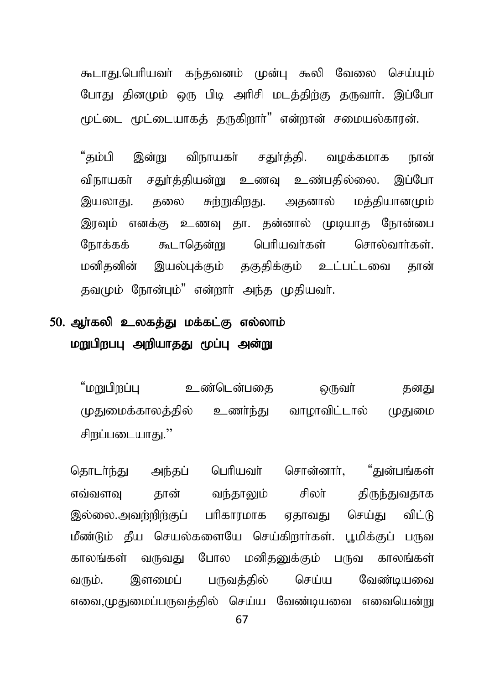கூடாது.பெரியவர் கந்தவனம் முன்பு கூலி வேலை செய்யும் போது தினமும் ஒரு பிடி அரிசி மடத்திற்கு தருவார். இப்போ ருட்டை மூட்டையாகக் கருகிறார்<sup>"</sup> என்றான் சமையல்காரன்.

"கம்பி இன்று விநாயகர் சகர்க்கி. வமக்கமாக நான் விநாயகா் சதுா்த்தியன்று உணவு உண்பதில்லை. இப்போ இயலாது. தலை சுற்றுகிறது. அதனால் மத்தியானமும் இரவும் எனக்கு உணவு தா. தன்னால் முடியாத நோன்பை நோக்கக் கூடாதென்று பெரியவர்கள் சொல்வார்கள். மனிதனின் இயல்புக்கும் தகுதிக்கும் உட்பட்டவை தான் கவமும் நோன்பம்" என்றார் அந்த முகியவர்.

### 50. ஆா்கலி உலகத்து மக்கட்கு எல்லாம் மறுபிறப்பு அறியாதது மூப்பு அன்று

"மறுபிறப்பு உண்டென்பதை ஒருவர் கனது முதுமைக்காலத்தில் உணர்ந்து வாழாவிட்டால் முதுமை சிறப்படையாது."

தொடா்ந்து அந்தப் பெரியவா் சொன்னாா், "துன்பங்கள் எவ்வளவு தான் வந்தாலும் சிலா் திருந்துவதாக இல்லை.அவற்றிற்குப் பரிகாரமாக ஏதாவது செய்து விட்டு மீண்டும் தீய செயல்களையே செய்கிறார்கள். பூமிக்குப் பருவ காலங்கள் வருவது போல மனிதனுக்கும் பருவ காலங்கள் வரும். இளமைப் பருவத்தில் செய்ய வேண்டியவை எவை,முதுமைப்பருவத்தில் செய்ய வேண்டியவை எவையென்று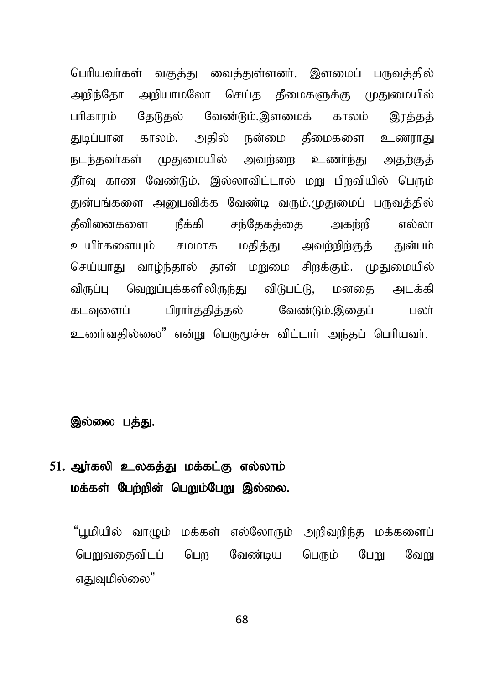பெரியவர்கள் வகுத்து வைத்துள்ளனர். இளமைப் பருவத்தில் அறிந்தோ அறியாமலோ செய்த தீமைகளுக்கு முதுமையில் பரிகாரம் தேடுதல் வேண்டும்.இளமைக் காலம் இரக்கத் துடிப்பான காலம். அதில் நன்மை தீமைகளை உணராது நடந்தவர்கள் முதுமையில் அவற்றை உணர்ந்து அதற்குத் தீர்வு காண வேண்டும். இல்லாவிட்டால் மறு பிறவியில் பெரும் துன்பங்களை அனுபவிக்க வேண்டி வரும்.முதுமைப் பருவத்தில் தீவினைகளை நீக்கி சந்தேகக்கை அகற்றி எல்லா உயிர்களையும் சமமாக மதித்து அவற்றிற்குத் துன்பம் செய்யாது வாம்ந்தால் தான் மறுமை சிறக்கும். முதுமையில் விருப்பு வெறுப்புக்களிலிருந்து விடுபட்டு, மனகை அடக்கி கடவுளைப் பிரார்த்தித்தல் வேண்டும்.இதைப் பலர் உணர்வதில்லை" என்று பெருமூச்சு விட்டார் அந்தப் பெரியவர்.

#### இல்லை பத்து.

## 51. அர்கலி உலகத்து மக்கட்கு எல்லாம் மக்கள் பேற்றின் பெறும்பேறு இல்லை.

"புமியில் வாமும் மக்கள் எல்லோரும் அறிவறிந்த மக்களைப் பொலுகைவிடப் பொ வேண்டிய பெரும் போட வோட எகுவமில்லை"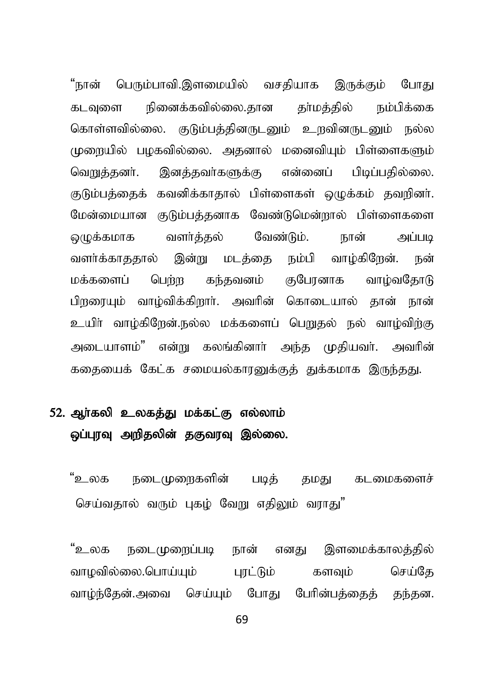பெரும்பாவி.இளமையில் வசதியாக இருக்கும் "நான் போகட நினைக்கவில்லை.தான கா்மக்கில் நம்பிக்கை கடவளை கொள்ளவில்லை. குடும்பக்கினருடனும் உறவினருடனும் நல்ல முளையில் பமகவில்லை. அகனால் மனைவியம் பிள்ளைகளும் வெறுத்தனர். இனத்தவர்களுக்கு என்னைப் பிடிப்பதில்லை. குடும்பத்தைக் கவனிக்காதால் பிள்ளைகள் ஒழுக்கம் தவறினர். மேன்மையான குடும்பத்தனாக வேண்டுமென்றால் பிள்ளைகளை ஒழுக்கமாக வளர்த்தல் வேண்டும். நான் அப்படி வளர்க்காககால் இன்று மடக்கை நம்பி வாழ்கிறேன். நன் கந்தவனம் குபேரனாக மக்களைப் பெற்ற வாம்வகோடு பிறரையம் வாம்விக்கிறார். அவரின் கொடையால் கான் நான் உயிர் வாழ்கிறேன்.நல்ல மக்களைப் பெறுதல் நல் வாழ்விற்கு அடையாளம்" என்று கலங்கினாா் அந்த முதியவா். அவரின் கதையைக் கேட்க சமையல்காரனுக்குக் துக்கமாக இருந்தது.

# 52. ஆர்கலி உலகத்து மக்கட்கு எல்லாம் ஒப்பூரவு அறிதலின் தகுவரவு இல்லை.

"உலக நடைமுறைகளின் கடமைகளைச் படிக் தமது செய்வதால் வரும் புகழ் வேறு எகிலும் வாாகு"

"உலக நடைமுறைப்படி எனது இளமைக்காலத்தில் நான் வாமவில்லை.பொய்யம் பாட்டும் செய்கே களவம் வாம்ந்கேன்.அவை செய்யம் போகு பேரின்பக்கைக் கந்கன.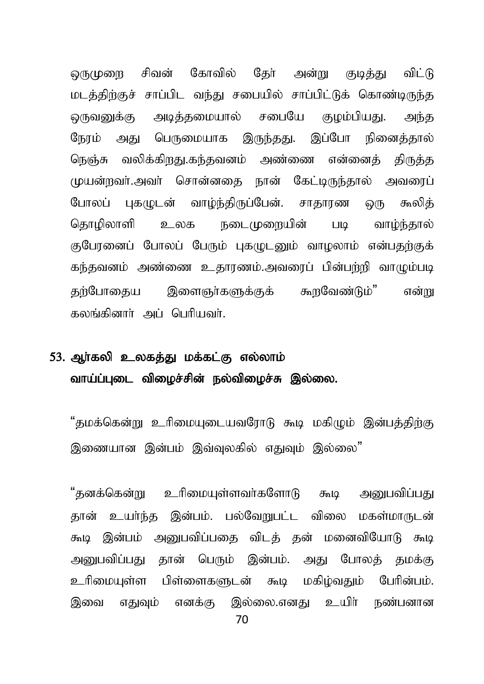லருமுறை சிவன் கோவில் தேர் அன்று குடித்து விட்டு மடத்திற்குச் சாப்பிட வந்து சபையில் சாப்பிட்டுக் கொண்டிருந்த ஒருவனுக்கு அடித்தமையால் சபையே குழம்பியது. அந்த நேரம் அது பெருமையாக இருந்தது. இப்போ நினைத்தால் நெஞ்சு வலிக்கிறது.கந்தவனம் அண்ணை என்னைத் திருத்த முயன்றவர்.அவர் சொன்னதை நான் கேட்டிருந்தால் அவரைப் போலப் புகமுடன் வாழ்ந்திருப்பேன். சாதாரண ஒரு கூலித் தொழிலாளி உலக நடைமுறையின் படி வாழ்ந்தால் குபோனைப் போலப் பேரும் புகமுடனும் வாழலாம் என்பதற்குக் கந்தவனம் அண்ணை உதாரணம்.அவரைப் பின்பற்றி வாமும்படி தற்போதைய இளைஞர்களுக்குக் கூறவேண்டும்" என்<u>று</u> கலங்கினார் அப் பெரியவர்.

# 53. அர்கலி உலகக்கு மக்கட்கு எல்லாம் வாய்ப்புடை விழைச்சின் நல்விழைச்சு இல்லை.

"கமக்கென்று உரிமையடையவரோடு கூடி மகிமும் இன்பக்கிற்கு இணையான இன்பம் இவ்வுலகில் எதுவும் இல்லை"

"தனக்கென்று உரிமையுள்ளவர்களோடு கூடி அறுபவிப்பது கான் உயர்ந்த இன்பம். பல்வேறுபட்ட விலை மகள்மாருடன் கூடி இன்பம் அறையவிப்பதை விடக் கன் மனைவியோடு கூடி அனுபவிப்பது தான் பெரும் இன்பம். அது போலத் தமக்கு உரிமையுள்ள பிள்ளைகளுடன் கூடி மகிழ்வதும் பேரின்பம். இவை எதுவும் எனக்கு இல்லை.எனது உயிர் நண்பனான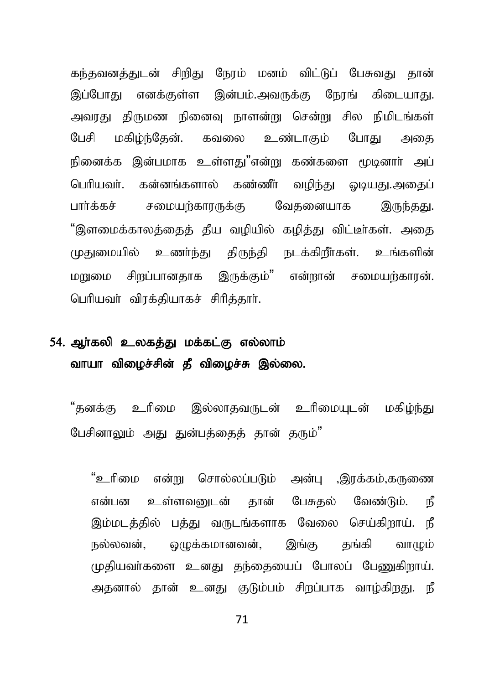கந்தவனத்துடன் சிறிது நேரம் மனம் விட்டுப் பேசுவது தான் இப்போது எனக்குள்ள இன்பம்.அவருக்கு நேரங் கிடையாது. அவரது திருமண நினைவு நாளன்று சென்று சில நிமிடங்கள் பேசி மகிம்ந்தேன். கவலை உண்டாகும் போது அகை நினைக்க இன்பமாக உள்ளது"என்று கண்களை மூடினாா் அப் ொரியவர். கன்னங்களால் கண்ணீர் வழிந்து ஒடியது.அதைப் பார்க்கச் சமையற்காரருக்கு வேதனையாக இருந்தது. "இளமைக்காலக்கைக் கீய வழியில் கழித்து விட்டீர்கள். அதை முதுமையில் உணர்ந்து திருந்தி நடக்கிறீர்கள். உங்களின் .<br>மறுமை சிறப்பானகாக இருக்கும்" என்றான் சமையற்காரன். பெரியவர் விரக்தியாகச் சிரித்தார்.

# 54. ஆர்கலி உலகத்து மக்கட்கு எல்லாம் வாயா விமைச்சின் தீ விமைச்சு இல்லை.

"கனக்கு உரிமை இல்லாகவருடன் உரிமையடன் மகிம்ந்து பேசினாலும் அகு குன்பக்கைக் கான் கரும்"

"உரிமை என்று சொல்லப்படும் அன்பு ,இரக்கம்,கருணை என்பன உள்ளவனுடன் கான் பேசுகல் வேண்டும். நீ இம்மடத்தில் பத்து வருடங்களாக வேலை செய்கிறாய். நீ நல்லவன், ஒழுக்கமானவன், இங்கு தங்கி வாழும் முதியவர்களை உனது தந்தையைப் போலப் பேணுகிறாய். அதனால் தான் உனது குடும்பம் சிறப்பாக வாழ்கிறது. நீ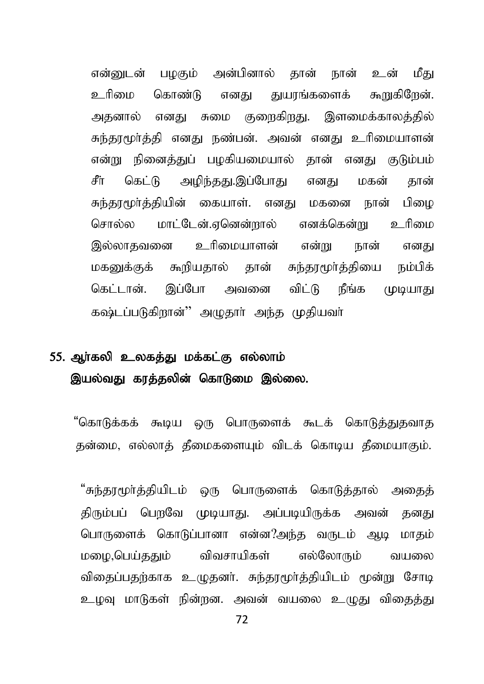என்னுடன் பமகும் அன்பினால் தான் நான் உன் மீது உரிமை கொண்டு எனது துயரங்களைக் கூறுகிறேன். அதனால் எனது சுமை குறைகிறது. இளமைக்காலத்தில் சுந்தூமூர்த்தி எனது நண்பன். அவன் எனது உரிமையாளன் என்று நினைத்துப் பழகியமையால் தான் எனது குடும்பம் சீர் கெட்டு அமிந்தது.இப்போது எனது மகன் தான் சுந்தரமூர்த்தியின் கையாள். எனது மகனை நான் பிழை சொல்ல மாட்டேன்.எனென்றால் எனக்கென்று உரிமை இல்லாதவனை உரிமையாளன் என்று நான் எனது மகனுக்குக் கூறியதால் தான் சுந்தரமூர்த்தியை நம்பிக் கெட்டான். இப்போ அவனை விட்டு நீங்க முடியாது கஷ்டப்படுகிறான்'' அமுதார் அந்த முதியவர்

# 55. ஆர்கலி உலகத்து மக்கட்கு எல்லாம் இயல்வது காத்தலின் கொடுமை இல்லை.

"கொடுக்கக் கூடிய ஒரு பொருளைக் கூடக் கொடுத்துதவாத தன்மை, எல்லாத் தீமைகளையும் விடக் கொடிய தீமையாகும்.

"சுந்தாமூர்த்தியிடம் ஒரு பொருளைக் கொடுத்தால் அகைத் திரும்பப் பெறவே முடியாது. அப்படியிருக்க அவன் தனது பொருளைக் கொடுப்பானா என்ன?அந்த வருடம் ஆடி மாதம் மழை,பெய்ததும் விவசாயிகள் எல்லோரும் வயலை விதைப்பதற்காக உமுதனர். சுந்தரமூர்த்தியிடம் மூன்று சோடி உழவு மாடுகள் நின்றன. அவன் வயலை உழுது விதைத்து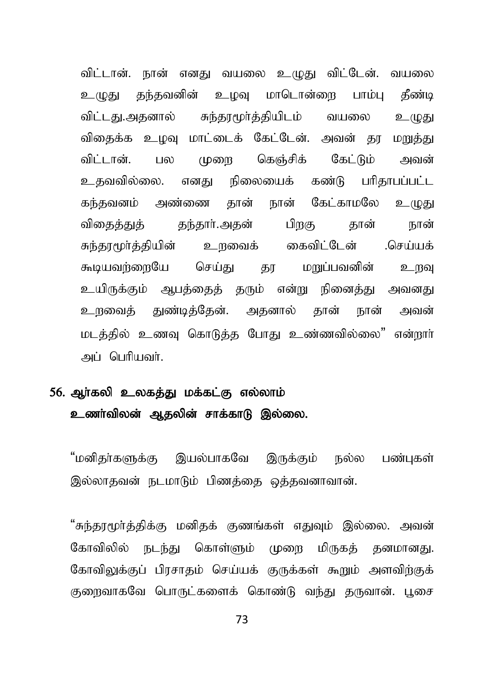விட்டான். நான் எனது வயலை உமுது விட்டேன். வயலை உமுது தந்தவனின் உழவு மாடொன்ளை பாம்பு தீண்டி விட்டது.அதனால் சுந்தரமூர்த்தியிடம் வயலை உழுது விகைக்க உழவு மாட்டைக் கேட்டேன். அவன் தூ மறுத்து விட்டான். பல முறை கெஞ்சிக் கேட்டும் அவன் உதவவில்லை. எனது நிலையைக் கண்டு பரிதாபப்பட்ட கந்தவனம் அண்ணை தான் நான் கேட்காமலே உழுது விகைக்குக் கந்கார்.அகன் பிறகு கான் நான் சுந்தூமூர்த்தியின் உறவைக் கைவிட்டேன் .செய்யக் கூடியவற்றையே செய்து கா மறுப்பவனின் உறவு உயிருக்கும் ஆபத்தைத் தரும் என்று நினைத்து அவனது உருவைத் துண்டித்தேன். அதனால் தான் நான் அவன் மடத்தில் உணவு கொடுத்த போது உண்ணவில்லை" என்றார் அப் பெரியவர்.

# 56. அர்கலி உலகக்து மக்கட்கு எல்லாம் உணர்விலன் ஆதலின் சாக்காடு இல்லை.

"மனிதா்களுக்கு இயல்பாகவே இருக்கும் நல்ல பண்புகள் இல்லாதவன் நடமாடும் பிணக்கை ஒக்கவனாவான்.

"சுந்தரமூர்த்திக்கு மனிதக் குணங்கள் எதுவும் இல்லை. அவன் கோவிலில் நடந்து கொள்ளும் முறை மிருகக் தனமானது. கோவிலுக்குப் பிரசாதம் செய்யக் குருக்கள் கூறும் அளவிற்குக் குறைவாகவே பொருட்களைக் கொண்டு வந்து தருவான். பூசை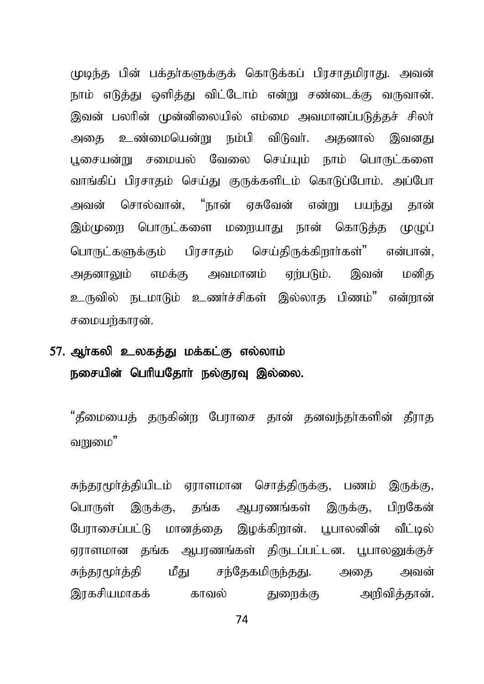முடிந்த பின் பக்தர்களுக்குக் கொடுக்கப் பிரசாதமிராது. அவன் நாம் எடுத்து ஒளித்து விட்டோம் என்று சண்டைக்கு வருவான். இவன் பலரின் முன்னிலையில் எம்மை அவமானப்படுத்தச் சிலா் அதை உண்மையென்று நம்பி விடுவர். அதனால் இவனது பூசையன்று சமையல் வேலை செய்யும் நாம் பொருட்களை வாங்கிப் பிரசாதம் செய்து குருக்களிடம் கொடுப்போம். அப்போ அவன் சொல்வான், "நான் ஏசுவேன் என்று பயந்து தான் இம்முறை பொருட்களை மறையாது நான் கொடுத்த முமுப் பொருட்களுக்கும் பிரசாதம் செய்திருக்கிறார்கள்" என்பான், அதனாலும் எமக்கு அவமானம் ஏற்படும். இவன் மனித உருவில் நடமாடும் உணர்ச்சிகள் இல்லாக பிணம்" என்றான் சமையர்காரன்.

### 57. ஆா்கலி உலகத்து மக்கட்கு எல்லாம் நசையின் பெரியதோர் நல்குரவு இல்லை.

"கீமையைத் தருகின்ற பேராசை தான் தனவந்தர்களின் தீராத வ $m$ "

சுந்தரமூர்த்தியிடம் ஏராளமான சொத்திருக்கு, பணம் இருக்கு, பொருள் இருக்கு, தங்க ஆபரணங்கள் இருக்கு, பிறகேன் போாசைப்பட்டு மானக்கை இமக்கிறான். பபாலனின் வீட்டில் ளாளமான கங்க அபாணங்கள் கிருடப்பட்டன. பபாலனுக்குச் சுந்தாமூர்த்தி மீது சந்தேகமிருந்தது. அதை அவன் இரகசியமாகக் காவல் குறைக்கு அறிவிக்கான்.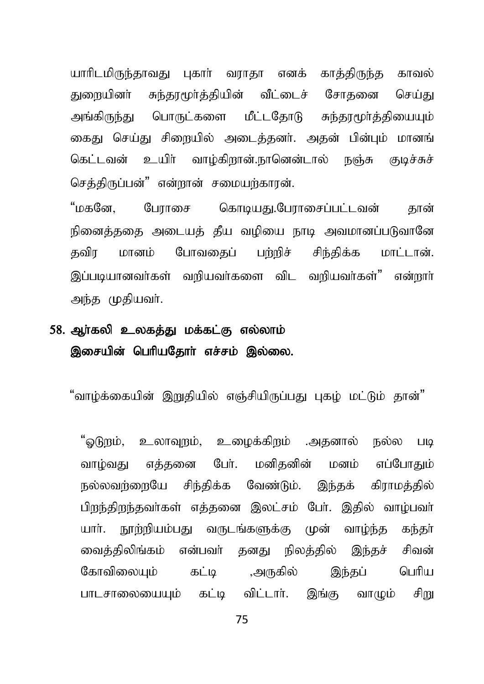யாரிடமிருந்தாவது புகார் வராதா எனக் காத்திருந்த காவல் துறையினர் சுந்தரமூர்த்தியின் வீட்டைச் சோதனை செய்து அங்கிருந்து பொருட்களை மீட்டதோடு சுந்தரமூர்த்தியையும் கைது செய்து சிறையில் அடைத்தனர். அதன் பின்பும் மானங் கெட்டவன் உயிர் வாழ்கிறான்.நானென்டால் நஞ்சு குடிச்சுச் செக்கிருப்பன்" என்றான் சமையற்காரன்.

"மகனே. போாசை கொடியது.போாசைப்பட்டவன் கான் நினைத்ததை அடையத் தீய வழியை நாடி அவமானப்படுவானே தவிர மானம் போவகைப் பற்றிச் சிந்திக்க மாட்டான். இப்படியானவர்கள் வரியவர்களை விட வரியவர்கள்" என்றார் அந்த முதியவர்.

## 58. ஆர்கலி உலகத்து மக்கட்கு எல்லாம் இசையின் பெரியதோர் எச்சம் இல்லை.

"வாழ்க்கையின் இறுதியில் எஞ்சியிருப்பது புகழ் மட்டும் தான்"

"ஒடுறும், உலாவுறும், உழைக்கிறும் .அதனால் நல்ல படி வாழ்வது எத்தனை போ். மனிகனின் மனம் எப்போகாம் நல்லவர்ளையே சிந்திக்க வேண்டும். இந்தக் கிராமத்தில் பிறந்திறந்தவர்கள் எத்தனை இலட்சம் பேர். இதில் வாம்பவர் யார். நாற்றியம்பது வருடங்களுக்கு முன் வாம்ந்த கந்தர் வைக்கிலிங்கம் என்பவர் கனகு நிலக்கில் இந்கச் சிவன் கோவிலையம் கட்டி ,அருகில் இந்தப் பெரிய பாடசாலையையம் கட்டி விட்டார். இங்கு வாமும் சிறு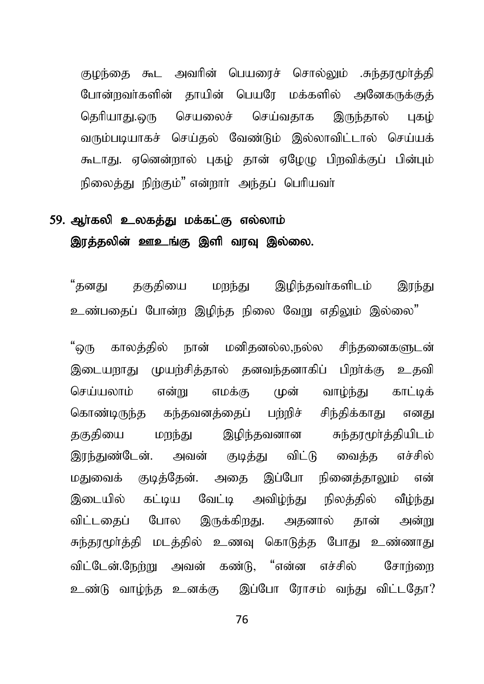குழந்தை கூட அவரின் பெயரைச் சொல்லும் .சுந்தூமூர்த்தி போன்றவர்களின் தாயின் பெயரே மக்களில் அனேகருக்குத் தெரியாது.ஒரு செயலைச் செய்வதாக இருந்தால் புகழ் வரும்படியாகச் செய்தல் வேண்டும் இல்லாவிட்டால் செய்யக் கூடாது. ஏனென்றால் புகம் தான் ஏழேமு பிறவிக்குப் பின்பும் நிலைக்கட நிற்கும்" என்றார். அந்கப் பெரியவர்

## 59. ஆர்கலி உலகத்து மக்கட்கு எல்லாம் இரத்தலின் ஊஉங்கு இளி வரவு இல்லை.

"தனது தகுதியை மறந்து இழிந்தவர்களிடம் இரந்து உண்பதைப் போன்ற இழிந்த நிலை வேறு எகிலும் இல்லை"

"ஒரு காலத்தில் நான் மனிதனல்ல,நல்ல சிந்தனைகளுடன் இடையறாது முயற்சித்தால் தனவந்தனாகிப் பிறர்க்கு உதவி செய்யலாம் என்று எமக்கு முன் வாம்ந்து காட்டிக் கொண்டிருந்த கந்தவனத்தைப் பற்றிச் சிந்திக்காது எனது தகுதியை மறந்து இழிந்தவனான சுந்தூமூர்த்தியிடம் இரந்துண்டேன். அவன் குடித்து விட்டு வைத்த எச்சில் மதுவைக் குடித்தேன். அதை இப்போ நினைத்தாலும் என் இடையில் கட்டிய வேட்டி அவிழ்ந்து நிலத்தில் வீழ்ந்து விட்டதைப் போல இருக்கிறது. அதனால் தான் அன்று சுந்தரமூர்த்தி மடத்தில் உணவு கொடுத்த போது உண்ணாது விட்டேன்.நேற்று அவன் கண்டு, "என்ன எச்சில் சோற்றை உண்டு வாழ்ந்த உனக்கு இப்போ ரோசம் வந்து விட்டதோ?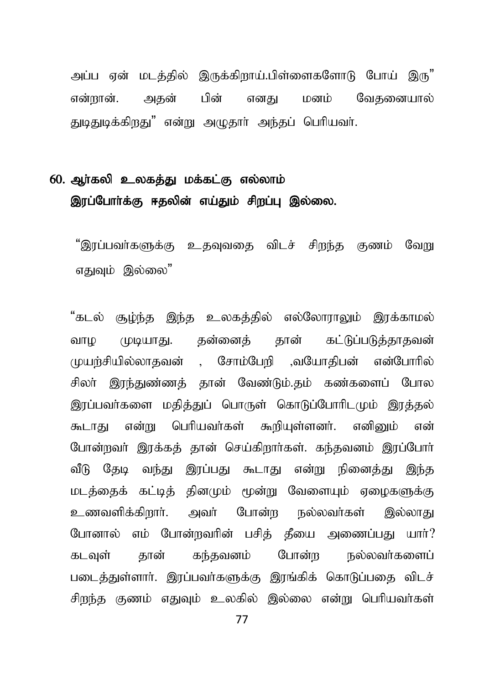அப்ப என் மடக்கில் இருக்கிறாய்.பிள்ளைகளோடு போய் இரு<sup>"</sup> என்றான். அதன் பின் எனது மனம் வேதனையால் துடிதுடிக்கிறது" என்று அமுதார் அந்தப் பெரியவர்.

## 60. ஆர்கலி உலகத்து மக்கட்கு எல்லாம் இரப்போர்க்கு ஈதலின் எய்தும் சிறப்பு இல்லை.

"இாப்பவர்களுக்கு உகவவகை விடச் சிறந்த குணம் வேறு எகுவம் இல்லை"

"கடல் சூழ்ந்த இந்த உலகத்தில் எல்லோராலும் இரக்காமல் வாம (மடியாது. தன்னைத் தான் கட்டுப்படுத்தாதவன் முயர்சியில்லாதவன் , சோம்பேரி ,வயோகிபன் என்போரில் சிலா் இரந்துண்ணத் தான் வேண்டும்.தம் கண்களைப் போல இாப்பவர்களை மகிக்குப் பொருள் கொடுப்போரிடமும் இரக்கல் கூடாகு என்று பெரியவர்கள் கூறியள்ளனர். எனிமை் என் போன்றவர் இரக்கத் தான் செய்கிறார்கள். கந்தவனம் இரப்போர் வீடு தேடி வந்து இரப்பது கூடாது என்று நினைத்து இந்த மடத்தைக் கட்டித் தினமும் மூன்று வேளையும் ஏழைகளுக்கு உணவளிக்கிறார். அவர் போன்ற நல்லவர்கள் இல்லாது போனால் எம் போன்றவரின் பசிக் கீயை அணைப்பது யார்? கடவுள் தான் கந்தவனம் போன்ற நல்லவர்களைப் படைக்குள்ளார். இாப்பவர்களுக்கு இாங்கிக் கொடுப்பகை விடச் சிறந்த குணம் எதுவம் உலகில் இல்லை என்று பெரியவர்கள்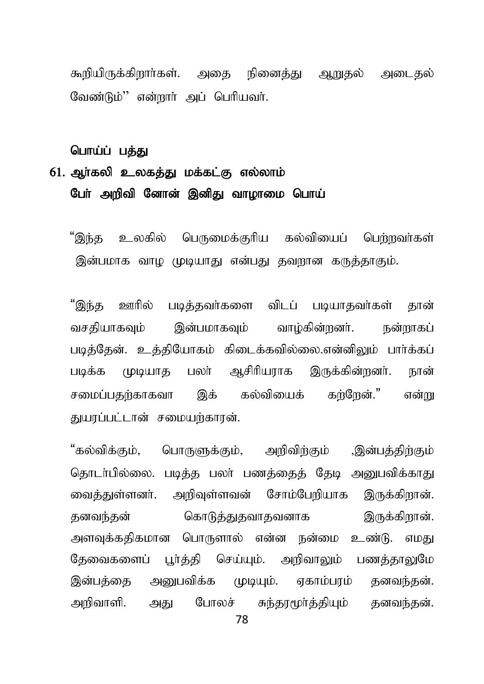கூறியிருக்கிறார்கள். அதை நினைத்து ஆறுதல் அடைதல் வேண்டும்'' என்றார் அப் பெரியவர்.

பொய்ப் பத்து

## 61. அர்கலி உலகக்கு மக்கட்கு எல்லாம் பேர் அறிவி னோன் இனிது வாழாமை பொய்

பெருமைக்குரிய கல்வியைப் பெற்றவர்கள் உலகில் 'இந்த இன்பமாக வாழ முடியாது என்பது தவறான கருத்தாகும்.

"இந்த ஊரில் படித்தவர்களை விடப் படியாதவர்கள் தான் இன்பமாகவம் வாம்கின்றனர். வசகியாகவம் நன்றாகப் படித்தேன். உத்தியோகம் கிடைக்கவில்லை.என்னிலும் பார்க்கப் பலா் ஆசிரியராக இருக்கின்றனா். முயாக படிக்க நான் இக் கல்வியைக் கர்ரேன்." சமைப்பகர்காகவா என்று துயாப்பட்டான் சமையற்காரன்.

"கல்விக்கும். பொருளுக்கும், அறிவிற்கும் ,இன்பத்திற்கும் தொடர்பில்லை. படித்த பலர் பணத்தைத் தேடி அறுபவிக்காது வைக்குள்ளனர். அறிவுள்ளவன் சோம்பேறியாக இருக்கிறான். கொடுத்துதவாதவனாக இருக்கிறான். தனவந்தன் அளவுக்கதிகமான பொருளால் என்ன நன்மை உண்டு. எமது தேவைகளைப் பூர்த்தி செய்யும். அறிவாலும் பணத்தாலுமே இன்பக்கை அனுபவிக்க முடியும். ஏகாம்பரம் கனவந்கன். போலச் சுந்தூமூர்த்தியும் தனவந்தன். அறிவாளி. அகுட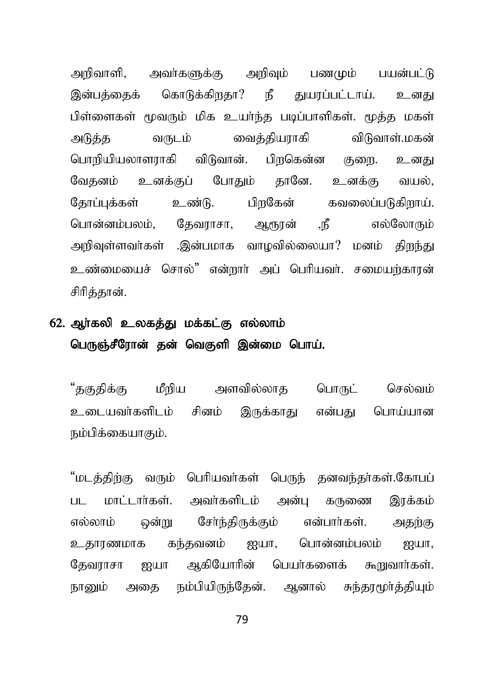அறிவாளி, அவர்களுக்கு அறிவும் பணமும் பயன்பட்டு இன்பக்கைக் கொடுக்கிறதா? நீ துயரப்பட்டாய். உனது பிள்ளைகள் மூவரும் மிக உயர்ந்த படிப்பாளிகள். மூத்த மகள் அடுத்த வருடம் வைத்தியராகி விடுவாள்.மகன் பொரியியலாளராகி விடுவான். பிறகென்ன குளை. உனது வேதனம் உனக்குப் போதும் தானே. உனக்கு வயல், தோப்புக்கள் உண்டு. பிறகேன் கவலைப்படுகிறாய். பொன்னம்பலம், தேவராசா, ஆரூரன் ,நீ எல்லோரும் அறிவுள்ளவர்கள் .இன்பமாக வாழவில்லையா? மனம் கிறந்து உண்மையைச் சொல்" என்றார் அப் பெரியவர். சமையற்காரன் சிரிக்கான்.

# $62.$  ஆர்கலி உலகத்து மக்கட்கு எல்லாம் பெருஞ்சீரோன் தன் வெகுளி இன்மை பொய்.

"தகுதிக்கு மீறிய அளவில்லாத பொருட் செல்வம் உடையவர்களிடம் சினம் இருக்காகு என்பகு பொய்யான நம்பிக்கையாகும்.

"மடத்திற்கு வரும் பெரியவா்கள் பெருந் தனவந்தா்கள்.கோபப் பட மாட்டார்கள். அவர்களிடம் அன்பு கருணை இரக்கம் எல்லாம் ஒன்று சேர்ந்திருக்கும் என்பார்கள். அதற்கு உதாரணமாக கந்தவனம் ஐயா, பொன்னம்பலம் ஐயா, கேவாரசா ஐயா ஆகியோரின் பெயர்களைக் கூறுவார்கள். நானும் அதை நம்பியிருந்தேன். ஆனால் சுந்தரமூர்த்தியும்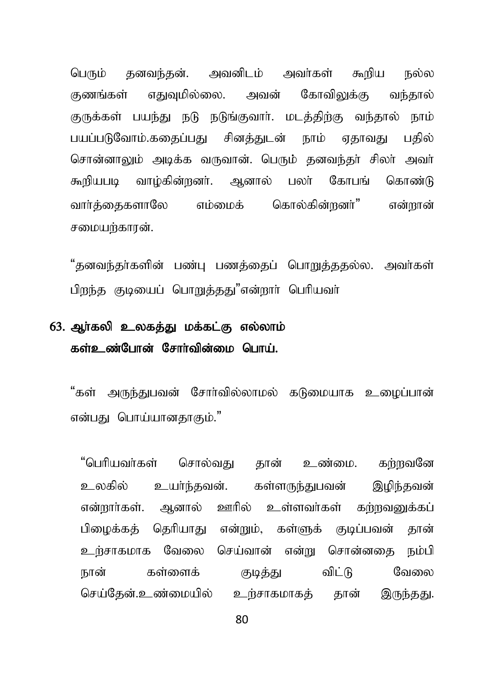பெரும் கனவந்கன். அவனிடம் அவர்கள் கூறிய நல்ல குணங்கள் எதுவுமில்லை. அவன் கோவிலுக்கு வந்தால் குருக்கள் பயந்து நடு நடுங்குவார். மடத்திற்கு வந்தால் நாம் பயப்படுவோம்.ககைப்பகுட சினக்துடன் நாம் ஏதாவது பதில் சொன்னாலும் அடிக்க வருவான். பெரும் தனவந்தா் சிலா் அவா் கூறியபடி வாழ்கின்றனர். ஆனால் பலர் கோபங் கொண்டு வார்த்தைகளாலே எம்மைக் கொல்கின்றனர்" என்றான் சமையர்காான்.

"தனவந்தர்களின் பண்பு பணத்தைப் பொறுத்ததல்ல. அவர்கள் பிறந்த குடியைப் பொறுத்தது"என்றார் பெரியவர்

# 63. ஆர்கலி உலகத்து மக்கட்கு எல்லாம் கள்உண்போன் சோர்வின்மை பொய்.

"கள் அருந்துபவன் சோர்வில்லாமல் கடுமையாக உமைப்பான் என்பது பொய்யானதாகும்."

"பெரியவர்கள் சொல்வது தான் உண்மை. கற்றவனே உலகில் உயர்ந்தவன். கள்ளருந்துபவன் இழிந்தவன் என்றார்கள். ஆனால் ஊரில் உள்ளவர்கள் கற்றவனுக்கப் பிமைக்கக் கெரியாகு என்றும். கள்ளுக் குடிப்பவன் கான் உர்சாகமாக வேலை செய்வான் என்று சொன்னதை நம்பி நான் கள்ளைக் குடித்து விட்டு வேலை செய்தேன்.உண்மையில் உற்சாகமாகத் தான் இருந்தது.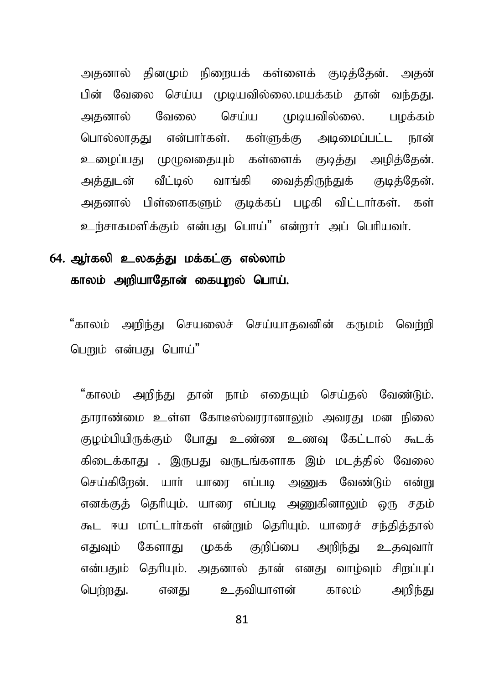அதனால் தினமும் நிறையக் கள்ளைக் குடித்தேன். அதன் பின் வேலை செய்ய முடியவில்லை.மயக்கம் தான் வந்தது. அதனால் வேலை செய்ய முடியவில்லை. பழக்கம் பொல்லாதது என்பார்கள். கள்ளுக்கு அடிமைப்பட்ட நான் உமைப்பது முமுவதையும் கள்ளைக் குடித்து அமித்தேன். அத்துடன் வீட்டில் வாங்கி வைத்திருந்துக் குடித்தேன். அதனால் பிள்ளைகளும் குடிக்கப் பழகி விட்டார்கள். கள் உற்சாகமளிக்கும் என்பது பொய்" என்றார் அப் பெரியவர்.

#### 64. ஆா்கலி உலகத்து மக்கட்கு எல்லாம் காலம் அறியாதோன் கையுறல் பொய்.

"காலம் அறிந்து செயலைச் செய்யாதவனின் கருமம் வெற்றி பெறும் என்பகு பொய்"

"காலம் அறிந்து தான் நாம் எதையும் செய்தல் வேண்டும். தாராண்மை உள்ள கோடீஸ்வரரானாலும் அவரது மன நிலை குமம்பியிருக்கும் போது உண்ண உணவ கேட்டால் கூடக் கிடைக்காகு . இருபது வருடங்களாக இம் மடக்கில் வேலை செய்கிறேன். யார் யாரை எப்படி அணுக வேண்டும் என்று எனக்குத் தெரியும். யாரை எப்படி அணுகினாலும் ஒரு சதம் கூட ஈய மாட்டார்கள் என்றும் தெரியும். யாரைச் சந்தித்தால் எதுவும் கேளாது முகக் குறிப்பை அறிந்து உதவுவார் என்பதும் தெரியும். அதனால் தான் எனது வாழ்வும் சிறப்புப் பெற்றது. எனது உதவியாளன் காலம் அறிந்து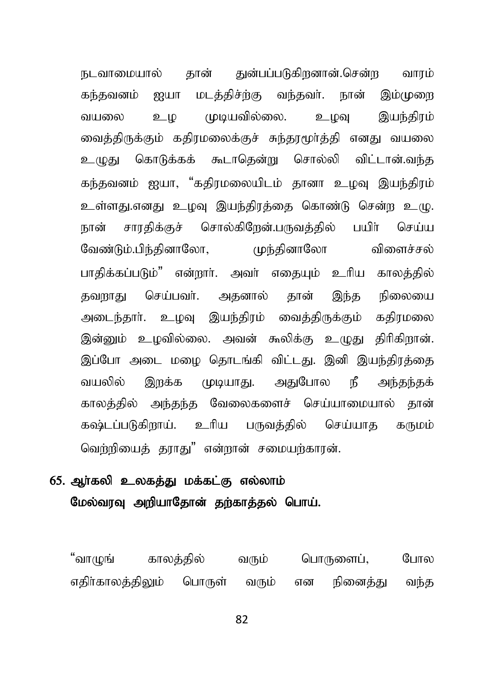நடவாமையால் தான் துன்பப்படுகிறனான்.சென்ற வாரம் கந்தவனம் ஐயா மடத்திச்ற்கு வந்தவர். நான் இம்முறை வயலை உம முடியவில்லை. உமவ இயந்திரம் வைத்திருக்கும் கதிரமலைக்குச் சுந்தரமூர்த்தி எனது வயலை உமுது கொடுக்கக் கூடாதென்று சொல்லி விட்டான்.வந்த கந்தவனம் ஐயா, "கதிரமலையிடம் தானா உழவு இயந்திரம் உள்ளது.எனது உழவு இயந்திரத்தை கொண்டு சென்ற உழு. நான் சாரதிக்குச் சொல்கிறேன்.பருவத்தில் பயிர் செய்ய வேண்டும்.பிந்தினாலோ, மந்தினாலோ விளைச்சல் பாகிக்கப்படும்" என்றார். அவர் எகையம் உரிய காலக்கில் தவறாது செய்பவர். அதனால் தான் இந்த நிலையை அடைந்தார். உழவு இயந்திரம் வைத்திருக்கும் கதிரமலை இன்னும் உழவில்லை. அவன் கூலிக்கு உமுது திரிகிறான். இப்போ அடை மழை தொடங்கி விட்டது. இனி இயந்திரத்தை வயலில் இருக்க முடியாது. அதுபோல நீ அந்தந்தக் காலத்தில் அந்தந்த வேலைகளைச் செய்யாமையால் தான் கஷ்டப்படுகிறாய். உரிய பருவத்தில் செய்யாத கருமம் வெர்றியைக் காரகு" என்றான் சமையற்காரன்.

#### 65. ஆர்கலி உலகத்து மக்கட்கு எல்லாம் மேல்வரவு அறியாதோன் தற்காத்தல் பொய்.

"வாமுங் காலக்கில் வரும் பொருளைப், போல எதிர்காலத்திலும் பொருள் வரும் என நினைத்து வந்த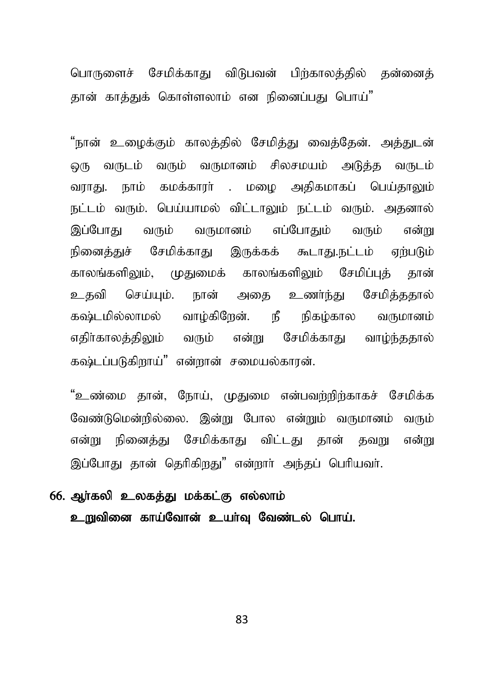பொருளைச் சேமிக்காது விடுபவன் பிர்காலத்தில் தன்னைத் தான் காத்துக் கொள்ளலாம் என நினைப்பது பொய்"

"நான் உழைக்கும் காலத்தில் சேமித்து வைத்தேன். அத்துடன் லு வருடம் வரும் வருமானம் சிலசமயம் அடுத்த வருடம் வராது. நாம் கமக்காரா் . மழை அதிகமாகப் பெய்தாலும் நட்டம் வரும். பெய்யாமல் விட்டாலும் நட்டம் வரும். அதனால் இப்போது வரும் வருமானம் எப்போதும் வரும் என்று நினைத்துச் சேமிக்காது இருக்கக் கூடாது.நட்டம் ஏற்படும் காலங்களிலும், முதுமைக் காலங்களிலும் சேமிப்புக் தான் உதவி செய்யும். நான் அதை உணர்ந்து சேமித்ததால் கஷ்டமில்லாமல் வாழ்கிறேன். நீ நிகழ்கால வருமானம் எதிர்காலத்திலும் வரும் என்று சேமிக்காது வாம்ந்ததால்  $\;$ கஷ்டப்படுகிறாய்" என்றான் சமையல்காரன்.

"உண்மை கான், நோய், முதுமை என்பவற்றிற்காகச் சேமிக்க வேண்டுமென்றில்லை. இன்று போல என்றும் வருமானம் வரும் என்று நினைக்கு சேமிக்காகு விட்டகு கான் கவறு என்று இப்போது தான் தெரிகிறது" என்றார் அந்தப் பெரியவர்.

# 66. ஆர்கலி உலகத்து மக்கட்கு எல்லாம் உறுவினை காய்வோன் உயர்வு வேண்டல் பொய்.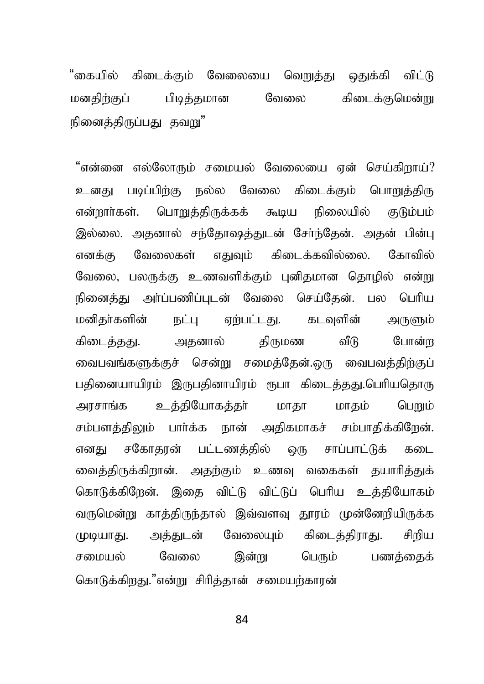"கையில் கிடைக்கும் வேலையை வெ<u>றுத்து</u> ஒதுக்கி விட்டு மனதிர்குப் பிடித்தமான வேலை கிடைக்குமென்று நினைக்கிருப்பகட கவுய"

"என்னை எல்லோரும் சமையல் வேலையை என் செய்கிறாய்? உனகு படிப்பிர்கு நல்ல வேலை கிடைக்கும் பொறுக்கிரு என்றார்கள். பொறுத்திருக்கக் கூடிய நிலையில் குடும்பம் இல்லை. அதனால் சந்தோஷத்துடன் சேர்ந்தேன். அதன் பின்பு எனக்கு வேலைகள் எதுவும் கிடைக்கவில்லை. கோவில் வேலை, பலருக்கு உணவளிக்கும் புனிதமான தொழில் என்று நினைத்து அர்ப்பணிப்புடன் வேலை செய்தேன். பல பெரிய மனிதா்களின் நட்பு ஏற்பட்டது. கடவுளின் அருளும் கிடைத்தது. அதனால் திருமண வீடு போன்ற வைபவங்களுக்குச் சென்று சமைத்தேன்.ஒரு வைபவத்திற்குப் பதினையாயிரம் இருபதினாயிரம் ரூபா கிடைத்தது.பெரியதொரு அரசாங்க உத்தியோகத்தர் மாதா மாதம் பெறும் சம்பளத்திலும் பார்க்க நான் அதிகமாகச் சம்பாதிக்கிறேன். எனது சகோதரன் பட்டணத்தில் ஒரு சாப்பாட்டுக் கடை வைத்திருக்கிறான். அதற்கும் உணவு வகைகள் தயாரித்துக் கொடுக்கிறேன். இதை விட்டு விட்டுப் பெரிய உத்தியோகம் வருமென்று காத்திருந்தால் இவ்வளவு தூரம் முன்னேறியிருக்க முடியாது. அத்துடன் வேலையும் கிடைத்திராது. சிறிய சமையல் வேலை இன்று பெரும் பணக்கைக் கொடுக்கிறது."என்று சிரிக்கான் சமையற்காரன்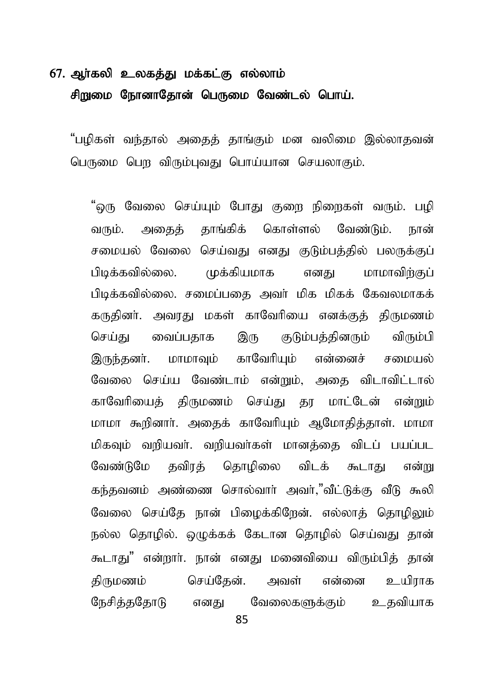## $67.$  ஆர்கலி உலகத்து மக்கட்கு எல்லாம் சிறுமை நோனாதோன் பெருமை வேண்டல் பொய்.

"பமிகள் வந்கால் அகைக் காங்கும் மன வலிமை இல்லாகவன் பெருமை பெற விரும்புவது பொய்யான செயலாகும்.

"ஒரு வேலை செய்யும் போது குறை நிறைகள் வரும். பழி வரும். அகைக் காங்கிக் கொள்ளல் வேண்டும். நான் சமையல் வேலை செய்வது எனது குடும்பத்தில் பலருக்குப் பிடிக்கவில்லை. முக்கியமாக எனது மாமாவிற்குப் பிடிக்கவில்லை. சமைப்பகை அவர் மிக மிகக் கேவலமாகக் கருதினர். அவரது மகள் காவேரியை எனக்குத் திருமணம் செய்து வைப்பதாக இரு குடும்பத்தினரும் விரும்பி இருந்தனர். மாமாவும் காவேரியும் என்னைச் சமையல் வேலை செய்ய வேண்டாம் என்றும், அதை விடாவிட்டால் காவேரியைத் திருமணம் செய்து தர மாட்டேன் என்றும் மாமா கூறினார். அதைக் காவேரியும் ஆமோதித்தாள். மாமா மிகவும் வரியவர். வரியவர்கள் மானத்தை விடப் பயப்பட வேண்டுமே தவிரத் தொழிலை விடக் கூடாது என்று கந்தவனம் அண்ணை சொல்வார் அவர்,"வீட்டுக்கு வீடு கூலி வேலை செய்தே நான் பிழைக்கிறேன். எல்லாத் தொழிலும் நல்ல தொழில். ஒழுக்கக் கேடான தொழில் செய்வது தான் கூடாது" என்றார். நான் எனது மனைவியை விரும்பித் தான் திருமணம் செய்தேன். அவள் என்னை உயிாாக நேசித்ததோடு எனது வேலைகளுக்கும் உதவியாக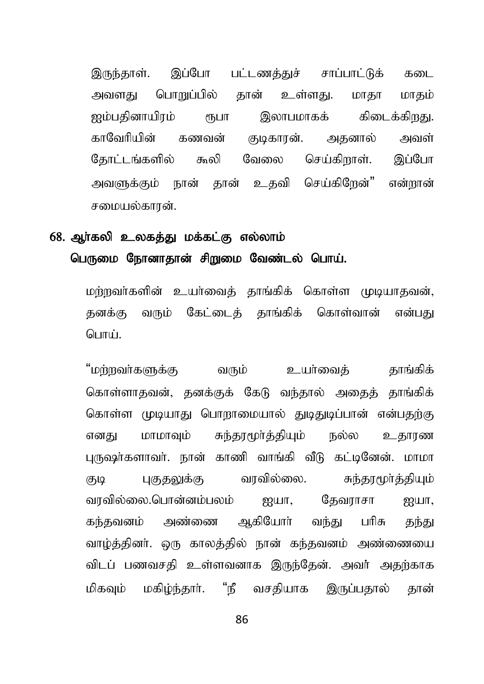இருந்தாள். இப்போ பட்டணத்துச் சாப்பாட்டுக் கடை அவளது பொறுப்பில் தான் உள்ளது. மாதா மாதம் <u> ஐம்பகினாயிாம் ரூபா இலாபமாகக் கிடைக்கிறது.</u> காவேரியின் கணவன் குடிகாரன். அதனால் அவள் தோட்டங்களில் கூலி வேலை செய்கிறாள். இப்போ அவளுக்கும் நான் தான் உகவி செய்கிறேன்" என்றான் சமையல்காான்.

## 68. ஆர்கலி உலகத்து மக்கட்கு எல்லாம் பெருமை நோனாதான் சிறுமை வேண்டல் பொய்.

மர்ாவர்களின் உயர்வைக் காங்கிக் கொள்ள முடியாதவன், தனக்கு வரும் கேட்டைக் தாங்கிக் கொள்வான் என்பது பொப்

"மற்றவர்களுக்கு வரும் உயர்வைத் தாங்கிக் கொள்ளாதவன், தனக்குக் கேடு வந்தால் அகைத் தாங்கிக் கொள்ள முடியாது பொறாமையால் துடிதுடிப்பான் என்பதற்கு எனது மாமாவும் சுந்தரமூர்த்தியும் நல்ல உதாரண பருஷர்களாவர். நான் காணி வாங்கி வீடு கட்டினேன். மாமா குடி பகுதலுக்கு வரவில்லை. சுந்தரமூர்த்தியும் வரவில்லை.பொன்னம்பலம் ஐயா, தேவராசா ஐயா, கந்தவனம் அண்ணை ஆகியோர் வந்து பரிசு தந்து வாழ்த்தினர். ஒரு காலத்தில் நான் கந்தவனம் அண்ணையை விடப் பணவசகி உள்ளவனாக இருந்கேன். அவர் அகற்காக மிகவும் மகிம்ந்தார். "நீ வசகியாக இருப்பதால் தான்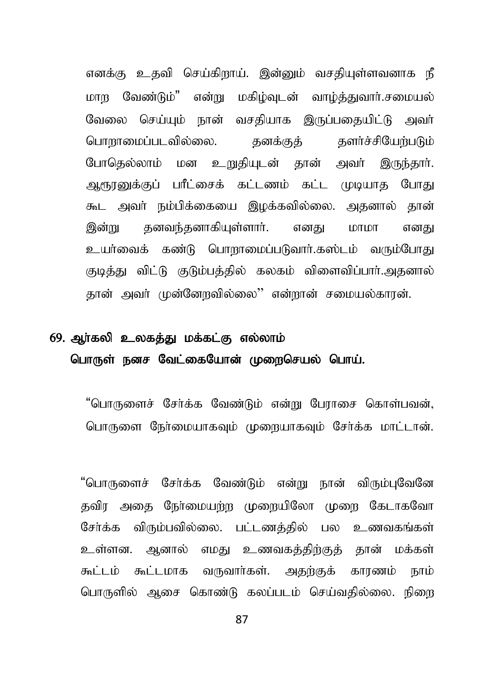எனக்கு உதவி செய்கிறாய். இன்னும் வசகியுள்ளவனாக நீ மாற வேண்டும்" என்று மகிம்வடன் வாம்க்குவார்.சமையல் வேலை செய்யும் நான் வசகியாக இருப்பதையிட்டு அவர் பொறாமைப்படவில்லை. தனக்குத் தளர்ச்சியேற்படும் போதெல்லாம் மன உறுதியுடன் தான் அவர் இருந்தார். அருரனுக்குப் பரீட்சைக் கட்டணம் கட்ட முடியாத போது கூட அவர் நம்பிக்கையை இழக்கவில்லை. அதனால் தான் இன்று தனவந்தனாகியுள்ளார். எனது மாமா எனது உயர்வைக் கண்டு பொறாமைப்படுவார்.கஸ்டம் வரும்போது குடித்து விட்டு குடும்பத்தில் கலகம் விளைவிப்பார்.அதனால் தான் அவர் முன்னோவில்லை'' என்றான் சமையல்காரன்.

# 69. ஆர்கலி உலகத்து மக்கட்கு எல்லாம் பொருள் நனச வேட்கையோன் முறைசெயல் பொய்.

"பொருளைச் சேர்க்க வேண்டும் என்று பேராசை கொள்பவன், பொருளை நேர்மையாகவும் முறையாகவும் சேர்க்க மாட்டான்.

"பொருளைச் சேர்க்க வேண்டும் என்று நான் விரும்புவேனே தவிர அதை நேர்மையற்ற முறையிலோ முறை கேடாகவோ சேர்க்க விரும்பவில்லை. பட்டணத்தில் பல உணவகங்கள் உள்ளன. ஆனால் எமது உணவகக்கிற்குக் தான் மக்கள் கூட்டம் கூட்டமாக வருவார்கள். அதற்குக் காரணம் நாம் பொருளில் ஆசை கொண்டு கலப்படம் செய்வதில்லை. நிறை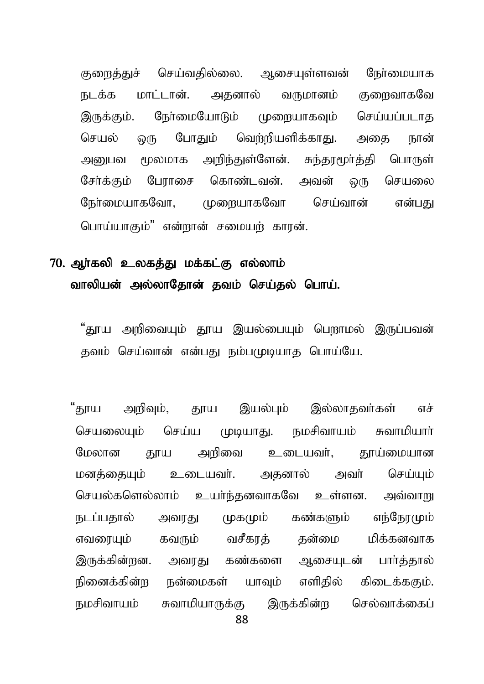குரைத்துச் செய்வதில்லை. ஆசையுள்ளவன் நேர்மையாக நடக்க மாட்டான். அதனால் வருமானம் குறைவாகவே இருக்கும். நேர்மையோடும் முறையாகவும் செய்யப்படாத செயல் ஒரு போதும் வெற்றியளிக்காது. அதை நான் அனுபவ மூலமாக அறிந்துள்ளேன். சுந்தூமூர்த்தி பொருள் சேர்க்கும் பேராசை கொண்டவன். அவன் ஒரு செயலை ரேர்மையாகவோ, முறையாகவோ செய்வான் என்பது பொய்யாகும்" என்றான் சமையற் காரன்.

## 70. அர்கலி உலகக்கு மக்கட்கு எல்லாம் வாலியன் அல்லாதோன் தவம் செய்தல் பொய்.

"காய அறிவையம் காய இயல்பையம் பௌாமல் இருப்பவன் தவம் செய்வான் என்பது நம்பமுடியாத பொய்யே.

"தூய அறிவும், தூய இயல்பும் இல்லாதவா்கள் எச் செயலையும் செய்ய முடியாது. நமசிவாயம் சுவாமியாா் மேலான காய அரிவை உடையவர். காய்மையான மனத்தையும் உடையவர். அதனால் அவர் செய்யும் செயல்களெல்லாம் உயர்ந்தனவாகவே உள்ளன. அவ்வாறு நடப்பகால் அவாகு முகமும் கண்களும் எந்நோமும் எவரையும் கவரும் வசீகரக் கன்மை மிக்கனவாக இருக்கின்றன. அவரது கண்களை ஆசையுடன் பார்த்தால் நினைக்கின்ற நன்மைகள் யாவும் எளிகில் கிடைக்ககும். நமசிவாயம் சுவாமியாருக்கு இருக்கின்ற செல்வாக்கைப்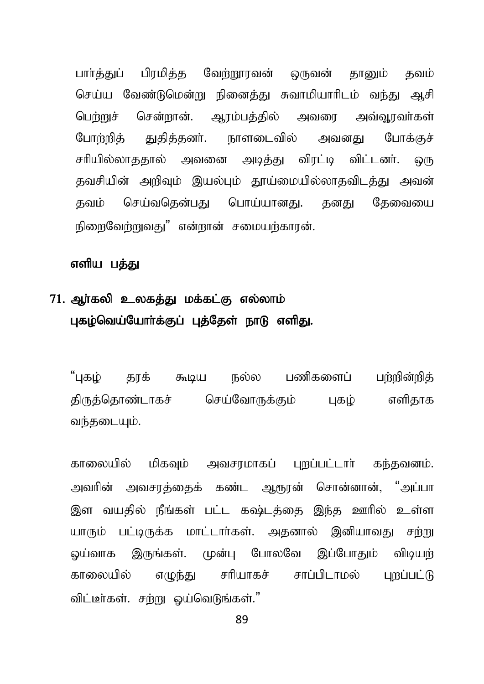பார்த்துப் பிரமித்த வேற்றூரவன் ஒருவன் தானும் தவம் செய்ய வேண்டுமென்று நினைத்து சுவாமியாரிடம் வந்து ஆசி பெற்றுச் சென்றான். ஆரம்பக்கில் அவரை அவ்வூரவர்கள் போற்றித் துதித்தனர். நாளடைவில் அவனது போக்குச் சரியில்லாததால் அவனை அடித்து விரட்டி விட்டனர். ஒரு தவசியின் அறிவும் இயல்பும் தூய்மையில்லாதவிடத்து அவன் தவம் செய்வதென்பது பொய்யானது. தனது தேவையை நிறைவேற்றுவது" என்றான் சமையற்காரன்.

#### எளிய பத்து

## 71. ஆர்கலி உலகத்து மக்கட்கு எல்லாம் புகழ்வெய்யோர்க்குப் புத்தேள் நாடு எளிது.

"புகழ் தரக் கூடிய நல்ல பணிகளைப் பற்றின்றிக் திருத்தொண்டாகச் செய்வோருக்கும் புகம் எளிதாக வந்தடையும்.

காலையில் மிகவும் அவசாமாகப் புறப்பட்டார் கந்தவனம். அவரின் அவசரத்தைக் கண்ட ஆரூரன் சொன்னான், "அப்பா இள வயதில் நீங்கள் பட்ட கஷ்டத்தை இந்த ஊரில் உள்ள யாரும் பட்டிருக்க மாட்டார்கள். அதனால் இனியாவது சற்று லப்வாக இருங்கள். முன்பு போலவே இப்போதும் விடியற் காலையில் எழுந்து சரியாகச் சாப்பிடாமல் புறப்பட்டு விட்டீா்கள். சற்று ஓய்வெடுங்கள்."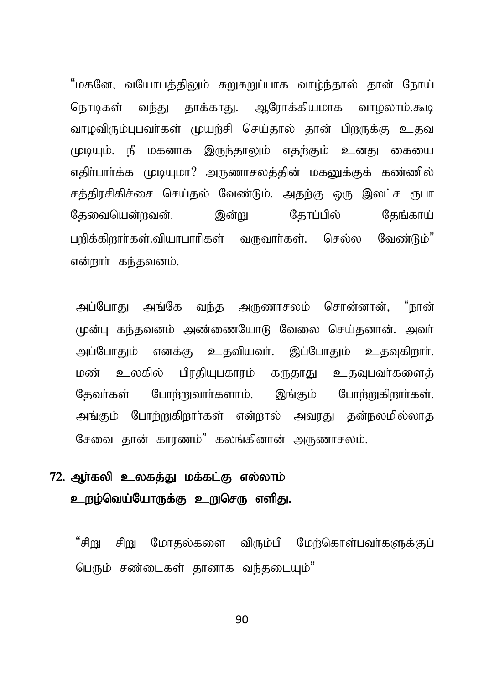"மகனே, வயோபத்திலும் சுறுசுறுப்பாக வாழ்ந்தால் தான் நோய் வந்து தாக்காது. ஆரோக்கியமாக வாழலாம்.கூடி நொடிகள் வாமவிரும்பபவர்கள் முயற்சி செய்கால் கான் பிறருக்கு உகவ முடியும். நீ மகனாக இருந்தாலும் எதற்கும் உனது கையை எதிர்பார்க்க முடியுமா? அருணாசலத்தின் மகனுக்குக் கண்ணில் சத்திரசிகிச்சை செய்தல் வேண்டும். அதற்கு ஒரு இலட்ச ரூபா தேவையென்றவன். இன்று கோப்பில் தேங்காய் பரிக்கிறார்கள்.வியாபாரிகள் வருவார்கள். செல்ல வேண்டும்" என்றார் கந்தவனம்.

அப்போது அங்கே வந்த அருணாசலம் சொன்னான், "நான் முன்ப கந்தவனம் அண்ணையோடு வேலை செய்கனான். அவர் அப்போகும் எனக்கு உகவியவர். இப்போகும் உகவகிறார். மண் பிரதியுபகாரம் கருதாது உதவுபவர்களைத் உலகில் கேவர்கள் போற்றுவார்களாம். இங்கும் போற்றுகிறார்கள். அங்கும் போற்றுகிறார்கள் என்றால் அவாகு கன்நலமில்லாக சேவை தான் காரணம்" கலங்கினான் அருணாசலம்.

## 72. அர்கலி உலகக்கு மக்கட்கு எல்லாம் உறழ்வெய்யோருக்கு உறுசெரு எளிது.

"சிறு சிறு மோதல்களை விரும்பி மேற்கொள்பவா்களுக்குப் பெரும் சண்டைகள் தானாக வந்தடையும்"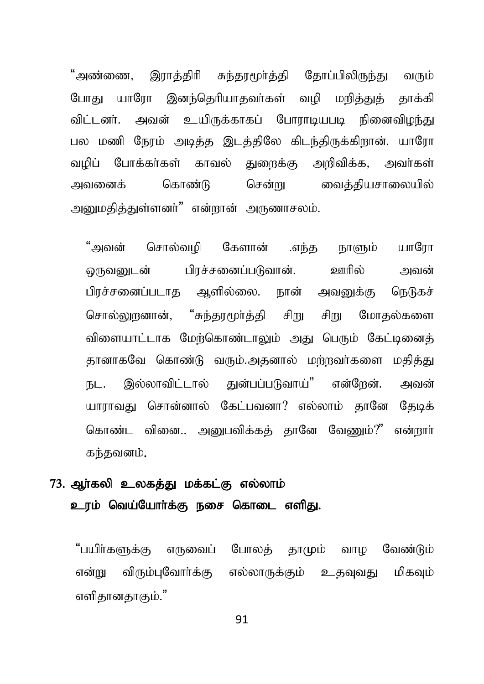"அண்ணை. இராக்கிரி சுந்காமூர்க்கி கோப்பிலிருந்து வரும் யாரோ இனந்தெரியாதவா்கள் வமி மரித்துத் போகட காக்கி விட்டனர். அவன் உயிருக்காகப் போராடியபடி நினைவிழந்து பல மணி நேரம் அடித்த இடத்திலே கிடந்திருக்கிறான். யாரோ வழிப் போக்கா்கள் காவல் துறைக்கு அறிவிக்க, அவா்கள் சென்று வைத்தியசாலையில் அவனைக் கொண்டு அமைகிக்குள்ளனர்" என்றான் அருணாசலம்.

"அவன் சொல்வமி கேளான் .எந்த யாரோ நாளும் பிாச்சனைப்படுவான். ஊரில் வருவனடன் அவன் பிரச்சனைப்படாக ஆளில்லை. நான் அவனுக்கு நெடுகச் சொல்லானான். "சுந்தாமர்க்கி சிறு சிறு மோகல்களை விளையாட்டாக மேற்கொண்டாலும் அது பெரும் கேட்டினைத் தானாகவே கொண்டு வரும்.அதனால் மற்றவர்களை மதித்து இல்லாவிட்டால் குன்பப்படுவாய்" என்നேன். **IБL.** அவன் யாராவது சொன்னால் கேட்பவனா? எல்லாம் கானே கேடிக் கொண்ட வினை.. அபைவிக்கக் கானே வேணும்?" என்றார் கந்தவனம்.

# 73. அர்கலி உலகக்கு மக்கட்கு எல்லாம் உரம் வெய்யோர்க்கு நசை கொடை எளிது.

"பயிர்களுக்கு எருவைப் போலத் தாமும் வாழ வேண்டும் விரும்புவோர்க்கு எல்லாருக்கும் உதவுவது மிகவும் என்று எளிதானதாகும்."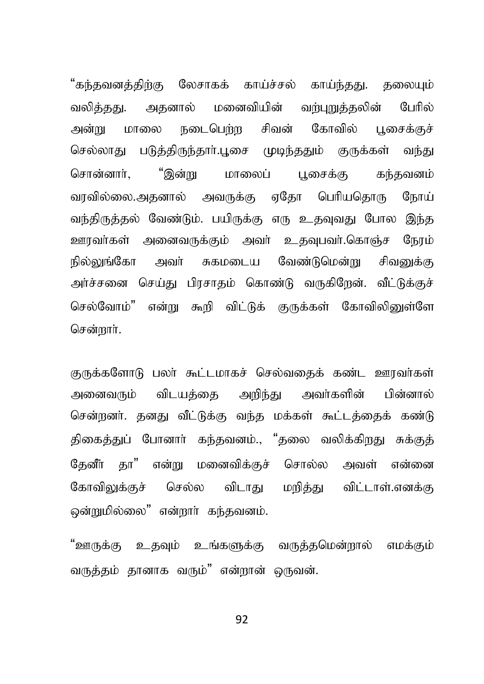"கந்தவனத்திற்கு லேசாகக் காய்ச்சல் காய்ந்தது. தலையும் வலித்தது. அதனால் மனைவியின் வர்புறுக்கலின் பேரில் நடைபெர்மு சிவன் அன்று மாலை கோவில் பசைக்குச் படுத்திருந்தாா்.பூசை முடிந்ததும் குருக்கள் வந்து செல்லாகு "இன்று மாலைப் சொன்னார். பசைக்கு கந்கவனம் வாவில்லை.அகனால் அவருக்கு எகோ பெரியுகொரு நோய் வந்திருத்தல் வேண்டும். பயிருக்கு எரு உதவுவது போல இந்த ஊரவர்கள் அனைவருக்கும் அவர் உதவுபவர்.கொஞ்ச நேரம் சுகமடைய வேண்டுமென்று சிவலுக்கு நில்லுங்கோ அவர் அர்ச்சனை செய்கு பிரசாகம் கொண்டு வருகிறேன். வீட்டுக்குச் செல்வோம்" என்று கூறி விட்டுக் குருக்கள் கோவிலினுள்ளே சென்றார்.

குருக்களோடு பலர் கூட்டமாகச் செல்வதைக் கண்ட ஊரவர்கள் அனைவரும் விடயக்கை அறிந்து அவர்களின் பின்னால் சென்றனர். கனகு வீட்டுக்கு வந்த மக்கள் கூட்டக்கைக் கண்டு திகைத்துப் போனாா் கந்தவனம்., "தலை வலிக்கிறது சுக்குத் தேனீா தா" என்று மனைவிக்குச் சொல்ல அவள் என்னை கோவிலுக்குச் செல்ல விடாகு மரிக்கு விட்டாள்.எனக்கு ஒன்றுமில்லை" என்றார் கந்தவனம்.

"ஊருக்கு உதவும் உங்களுக்கு வருக்குமென்றால் எமக்கும் வருத்தம் தானாக வரும்" என்றான் ஒருவன்.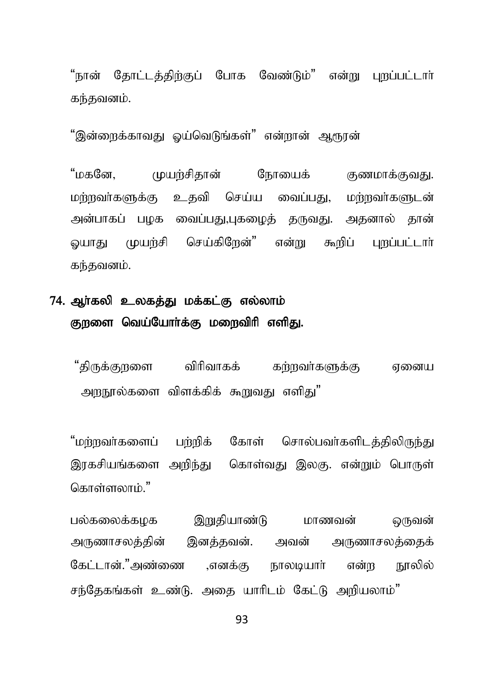"நான் தோட்டத்திற்குப் போக வேண்டும்" என்று புறப்பட்டார் கந்தவனம்.

"இன்றைக்காவகு ஒய்வெடுங்கள்" என்றான் ஆரூரன்

"மகனே. முயர்சிகான் நோயைக் குணமாக்குவது. மற்றவர்களுக்கு உதவி செய்ய வைப்பது, மற்றவர்களுடன் அன்பாகப் பழக வைப்பது,புகழைத் தருவது. அதனால் தான் செய்கிறேன்" என்று கூறிப் லயாகுட முயர்சி புறப்பட்டார் கந்தவனம்.

# 74. ஆர்கலி உலகத்து மக்கட்கு எல்லாம் குறளை வெய்யோர்க்கு மறைவிரி எளிது.

"கிருக்குறளை விரிவாகக் கர்றவர்களுக்கு எனைய அறநூல்களை விளக்கிக் கூறுவகு எளிகு"

"மர்றவர்களைப் பர்றிக் கோள் சொல்பவர்களிடத்திலிருந்து இரகசியங்களை அறிந்து கொள்வது இலகு. என்றும் பொருள் கொள்ளலாம்."

பல்கலைக்கமக இறுதியாண்டு மாணவன் ொவன் அருணாசலத்தின் இனத்தவன். அவன் அருணாசலத்தைக் கேட்டான்."அண்ணை .எனக்கு என்ற நூலில் நாலடியார் சந்தேகங்கள் உண்டு. அதை யாரிடம் கேட்டு அறியலாம்"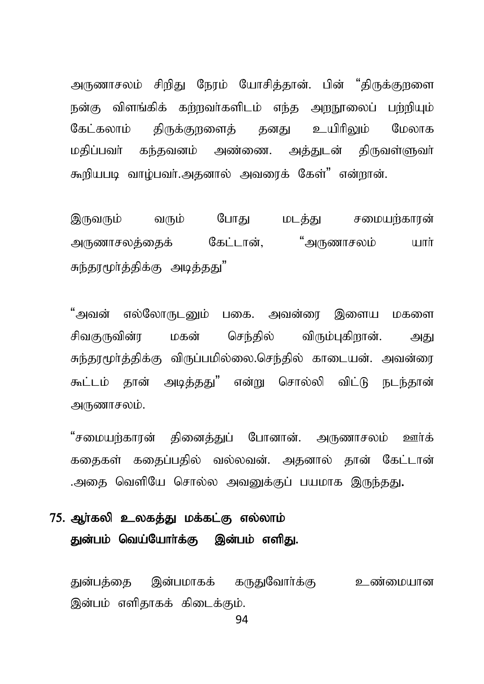அருணாசலம் சிறிது நேரம் யோசித்தான். பின் "திருக்குறளை நன்கு விளங்கிக் கற்றவர்களிடம் எந்த அறநூலைப் பற்றியும் கேட்கலாம் கிருக்குறனைக் கனகு உயிரிலும் மேலாக மதிப்பவர் கந்தவனம் அண்ணை. அத்துடன் திருவள்ளுவர் கூறியபடி வாம்பவர்.அதனால் அவரைக் கேள்" என்றான்.

இருவரும் வரும் போகு மடக்கு சமையற்காரன் அருணாசலத்தைக் கேட்டான், "அருணாசலம் யார் சுந்தூமூர்த்திக்கு அடித்தது"

"அவன் எல்லோருடனும் பகை. அவன்ரை இளைய மகளை சிவகுருவின்ர மகன் செந்தில் விரும்புகிறான். அது சுந்தரமூர்த்திக்கு விருப்பமில்லை.செந்தில் காடையன். அவன்ரை கூட்டம் கான் அடிக்கது" என்று சொல்லி விட்டு நடந்தான் அருணாசலம்.

"சமையற்காரன் தினைத்துப் போனான். அருணாசலம் ஊர்க் ககைகள் ககைப்பதில் வல்லவன். அகனால் கான் கேட்டான் .அதை வெளியே சொல்ல அவனுக்குப் பயமாக இருந்தது.

### 75. ஆா்கலி உலகத்து மக்கட்கு எல்லாம் துன்பம் வெய்யோர்க்கு இன்பம் எளிது.

துன்பத்தை இன்பமாகக் கருதுவோர்க்கு உண்மையான இன்பம் எளிகாகக் கிடைக்கும்.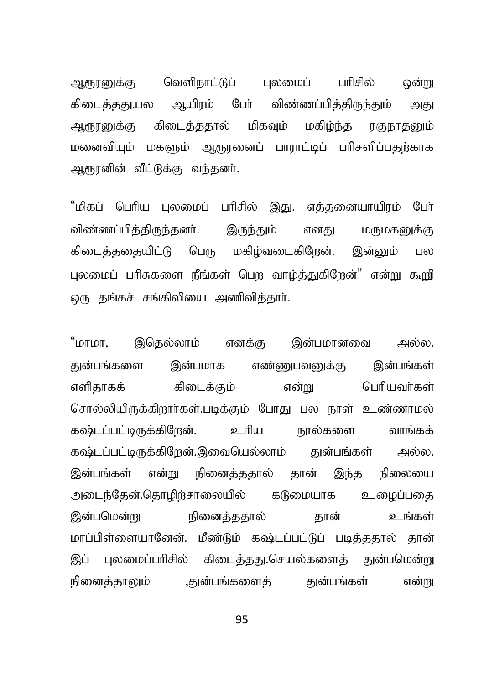ஆரூரனுக்கு வெளிநாட்டுப் புலமைப் பரிசில் ஒன்று கிடைத்தது.பல ஆயிரம் போ் விண்ணப்பித்திருந்தும் அது ஆரூரனுக்கு கிடைத்ததால் மிகவும் மகிழ்ந்த ரகுநாதனும் மனைவியம் மகளும் ஆரூரனைப் பாராட்டிப் பரிசளிப்பகர்காக ஆரூரனின் வீட்டுக்கு வந்தனர்.

"மிகப் பெரிய புலமைப் பரிசில் இது. எத்தனையாயிரம் போ் விண்ணப்பிக்கிருந்கனர். இருந்தும் எனது மருமகனுக்கு கிடைத்ததையிட்டு பெரு மகிழ்வடைகிறேன். இன்னும் பல புலமைப் பரிசுகளை நீங்கள் பெற வாழ்த்துகிறேன்" என்று கூறி டைந தங்கச் சங்கிலியை அணிவித்தார்.

"மாமா, இதெல்லாம் எனக்கு இன்பமானவை அல்ல. துன்பங்களை இன்பமாக எண்ணுபவனுக்கு இன்பங்கள் எளிகாகக் கிடைக்கும் என்று பெரியவர்கள் சொல்லியிருக்கிறார்கள்.படிக்கும் போது பல நாள் உண்ணாமல் கஷ்டப்பட்டிருக்கிறேன். உரிய நூல்களை வாங்கக் கஷ்டப்பட்டிருக்கிறேன்.இவையெல்லாம் <u>து</u>ன்பங்கள் அல்ல. இன்பங்கள் என்று நினைத்ததால் தான் இந்த நிலையை அடைந்தேன்.தொழிற்சாலையில் கடுமையாக உழைப்பதை இன்பமென்று நினைத்ததால் தான் உங்கள் மாப்பிள்ளையானேன். மீண்டும் கஷ்டப்பட்டுப் படிக்ககால் கான் இப் பலமைப்பரிசில் கிடைக்ககு.செயல்களைக் குன்பமென்று நினைத்தாலும் ,துன்பங்களைத் துன்பங்கள் என்று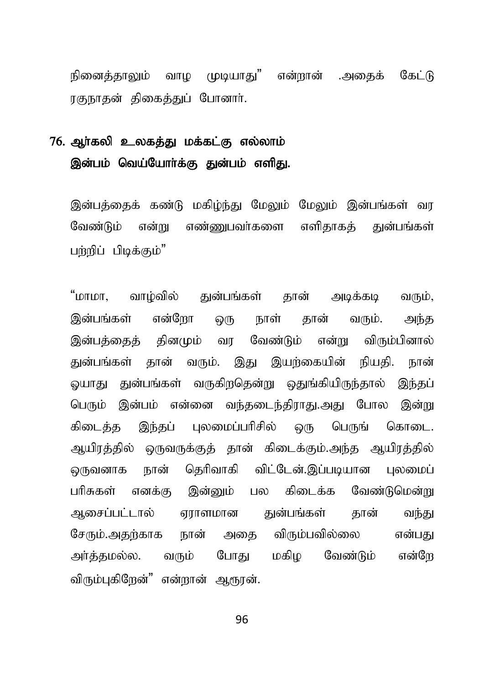நினைக்காலும் வாம முடியாகுட்" என்றான் .அகைக் கேட்டு ரகுநாதன் திகைத்துப் போனார்.

# 76. அர்கலி உலகத்து மக்கட்கு எல்லாம் இன்பம் வெய்யோர்க்கு துன்பம் எளிது.

இன்பக்கைக் கண்டு மகிம்ந்து மேலும் மேலும் இன்பங்கள் வர வேண்டும் என்று எண்ணுபவர்களை எளிதாகக் துன்பங்கள் பற்றிப் பிடிக்கும்"

"மாமா, வாழ்வில் துன்பங்கள் தான் அடிக்கடி வரும், இன்பங்கள் என்றோ ஒரு நாள் தான் வரும். அந்த இன்பத்தைத் தினமும் வர வேண்டும் என்று விரும்பினால் துன்பங்கள் தான் வரும். இது இயற்கையின் நியதி. நான் லயாது துன்பங்கள் வருகிறதென்று ஒதுங்கியிருந்தால் இந்தப் பெரும் இன்பம் என்னை வந்தடைந்திராது.அது போல இன்று கிடைத்த இந்தப் புலமைப்பரிசில் ஒரு பெருங் கொடை. அயிரத்தில் ஒருவருக்குத் தான் கிடைக்கும்.அந்த ஆயிரத்தில் ஒருவனாக நான் தெரிவாகி விட்டேன்.இப்படியான புலமைப் பரிசுகள் எனக்கு இன்னும் பல கிடைக்க வேண்டுமென்று ஆசைப்பட்டால் ஏராளமான துன்பங்கள் தான் வந்து சேரும்.அதற்காக நான் அதை விரும்பவில்லை என்பது அர்த்தமல்ல. வரும் போது மகிழ வேண்டும் என்றே விரும்பகிறேன்" என்றான் ஆரூரன்.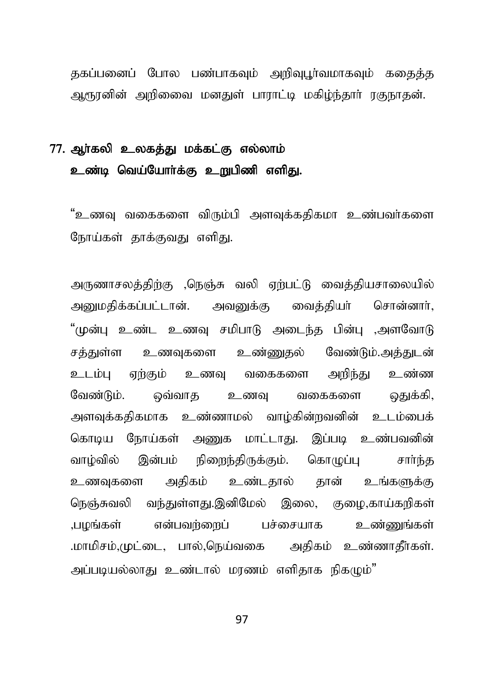குகப்பனைப் போல பண்பாகவும் அறிவுபூர்வமாகவும் ககைக்கு ஆரூரனின் அறிணை மனதுள் பாராட்டி மகிம்ந்தார் ரகுநாதன்.

## 77. அர்கலி உலகக்கு மக்கட்கு எல்லாம் உண்டி வெய்யோர்க்கு உறுபிணி எளிது.

"உணவு வகைகளை விரும்பி அளவுக்கதிகமா உண்பவர்களை நோய்கள் தாக்குவது எளிது.

அருணாசலத்திற்கு ,நெஞ்சு வலி ஏற்பட்டு வைத்தியசாலையில் அனுமதிக்கப்பட்டான். அவனுக்கு வைத்தியா் சொன்னார். "முன்பு உண்ட உணவு சமிபாடு அடைந்த பின்பு ,அளவோடு சக்குள்ள உணவகளை உண்ணுகல் வேண்டும்.அக்குடன் உண்ண உடம்ப எர்கும் உணவ வகைகளை அரிந்து வேண்டும். ஒவ்வாக உணவ வகைகளை ஒதுக்கி, அளவுக்கதிகமாக உண்ணாமல் வாழ்கின்றவனின் உடம்பைக் கொடிய நோய்கள் அணுக மாட்டாது. இப்படி உண்பவனின் இன்பம் நிளைந்திருக்கும். கொமுப்ப வாம்வில் சார்ந்க அதிகம் உண்டதால் தான் உங்களுக்கு உணவுகளை நெஞ்சுவலி வந்துள்ளது.இனிமேல் இலை, குழை,காய்கரிகள் பமங்கள் என்பவர்ளைப் பச்சையாக உண்ணுங்கள் மாமிசம்,முட்டை, பால்,நெய்வகை அதிகம் உண்ணாதீாகள். அப்படியல்லாது உண்டால் மரணம் எளிதாக நிகமும்"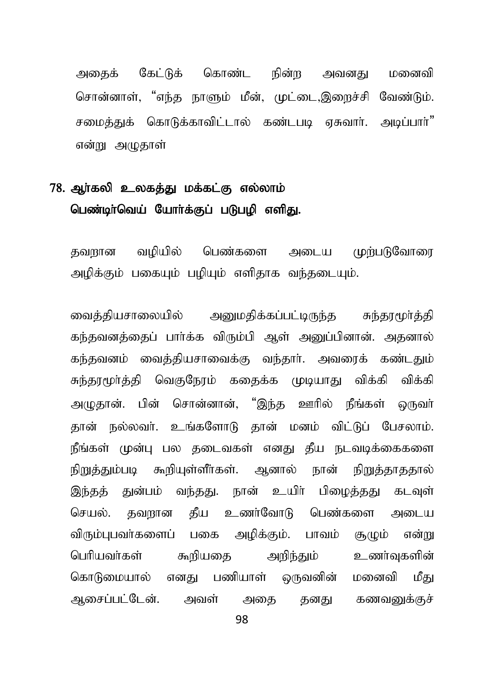கேட்டுக் கொண்ட அகைக் நின்ற அவனது மனைவி சொன்னாள். "எந்த நாளும் மீன், முட்டை,இறைச்சி வேண்டும். சமைக்குக் கொடுக்காவிட்டால் கண்பு வை எசுவார். அமப்பார்" என்று அழுதாள்

### 78. ஆர்கலி உலகத்து மக்கட்கு எல்லாம் பெண்டிா்வெய் யோா்க்குப் படுபழி எளிது.

பெண்களை அடைய முற்படுவோரை வமியில் கவமான அழிக்கும் பகையும் பழியும் எளிதாக வந்தடையும்.

வைத்தியசாலையில் அனுமதிக்கப்பட்டிருந்த சுந்தரமூர்த்தி கந்தவனத்தைப் பார்க்க விரும்பி ஆள் அனுப்பினான். அதனால் கந்தவனம் வைத்தியசாவைக்கு வந்தார். அவரைக் கண்டதும் சுந்தரமூர்த்தி வெகுநேரம் கதைக்க முடியாது விக்கி விக்கி அழுதான். பின் சொன்னான், "இந்த ஊரில் நீங்கள் ஒருவர் கான் நல்லவர். உங்களோடு கான் மனம் விட்டுப் பேசலாம். நீங்கள் முன்பு பல தடைவகள் எனது தீய நடவடிக்கைகளை நிறுத்தும்படி கூறியுள்ளீர்கள். ஆனால் நான் நிறுத்தாததால் இந்தத் துன்பம் வந்தது. நான் உயிர் பிமைத்தது கடவுள் செயல். தவறான தீய உணர்வோடு பெண்களை அடைய விரும்புபவா்களைப் பகை அழிக்கும். பாவம் சூமும் என்று பெரியவர்கள் கூறியகை அறிந்தும் உணர்வுகளின் கொடுமையால் எனது பணியாள் ஒருவனின் மனைவி மீகட ஆசைப்பட்டேன். அவள் அகை கனகு கணவனுக்குச்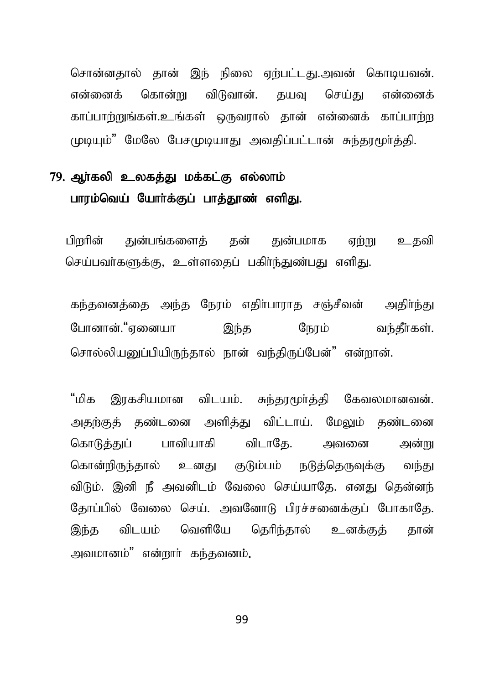சொன்னதால் தான் இந் நிலை ஏற்பட்டது.அவன் கொடியவன். என்னைக் கொன்று விடுவான். தயவு செய்து என்னைக் காப்பாற்றுங்கள்.உங்கள் ஒருவரால் தான் என்னைக் காப்பாற்ற முடியும்" மேலே பேசமுடியாகு அவகிப்பட்டான் சுந்தாமூர்த்தி.

## 79. ஆர்கலி உலகக்து மக்கட்கு எல்லாம் பாரம்வெய் யோர்க்குப் பாக்தூண் எளிது.

பிறரின் துன்பங்களைத் தன் துன்பமாக ஏற்று உதவி செய்பவர்களுக்கு, உள்ளகைப் பகிர்ந்துண்பது எளிது.

கந்தவனத்தை அந்த நேரம் எதிர்பாராத சஞ்சீவன் அதிர்ந்து போனான்."ஏனையா இந்த நேரம் வந்தீர்கள். சொல்லியபைப்பியிருந்தால் நான் வந்திருப்பேன்" என்றான்.

"மிக இாகசியமான விடயம். சுந்காமர்க்கி கேவலமானவன். அதற்குத் தண்டனை அளித்து விட்டாய். மேலும் தண்டனை கொடுத்துப் பாவியாகி விடாதே. அவனை அன்று கொன்றிருந்தால் உனது குடும்பம் நடுத்தெருவுக்கு வந்து விடும். இனி நீ அவனிடம் வேலை செய்யாதே. எனது தென்னந் தோப்பில் வேலை செய். அவனோடு பிரச்சனைக்குப் போகாதே. இந்த விடயம் வெளியே தெரிந்தால் உனக்குத் தான் அவமானம்" என்றார் கந்தவனம்.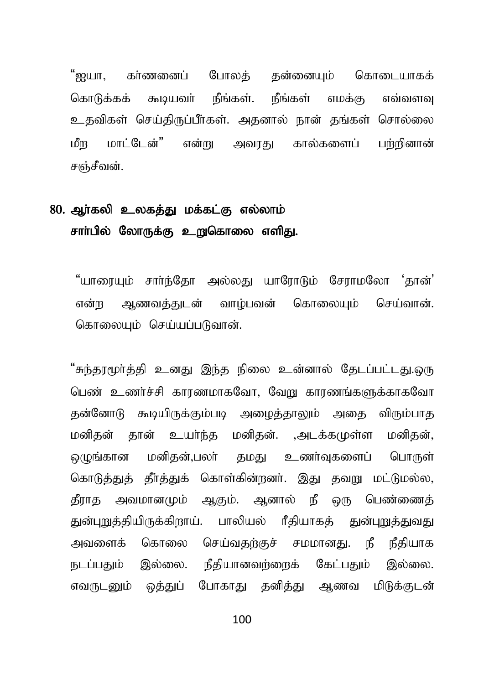"ஐயா, கா்ணனைப் போலக் கன்னையம் கொடையாகக் கூடியவர் நீங்கள். நீங்கள் கொடுக்கக் எமக்கு எவ்வளவு உதவிகள் செய்திருப்பீர்கள். அதனால் நான் தங்கள் சொல்லை மாட்டேன்" என்று அவாகு கால்களைப் ഥീന பர்ரினான் சஞ்சீவன்.

## 80. ஆர்கலி உலகத்து மக்கட்கு எல்லாம் சாா்பில் லோருக்கு உறுகொலை எளிது.

"யாரையம் சார்ந்கோ அல்லகு யாரோடும் சோரமலோ 'கான்' என்ற அணவக்குடன் வாம்பவன் கொலையம் செய்வான். கொலையும் செய்யப்படுவான்.

"சுந்தூமூர்த்தி உனது இந்த நிலை உன்னால் தேடப்பட்டது.ஒரு பெண் உணர்ச்சி காரணமாகவோ, வேறு காரணங்களுக்காகவோ தன்னோடு கூடியிருக்கும்படி அழைத்தாலும் அதை விரும்பாத மனிதன் தான் உயர்ந்த மனிதன். ,அடக்கமுள்ள மனிதன், ஒமுங்கான மனிதன்,பலா் தமது உணா்வுகளைப் பொருள் கொடுக்குக் கீர்க்குக் கொள்கின்றனர். இது தவறு மட்டுமல்ல, கீராக அவமானமும் ஆகும். ஆனால் நீ ஒரு பெண்ணைக் துன்புறுத்தியிருக்கிறாய். பாலியல் ரீதியாகத் துன்புறுத்துவது கொலை செய்வதற்குச் சமமானது. நீ நீதியாக அவளைக் நடப்பதும் இல்லை. நீதியானவர்ளைக் கேட்பதும் இல்லை. எவருடனும் ஒக்குப் போகாகு கனிக்கு ஆணவ மிடுக்குடன்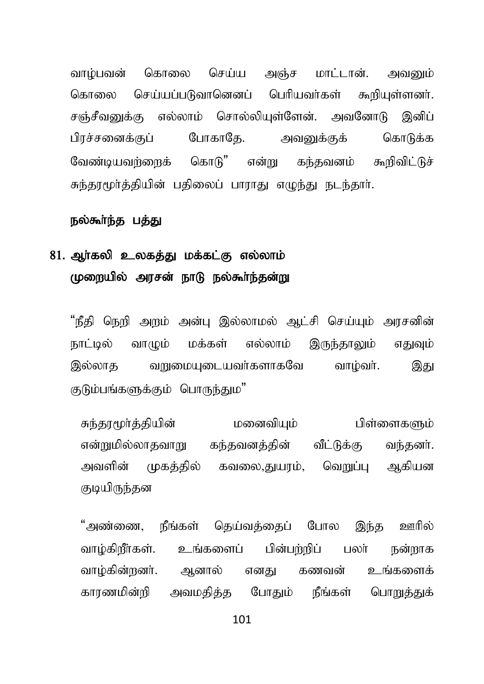வாம்பவன் கொலை செய்ய அஞ்ச மாட்டான். அவனும் கொலை செய்யப்படுவானெனப் பெரியவர்கள் கூறியுள்ளனர். சஞ்சீவனுக்கு எல்லாம் சொல்லியுள்ளேன். அவனோடு இனிப் பிரச்சனைக்குப் போகாகே. அவனுக்குக் கொடுக்க வேண்டியவர்ளைக் கொடு" என்று கந்தவனம் கூறிவிட்டுச் சுந்தூமூர்த்தியின் பதிலைப் பாராது எமுந்து நடந்தார்.

#### நல்கூர்ந்த பத்து

## 81. ஆர்கலி உலகத்து மக்கட்கு எல்லாம் முறையில் அரசன் நாடு நல்கூர்ந்தன்று

"நீதி நெறி அறம் அன்பு இல்லாமல் ஆட்சி செய்யும் அரசனின் நாட்டில் வாழும் மக்கள் எல்லாம் இருந்தாலும் எதுவும் இல்லாக வறுமையுடையவர்களாகவே வாழ்வர். இது குடும்பங்களுக்கும் பொருந்தும"

சுந்தூமூர்த்தியின் மனைவியும் பிள்ளைகளும் என்றுமில்லாதவாறு கந்தவனத்தின் வீட்டுக்கு வந்தனர். அவளின் முகத்தில் கவலை,துயாம், வெறுப்ப ஆகியன குடியிருந்தன

"அண்ணை, நீங்கள் தெய்வத்தைப் போல இந்த ஊரில் வாழ்கிறீர்கள். உங்களைப் பின்பற்றிப் பலர் நன்றாக வாழ்கின்றனர். ஆனால் எனது கணவன் உங்களைக் காரணமின்றி அவமதித்த போதும் நீங்கள் பொறுக்துக்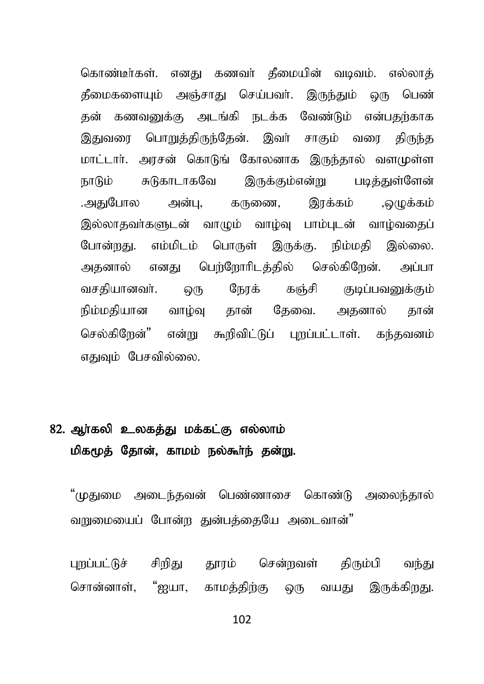கொண்டீர்கள். எனது கணவர் கீமையின் வடிவம். எல்லாத் தீமைகளையும் அஞ்சாது செய்பவர். இருந்தும் ஒரு பெண் தன் கணவனுக்கு அடங்கி நடக்க வேண்டும் என்பதற்காக இதுவரை பொறுத்திருந்தேன். இவர் சாகும் வரை திருந்த மாட்டார். அரசன் கொடுங் கோலனாக இருந்தால் வளமுள்ள சுடுகாடாகவே இருக்கும்என்று படித்துள்ளேன் ஙாடும் இாக்கம் .அகுபோல அன்ப. கருணை. ,ஒழுக்கம் இல்லாதவா்களுடன் வாமும் வாம்வு பாம்புடன் வாம்வதைப் போன்றது. எம்மிடம் பொருள் இருக்கு. நிம்மதி இல்லை. அதனால் எனது பெற்றோரிடத்தில் செல்கிறேன். அப்பா நேரக் வசகியானவர். ஒரு கஞ்சி குடிப்பவனுக்கும் நிம்மகியான வாம்வ தான் கேவை. அகனால் தான் செல்கிறேன்" என்று கூறிவிட்டுப் புறப்பட்டாள். கந்தவனம் எதுவும் பேசவில்லை.

## 82. ஆர்கலி உலகத்து மக்கட்கு எல்லாம் மிகமூத் தோன், காமம் நல்கூர்ந் தன்று.

"முதுமை அடைந்தவன் பெண்ணாசை கொண்டு அலைந்தால் வறுமையைப் போன்ற துன்பக்கையே அடைவான்"

புறப்பட்டுச் சிறிது தூரம் சென்றவள் திரும்பி வந்து சொன்னாள், "ஐயா, காமத்திற்கு ஒரு வயது இருக்கிறது.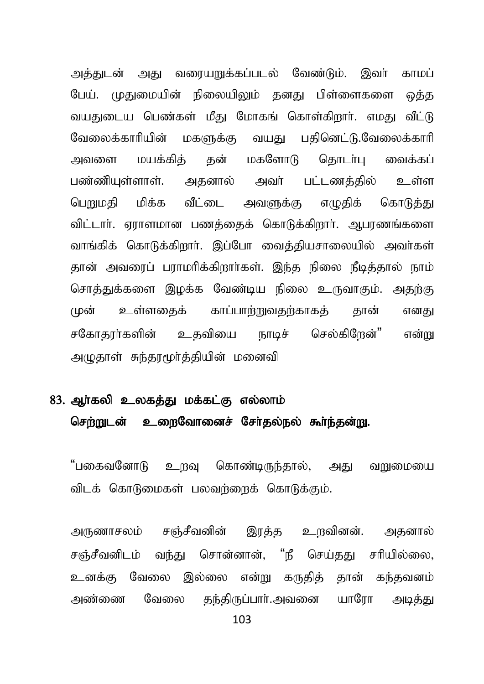அத்துடன் அது வரையறுக்கப்படல் வேண்டும். இவர் காமப் பேய். முதுமையின் நிலையிலும் தனது பிள்ளைகளை ஒத்த வயதுடைய பெண்கள் மீது மோகங் கொள்கிறார். எமது வீட்டு வேலைக்காரியின் மகளுக்கு வயது பதினெட்டு.வேலைக்காரி அவளை மயக்கிக் கன் மகளோடு கொடர்பு வைக்கப் பண்ணியுள்ளாள். அதனால் அவர் பட்டணத்தில் உள்ள பொயுமதி மிக்க வீட்டை அவளுக்கு எழுதிக் கொடுக்கு விட்டார். ஏராளமான பணக்கைக் கொடுக்கிறார். ஆபரணங்களை வாங்கிக் கொடுக்கிறார். இப்போ வைக்கியசாலையில் அவர்கள் தான் அவரைப் பராமரிக்கிறார்கள். இந்த நிலை நீடித்தால் நாம் சொத்துக்களை இழக்க வேண்டிய நிலை உருவாகும். அதற்கு முன் உள்ளகைக் காப்பாற்றுவதற்காகக் கான் எனது சகோதூர்களின் உதவியை நாடிச் செல்கிறேன்" என்று அழுதாள் சுந்தரமூர்த்தியின் மனைவி

# 83. அர்கலி உலகக்து மக்கட்கு எல்லாம் செற்றுடன் உரைவோனைச் சேர்கல்நல் கூர்ந்கன்று.

"பகைவனோடு உறவு கொண்டிருந்தால், அது வறுமையை விடக் கொடுமைகள் பலவர்ளைக் கொடுக்கும்.

அருணாசலம் சஞ்சீவனின் இரத்த உறவினன். அதனால் சஞ்சீவனிடம் வந்து சொன்னான், "நீ செய்தது சரியில்லை, உனக்கு வேலை இல்லை என்று கருதித் தான் கந்தவனம் அண்ணை வேலை தந்திருப்பார்.அவனை யாரோ அடித்து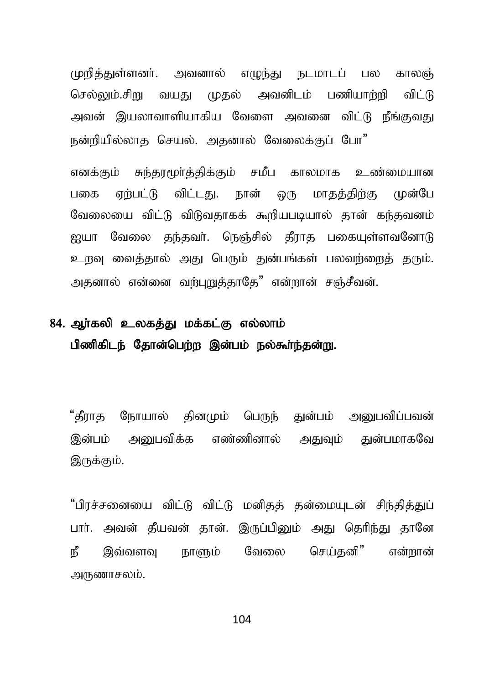முறித்துள்ளனர். அவனால் எமுந்து நடமாடப் பல காலஞ் செல்லும்.சிறு வயது முதல் அவனிடம் பணியாற்றி விட்டு அவன் இயலாவாளியாகிய வேளை அவனை விட்டு நீங்குவது நன்றியில்லாக செயல். அகனால் வேலைக்குப் போ"

எனக்கும் சுந்தரமூர்த்திக்கும் சமீப காலமாக உண்மைபான பகை ஏற்பட்டு விட்டது. நான் ஒரு மாதத்திற்கு முன்பே வேலையை விட்டு விடுவதாகக் கூறியபடியால் தான் கந்தவனம் ஐயா வேலை தந்தவர். நெஞ்சில் தீராத பகையுள்ளவனோடு உறவு வைத்தால் அது பெரும் துன்பங்கள் பலவர்ளைத் தரும். அதனால் என்னை வற்புறுத்தாதே" என்றான் சஞ்சீவன்.

# 84. ஆர்கலி உலகத்து மக்கட்கு எல்லாம் பிணிகிடந் தோன்பெற்ற இன்பம் நல்கூர்ந்தன்று.

"கீராக நோயால் கினமும் பெருந் துன்பம் அறையவிப்பவன் இன்பம் அறையவிக்க எண்ணினால் அதுவும் துன்பமாகவே இருக்கும்.

"பிரச்சனையை விட்டு விட்டு மனிதத் தன்மையுடன் சிந்தித்துப் பார். அவன் தீயவன் தான். இருப்பினும் அது தெரிந்து தானே இவ்வளவ நாளும் வேலை செய்கனி" என்றான் நீ அருணாசலம்.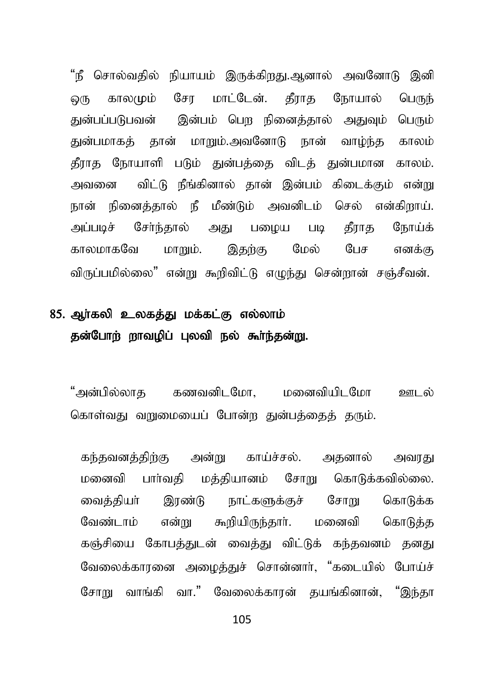"நீ சொல்வதில் நியாயம் இருக்கிறது.அனால் அவனோடு இனி காலமும் சோ மாட்டேன். கீராக நோயால் ழை பெருந் துன்பப்படுபவன் இன்பம் பெற நினைத்தால் அதுவும் பெரும் துன்பமாகக் தான் மாறும்.அவனோடு நான் வாழ்ந்த காலம் தீராத நோயாளி படும் துன்பத்தை விடத் துன்பமான காலம். விட்டு நீங்கினால் தான் இன்பம் கிடைக்கும் என்று அவனை நான் நினைத்தால் நீ மீண்டும் அவனிடம் செல் என்கிறாய். அப்படிச் சேர்ந்தால் அது பமைய படி தீராத நோய்க் இதற்கு மேல் பேச காலமாகவே மாறும். எனக்கு விருப்பமில்லை" என்று கூறிவிட்டு எழுந்து சென்றான் சஞ்சீவன்.

# 85. ஆர்கலி உலகத்து மக்கட்கு எல்லாம் தன்போற் றாவழிப் புலவி நல் கூர்ந்தன்று.

"அன்பில்லாக கணவனிடமோ. மனைவியிடமோ ஊடல் கொள்வது வுளமையைப் போன்ற துன்பக்கைக் கரும்.

கந்தவனக்கிற்கு அன்று காய்ச்சல். அகனால் அவாகுட மனைவி பார்வதி மத்தியானம் சோறு கொடுக்கவில்லை. இரண்டு நாட்களுக்குச் சோறு கொடுக்க வைக்கியா் வேண்டாம் என்று கூறியிருந்தார். மனைவி கொடுத்த கஞ்சியை கோபத்துடன் வைத்து விட்டுக் கந்தவனம் தனது வேலைக்காரனை அமைத்துச் சொன்னார், "கடையில் போய்ச் சோறு வாங்கி வா." வேலைக்காரன் கயங்கினான். "இந்கா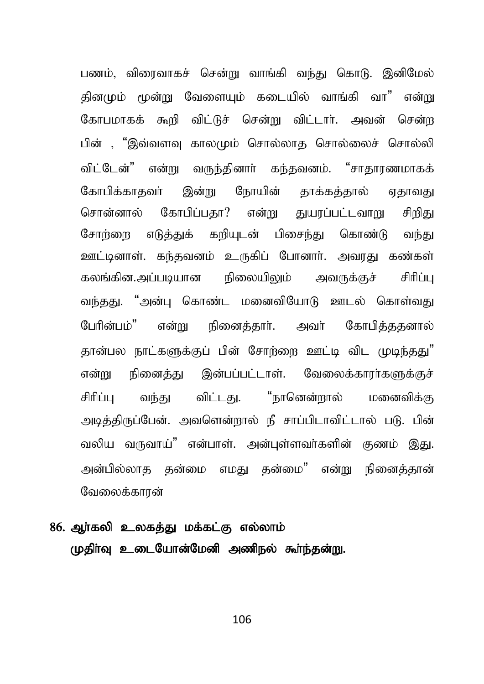பணம், விரைவாகச் சென்று வாங்கி வந்து கொடு. இனிமேல் கினமும் மூன்று வேளையும் கடையில் வாங்கி வா" என்று கோபமாகக் கூறி விட்டுச் சென்று விட்டார். அவன் சென்ற பின் , "இவ்வளவ காலமும் சொல்லாக சொல்லைச் சொல்லி விட்டேன்" என்று வருந்தினார் கந்தவனம். "சாதாரணமாகக் கோபிக்காதவர் இன்று நோயின் தாக்கத்தால் ஏதாவது கோபிப்பகா? என்று துயரப்பட்டவாறு சொன்னால் சிறிகட சோர்ளை எடுத்துக் கரியுடன் பிசைந்து கொண்டு வந்து ஊட்டினாள். கந்தவனம் உருகிப் போனார். அவரது கண்கள் கலங்கின.அப்படியான நிலையிலும் அவருக்குச் சிரிப்ப வந்தது. "அன்பு கொண்ட மனைவியோடு ஊடல் கொள்வது பேரின்பம்" என்று நினைத்தார். அவர் கோபித்ததனால் தான்பல நாட்களுக்குப் பின் சோற்றை ஊட்டி விட முடிந்தது" என்று நினைத்து இன்பப்பட்டாள். வேலைக்காரர்களுக்குச் விட்டது. "நானென்றால் சிரிப்ப வந்து மனைவிக்கு அடித்திருப்பேன். அவளென்றால் நீ சாப்பிடாவிட்டால் படு. பின் வலிய வருவாய்" என்பாள். அன்புள்ளவர்களின் குணம் இது. அன்பில்லாக கன்மை எமகு கன்மை" என்று நினைக்கான் வேலைக்காான்

# 86. அர்கலி உலகக்கு மக்கட்கு எல்லாம் முதிர்வு உடையோன்மேனி அணிநல் கூர்ந்தன்று.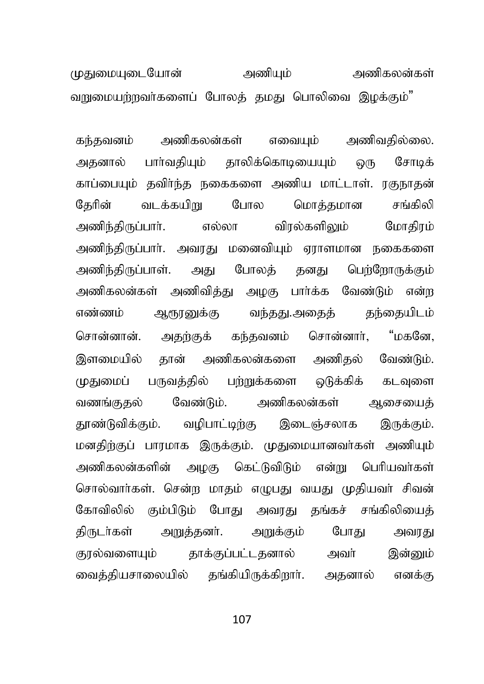அணியும் அணிகலன்கள் முதுமையுடையோன் வறுமையற்றவர்களைப் போலத் தமது பொலிவை இழக்கும்"

எவையும் அணிவகில்லை. அணிகலன்கள் கந்கவனம் பாா்வதியும் தாலிக்கொடியையும் அகனால் **ெரு** சோடிக் காப்பையும் தவிர்ந்த நகைகளை அணிய மாட்டாள். ரகுநாதன் வடக்கயிறு மொக்கமான கேரின் போல சங்கிலி மோகிரம் விரல்களிலும் அணிந்திருப்பார். எல்லா அணிந்திருப்பார். அவரது மனைவியும் ஏராளமான நகைகளை அணிந்திருப்பாள். அது போலக் கனகு பெற்றோருக்கும் அணிகலன்கள் அணிவித்து அழகு பார்க்க வேண்டும் என்ற ஆரூரனுக்கு வந்தது.அதைத் எண்ணம் கந்தையிடம் சொன்னான். அதற்குக் கந்தவனம் சொன்னார், "மகனே, தான் அணிகலன்களை அணிதல் வேண்டும். இளமையில் முதுமைப் பருவத்தில் பற்றுக்களை ஒடுக்கிக் கடவுளை வேண்டும். அணிகலன்கள் வணங்குகல் ஆசையைக் வழிபாட்டிற்கு தூண்டுவிக்கும். இடைஞ்சலாக இருக்கும். மனதிற்குப் பாரமாக இருக்கும். முதுமையானவா்கள் அணியும் அணிகலன்களின் அமகு கெட்டுவிடும் என்று பெரியவர்கள் சொல்வார்கள். சென்ற மாதம் எழுபது வயது முதியவர் சிவன் கோவிலில் கும்பிடும் போது அவரது தங்கச் சங்கிலியைத் கிருடர்கள் அறுத்தனர். அறுக்கும் போகு அவரகு குரல்வளையும் தாக்குப்பட்டதனால் அவர் இன்னும் வைத்தியசாலையில் தங்கியிருக்கிறாா். அகனால் எனக்கு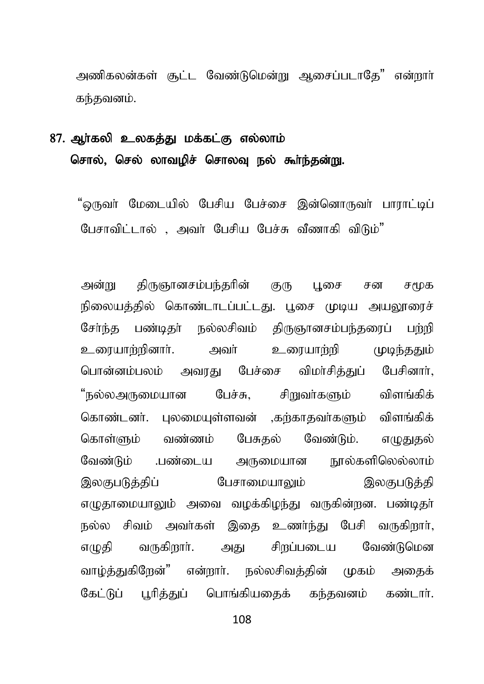அணிகலன்கள் சூட்ட வேண்டுமென்று ஆசைப்படாகே" என்றார் கந்தவனம்.

## 87. அர்கலி உலகக்கு மக்கட்கு எல்லாம் சொல், செல் லாவமிச் சொலவ நல் கூர்ந்தன்று,

"ஒருவா் மேடையில் பேசிய பேச்சை இன்னொருவா் பாராட்டிப் பேசாவிட்டால் , அவர் பேசிய பேச்சு வீணாகி விடும்"

கிருஞானசம்பந்தரின் குரு புசை அன்று சன சுமக நிலையத்தில் கொண்டாடப்பட்டது. பூசை முடிய அயலாரைச் சேர்ந்த பண்டிதர் நல்லசிவம் திருஞானசம்பந்தரைப் பற்றி உரையாற்றினாா். அவர் உரையார்்ி முமர்க்கும் பொன்னம்பலம் அவாகு பேச்சை விமாசிக்குப் பேசினாா். "நல்லஅருமையான பேச்சு, சிறுவர்களும் விளங்கிக் கொண்டனர். புலமையுள்ளவன் ,கர்காகவர்களும் விளங்கிக் பேசுகல் வேண்டும். எமுகுகல் கொள்ளும் வண்ணம் வேண்டும் பண்டைய அருமையான நால்களிலெல்லாம் இலகுபடுத்திப் பேசாமையாலும் இலகுபடுத்தி எழுதாமையாலும் அவை வழக்கிழந்து வருகின்றன. பண்டிதா் நல்ல சிவம் அவர்கள் இதை உணர்ந்து பேசி வருகிறார், சிறப்படைய எழுதி வருகிறார். அது வேண்டுமென வாழ்த்துகிறேன்" என்றார். நல்லசிவத்தின் முகம் அதைக் கேட்டுப் பரிக்குப் பொங்கியகைக் கந்தவனம் கண்டார்.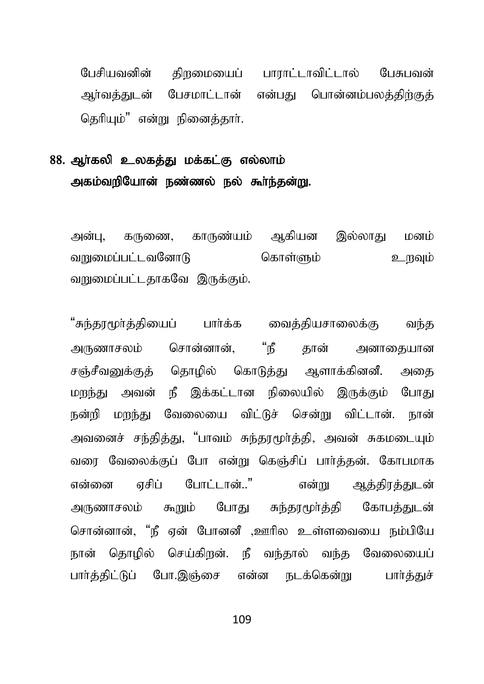பேசியவனின் கிறமையைப் பாராட்டாவிட்டால் பேசுபவன் ஆர்வத்துடன் பேசமாட்டான் என்பது பொன்னம்பலக்கிற்குக் கெரியம்" என்று நினைக்கார்.

### 88. ஆர்கலி உலகத்து மக்கட்கு எல்லாம் அகம்வறியோன் நண்ணல் நல் கூர்ந்தன்று.

அன்பு, கருணை, காருண்யம் ஆகியன இல்லாது மனம் வறுமைப்பட்டவனோடு கொள்ளும் உறவும் வறுமைப்பட்டதாகவே இருக்கும்.

"சுந்தரமூர்த்தியைப் பார்க்க வைத்தியசாலைக்கு வந்த அருணாசலம் சொன்னான், "நீ தான் அனாதையான சஞ்சீவனுக்குக் கொமில் கொடுக்கு ஆளாக்கினனீ. அகை மாந்து அவன் நீ இக்கட்டான நிலையில் இருக்கும் போது நன்றி மறந்து வேலையை விட்டுச் சென்று விட்டான். நான் அவனைச் சந்தித்து, "பாவம் சுந்தரமூர்த்தி, அவன் சுகமடையும் வரை வேலைக்குப் போ என்று கெஞ்சிப் பார்த்தன். கோபமாக என்னை எசிப் போட்டான்.." என்று ஆத்திரத்துடன் அருணாசலம் கூறும் போது சுந்தரமூர்த்தி கோபத்துடன் சொன்னான், "நீ ஏன் போனனீ ,ஊரில உள்ளவையை நம்பியே நான் தொமில் செய்கிறன். நீ வந்தால் வந்த வேலையைப் பார்த்திட்டுப் போ.இஞ்சை என்ன நடக்கென்று பார்த்துச்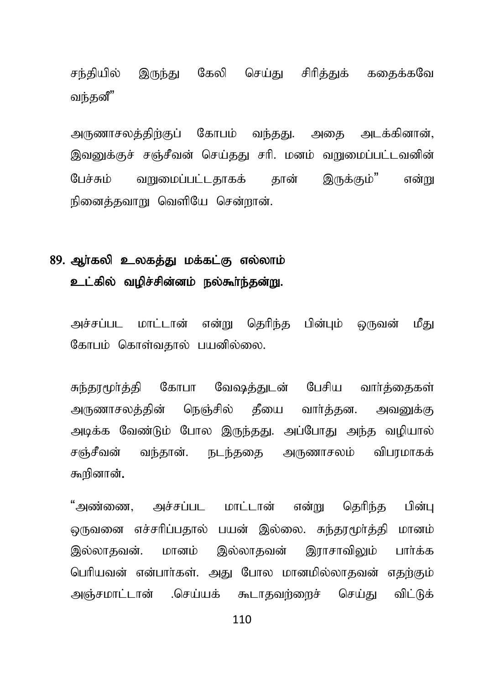சந்தியில் இருந்து கேலி செய்து சிரித்துக் கதைக்கவே வந்தனீ"

அருணாசலத்திற்குப் கோபம் வந்தது. அதை அடக்கினான், இவனுக்குச் சஞ்சீவன் செய்தது சரி. மனம் வறுமைப்பட்டவனின் பேச்சும் வறுமைப்பட்டதாகக் தான் இருக்கும்" என்று நினைத்தவாறு வெளியே சென்றான்.

### 89. அர்கலி உலகக்கு மக்கட்கு எல்லாம் உட்கில் வழிச்சின்னம் நல்கூர்ந்தன்று.

அச்சப்பட மாட்டான் என்று தெரிந்த பின்பும் ஒருவன் மீது கோபம் கொள்வதால் பயனில்லை.

சுந்தரமூர்த்தி கோபா வேஷத்துடன் பேசிய வார்க்கைகள் அருணாசலத்தின் நெஞ்சில் தீயை வார்த்தன. அவனுக்கு அடிக்க வேண்டும் போல இருந்தது. அப்போது அந்த வழியால் சஞ்சீவன் வந்தான். நடந்ததை அருணாசலம் விபரமாகக் கூரினான்.

"அண்ணை, அச்சப்பட மாட்டான் என்று தெரிந்த பின்பு டைநவனை எச்சரிப்பதால் பயன் இல்லை. சுந்தரமூர்த்தி மானம் இல்லாதவன். மானம் இல்லாதவன் இராசாவிலும் பார்க்க பெரியவன் என்பார்கள். அது போல மானமில்லாகவன் எகர்கும் அஞ்சமாட்டான் .செய்யக் கூடாகவற்றைச் செய்து விட்டுக்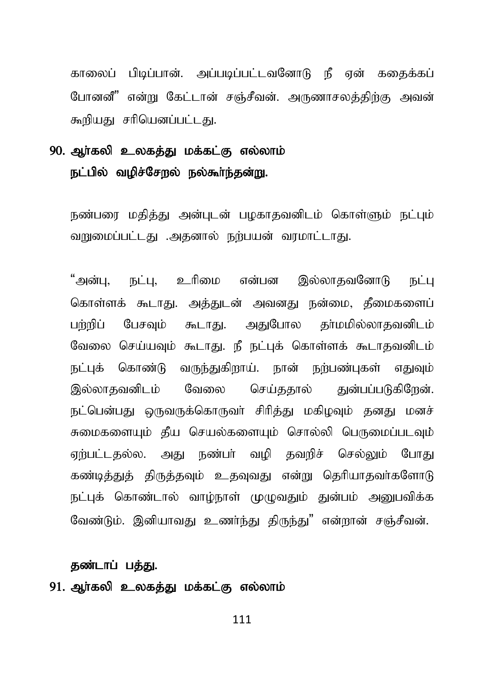காலைப் பிடிப்பான். அப்படிப்பட்டவனோடு நீ ஏன் கதைக்கப் போனனீ" என்று கேட்டான் சஞ்சீவன். அருணாசலத்திற்கு அவன் கூறியகடசரியெனப்பட்டகு.

## 90. அர்கலி உலகக்கு மக்கட்கு எல்லாம் நட்பில் வழிச்சேறல் நல்கூர்ந்தன்று.

நண்பரை மதித்து அன்புடன் பழகாதவனிடம் கொள்ளும் நட்பும் வறுமைப்பட்டது .அதனால் நற்பயன் வரமாட்டாது.

"அன்பு, நட்பு, உரிமை என்பன இல்லாதவனோடு நட்பு கொள்ளக் கூடாது. அத்துடன் அவனது நன்மை, தீமைகளைப் பர்மிப் பேசவம் கூடாகு, அகுபோல காமமில்லாகவனிடம் வேலை செய்யவும் கூடாது. நீ நட்புக் கொள்ளக் கூடாதவனிடம் நட்புக் கொண்டு வருந்துகிறாய். நான் நற்பண்புகள் எதுவும் இல்லாகவனிடம் வேலை செய்ககால் குன்பப்படுகிறேன். நட்பென்பது ஒருவருக்கொருவா் சிரித்து மகிழவும் தனது மனச் சுமைகளையும் தீய செயல்களையும் சொல்லி பெருமைப்படவும் ஏற்பட்டதல்ல. அது நண்பா் வழி தவறிச் செல்லும் போது கண்டித்துத் திருத்தவும் உதவுவது என்று தெரியாதவா்களோடு நட்புக் கொண்டால் வாழ்நாள் முழுவதும் துன்பம் அனுபவிக்க வேண்டும். இனியாவது உணர்ந்து திருந்து" என்றான் சஞ்சீவன்.

#### தண்டாப் பத்து.

### 91. ஆர்கலி உலகத்து மக்கட்கு எல்லாம்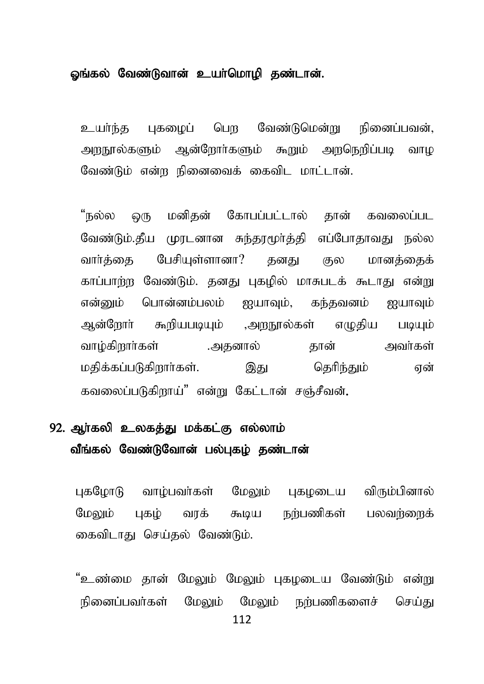#### ஓங்கல் வேண்டுவான் உயர்மொழி தண்டான்.

புகமைப் பெற வேண்டுமென்று நினைப்பவன். உயர்ந்த அறநூல்களும் ஆன்றோர்களும் கூறும் அறநெறிப்படி வாழ வேண்டும் என்ற நினைவைக் கைவிட மாட்டான்.

ஒரு மனிதன் கோபப்பட்டால் தான் கவலைப்பட "நல்ல வேண்டும்.தீய முரடனான சுந்தரமூர்த்தி எப்போதாவது நல்ல பேசியுள்ளானா? வார்க்கை கனகு மானக்கைக் குல காப்பாற்ற வேண்டும். தனது புகழில் மாசுபடக் கூடாது என்று என்னும் பொன்னம்பலம் ஐயாவும், கந்தவனம் ஐயாவும் ஆன்றோர் கூறியபடியும் ,அறநூல்கள் எமுதிய படியும் வாழ்கிறார்கள் .அகனால் அவர்கள் கான் மகிக்கப்படுகிறார்கள். கெரிந்கும் இகுப என் கவலைப்படுகிறாய்" என்று கேட்டான் சஞ்சீவன்.

## 92. அர்கலி உலகக்கு மக்கட்கு எல்லாம் வீங்கல் வேண்டுவோன் பல்புகழ் தண்டான்

பகமோடு வாம்பவர்கள் மேலும் பகமடைய விரும்பினால் நற்பணிகள் மேலும் பகம் வாக் கூடிய பலவர்ளைக் கைவிடாது செய்தல் வேண்டும்.

"உண்மை தான் மேலும் மேலும் புகழடைய வேண்டும் என்று நினைப்பவர்கள் மேலும் மேலும் நற்பணிகளைச் செய்கு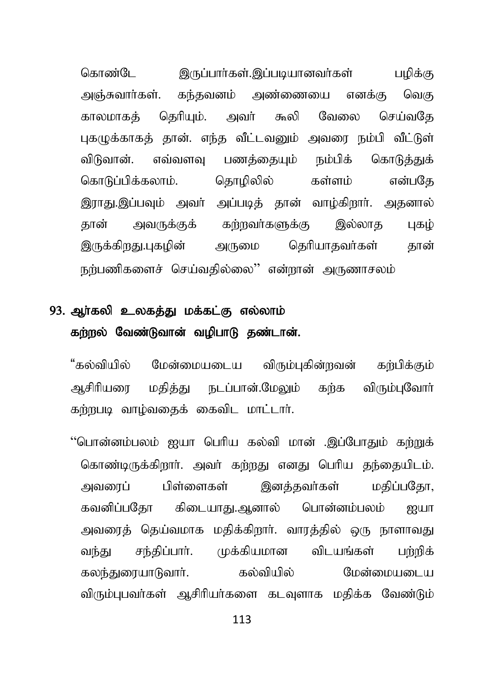கொண்பே இருப்பார்கள்.இப்படியானவர்கள் பமிக்கு அஞ்சுவார்கள். கந்தவனம் அண்ணையை எனக்கு வெக தெரியும். அவர் கூலி வேலை செய்வகே காலமாகக் புகழுக்காகத் தான். எந்த வீட்டவனும் அவரை நம்பி வீட்டுள் விடுவான். எவ்வளவு பணக்கையும் நம்பிக் கொடுக்குக் கொடுப்பிக்கலாம். கொமிலில் கள்ளம் என்பகே இராது.இப்பவும் அவர் அப்படித் தான் வாழ்கிறார். அதனால் அவருக்குக் கற்றவர்களுக்கு இல்லாக கான் பகம் இருக்கிறது.புகழின் அருமை தெரியாகவர்கள் கான் நர்பணிகளைச் செய்வதில்லை'' என்றான் அருணாசலம்

# 93. அர்கலி உலகக்கு மக்கட்கு எல்லாம் கற்றல் வேண்டுவான் வழிபாடு தண்டான்.

"கல்வியில் மேன்மையடைய விரும்புகின்றவன் கர்பிக்கும் மதித்து நடப்பான்.மேலும் கர்க விரும்பவோர் ஆசிரியமை கர்றுபடி வாழ்வதைக் கைவிட மாட்டார்.

''பொன்னம்பலம் ஐயா பெரிய கல்வி மான் .இப்போதும் கற்றுக் கொண்டிருக்கிறார். அவர் கற்றது எனது பெரிய தந்தையிடம். இனக்கவர்கள் அவனாப் பிள்ளைகள் மகிப்பகோ. கவனிப்பகோ கிடையாகு.அனால் பொன்னம்பலம் றுபா அவரைக் கெய்வமாக மகிக்கிறார். வாரக்கில் ஒரு நாளாவகுட சந்திப்பார். முக்கியமான விடயங்கள் வந்து பம்மிக் மேன்மையடைய விரும்புபவர்கள் ஆசிரியர்களை கடவுளாக மதிக்க வேண்டும்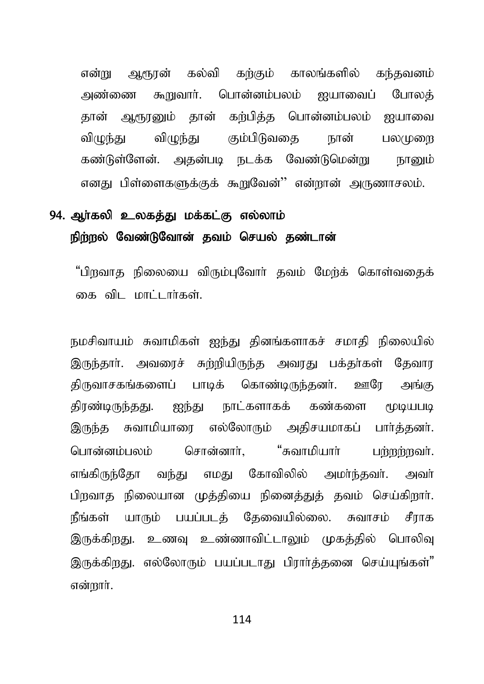என்று ஆரூரன் கல்வி கற்கும் காலங்களில் கந்தவனம் அண்ணை கூறுவார். பொன்னம்பலம் ஜயாவைப் போலக் தான் ஆரூரனும் தான் கற்பித்த பொன்னம்பலம் ஐயாவை விமுந்து கும்பிடுவதை நான் விமுந்து பலமுறை கண்டுள்ளேன். அதன்படி நடக்க வேண்டுமென்று நானும் எனது பிள்ளைகளுக்குக் கூறுவேன்'' என்றான் அருணாசலம்.

# 94. அர்கலி உலகத்து மக்கட்கு எல்லாம் நிற்றல் வேண்டுவோன் தவம் செயல் தண்டான்

"பிறவாத நிலையை விரும்புவோர் தவம் மேற்க் கொள்வதைக் கை விட மாட்டார்கள்.

நமசிவாயம் சுவாமிகள் ஐந்து தினங்களாகச் சமாதி நிலையில் இருந்தார். அவரைச் சுற்றியிருந்த அவரது பக்தர்கள் தேவார திருவாசகங்களைப் பாடிக் கொண்டிருந்தனர். ஊரே அங்கு திரண்டிருந்தது. ஐந்து நாட்களாகக் கண்களை மூடியபடி இருந்த சுவாமியாரை எல்லோரும் அதிசயமாகப் பார்த்தனர். "சுவாமியாா் பொன்னம்பலம் சொன்னார், பர்றா்றவா். எங்கிருந்தோ வந்து எமது கோவிலில் அமா்ந்தவா். அவா் பிறவாத நிலையான முத்தியை நினைத்துத் தவம் செய்கிறார். நீங்கள் யாரும் பயப்படக் கேவையில்லை. சுவாசம் சீராக இருக்கிறது. உணவு உண்ணாவிட்டாலும் முகத்தில் பொலிவு இருக்கிறது. எல்லோரும் பயப்படாது பிரார்த்தனை செய்யுங்கள்" என்றார்.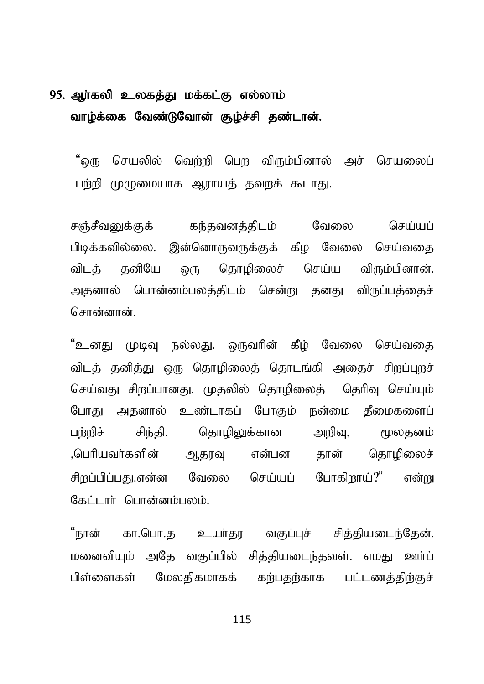# 95. அர்கலி உலகத்து மக்கட்கு எல்லாம் வாழ்க்கை வேண்டுவோன் சூழ்ச்சி தண்டான்.

"வரு செயலில் வெற்றி பெற விரும்பினால் அச் செயலைப் பற்றி முமுமையாக ஆராயக் கவறக் கூடாகு.

சஞ்சீவனுக்குக் கந்தவனத்திடம் வேலை செய்யப் பிடிக்கவில்லை. இன்னொருவருக்குக் கீழ வேலை செய்வதை விடத் தனியே ஒரு தொழிலைச் செய்ய விரும்பினான். அதனால் பொன்னம்பலத்திடம் சென்று தனது விருப்பத்தைச் சொன்னான்

"உனது முடிவு நல்லது. ஒருவரின் கீழ் வேலை செய்வதை விடத் தனித்து ஒரு தொழிலைத் தொடங்கி அதைச் சிறப்புறச் செய்வது சிறப்பானது. முதலில் தொழிலைத் தெரிவு செய்யும் போது அதனால் உண்டாகப் போகும் நன்மை தீமைகளைப் பம்மிச் சிந்தி. தொமிலுக்கான அறிவ. மூலகனம் ,பெரியவர்களின் ஆதரவு என்பன தான் தொழிலைச் சிறப்பிப்பது.என்ன வேலை செய்யப் போகிறாய்?" என்று கேட்டார் பொன்னம்பலம்.

"நான் கா.பொ.த உயர்தர வகுப்புச் சித்தியடைந்தேன். மனைவியும் அதே வகுப்பில் சிக்கியடைந்கவள். எமகு ஊர்ப் பிள்ளைகள் மேலகிகமாகக் கற்பதற்காக பட்டணத்திற்குச்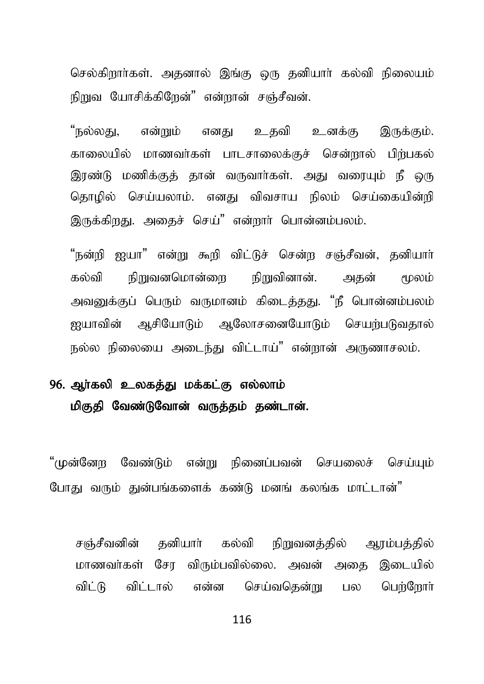செல்கிறார்கள். அதனால் இங்கு ஒரு தனியார் கல்வி நிலையம் நிறுவ யோசிக்கிறேன்" என்றான் சஞ்சீவன்.

"நல்லது, என்றும் எனது உதவி உனக்கு இருக்கும். காலையில் மாணவர்கள் பாடசாலைக்குச் சென்றால் பிற்பகல் இரண்டு மணிக்குத் தான் வருவார்கள். அது வரையும் நீ ஒரு தொழில் செய்யலாம். எனது விவசாய நிலம் செய்கையின்றி இருக்கிறது. அதைச் செய்" என்றார் பொன்னம்பலம்.

"நன்றி ஐயா" என்று கூறி விட்டுச் சென்ற சஞ்சீவன், தனியாா் கல்வி நிறுவனமொன்றை நிறுவினான். அகன் மூலம் அவனுக்குப் பெரும் வருமானம் கிடைத்தது. "நீ பொன்னம்பலம் ஐயாவின் ஆசியோடும் ஆலோசனையோடும் செயற்படுவதால் நல்ல நிலையை அடைந்து விட்டாய்" என்றான் அருணாசலம்.

# 96. ஆர்கலி உலகத்து மக்கட்கு எல்லாம் மிகுதி வேண்டுவோன் வருத்தம் தண்டான்.

"முன்னேற வேண்டும் என்று நினைப்பவன் செயலைச் செய்யும் போது வரும் துன்பங்களைக் கண்டு மனங் கலங்க மாட்டான்"

சஞ்சீவனின் தனியார் கல்வி நிறுவனத்தில் ஆரம்பத்தில் மாணவர்கள் சோ விரும்பவில்லை. அவன் அகை இடையில் விட்டு விட்டால் என்ன செய்வதென்று பல பெற்றோர்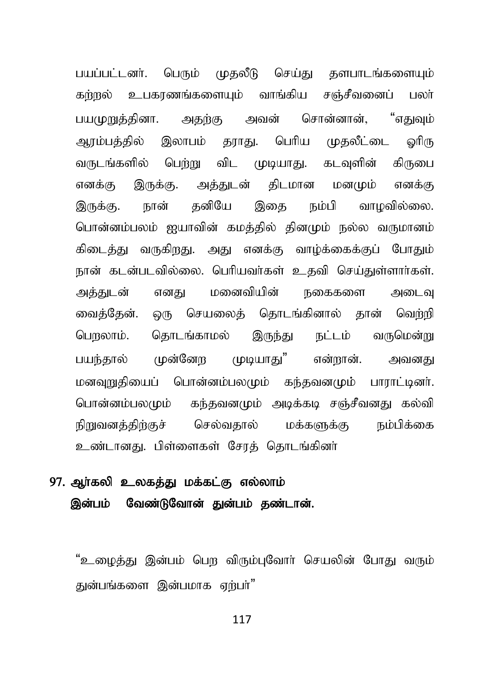பயப்பட்டனர். பெரும் முதலீடு செய்து தளபாடங்களையும் கர்றுல் உபகாணங்களையும் வாங்கிய சஞ்சீவனைப் பலா் பயமுறுக்கினா. அகற்கு அவன் சொன்னான். "எகுவும் அரம்பத்தில் இலாபம் தராது. பெரிய முதலீட்டை ஓரிரு வருடங்களில் பெற்று விட முடியாது. கடவுளின் கிருபை எனக்கு இருக்கு. அக்குடன் கிடமான மனமும் எனக்கு இருக்கு, நான் கனியே இகை நம்பி வாமவில்லை. பொன்னம்பலம் ஐயாவின் கமத்தில் தினமும் நல்ல வருமானம் கிடைத்து வருகிறது. அது எனக்கு வாழ்க்கைக்குப் போதும் நான் கடன்படவில்லை. பெரியவர்கள் உதவி செய்துள்ளார்கள். அத்துடன் எனது மனைவியின் நகைகளை அடைவு வைத்தேன். ஒரு செயலைத் தொடங்கினால் தான் வெற்றி பெறலாம். தொடங்காமல் இருந்து நட்டம் வருமென்று பயந்தால் முன்னேற முடியாது" என்றான். அவனது மனவுறுதியைப் பொன்னம்பலமும் கந்தவனமும் பாராட்டினர். பொன்னம்பலமும் கந்தவனமும் அடிக்கடி சஞ்சீவனது கல்வி நிறுவனத்திற்குச் செல்வதால் மக்களுக்கு நம்பிக்கை உண்டானது. பிள்ளைகள் சேரத் தொடங்கினர்

## 97. ஆர்கலி உலகத்து மக்கட்கு எல்லாம் இன்பம் வேண்டுவோன் துன்பம் தண்டான்.

"உழைத்து இன்பம் பெற விரும்புவோர் செயலின் போது வரும் துன்பங்களை இன்பமாக எர்பர்"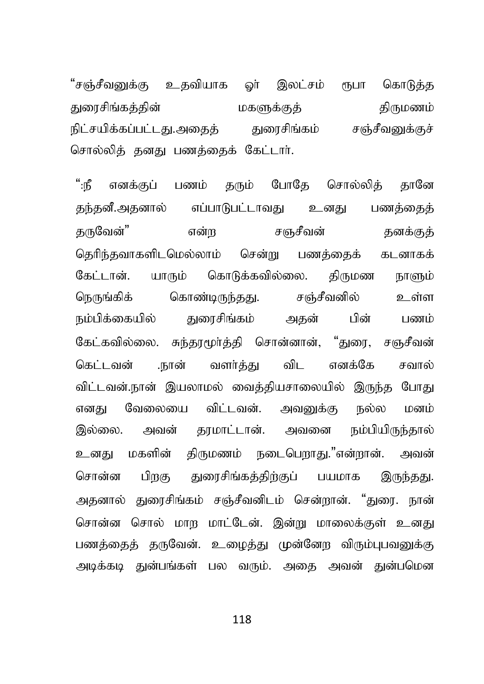"சஞ்சீவனுக்கு உதவியாக ஓா் இலட்சம் ரூபா கொடுத்த துரைசிங்கக்கின் மகளுக்குக் திருமணம் நிட்சயிக்கப்பட்டது.அகைக் குளசிங்கம் சஞ்சீவனுக்குச் சொல்லிக் கனகு பணக்கைக் கேட்டார்.

 $\mathbf{a}$ : பணம் கரும் போகே சொல்லிக் கானே எனக்குப் எப்பாடுபட்டாவது உனது கந்கனீ.அகனால் பணக்கைக் கருவேன்" என்ற சஞசீவன் கனக்குக் தெரிந்தவாகளிடமெல்லாம் சென்று பணத்தைக் கடனாகக் கேட்டான். யாரும் கொடுக்கவில்லை. திருமண நாளும் கொண்டிருந்தது. சஞ்சீவனில் உள்ள நெருங்கிக் நம்பிக்கையில் துரைசிங்கம் பின் அகன் பணம் கேட்கவில்லை. சுந்காமூர்க்கி சொன்னான். "குரை. சஞசீவன் விட .நான் வளர்த்து கெட்டவன் எனக்கே சவால் விட்டவன்.நான் இயலாமல் வைத்தியசாலையில் இருந்த போது விட்டவன். அவனுக்கு நல்ல எனகு வேலையை மனம் தரமாட்டான். அவனை நம்பியிருந்தால் இல்லை. அவன் மகளின் திருமணம் நடைபெறாது."என்றான். உனகு அவன் பிறகு துரைசிங்கத்திற்குப் சொன்ன பயமாக இருந்தது. அதனால் துரைசிங்கம் சஞ்சீவனிடம் சென்றான். "துரை. நான் சொன்ன சொல் மாற மாட்டேன். இன்று மாலைக்குள் உனது பணத்தைத் தருவேன். உழைத்து முன்னேற விரும்புபவனுக்கு அடிக்கடி துன்பங்கள் பல வரும். அதை அவன் துன்பமென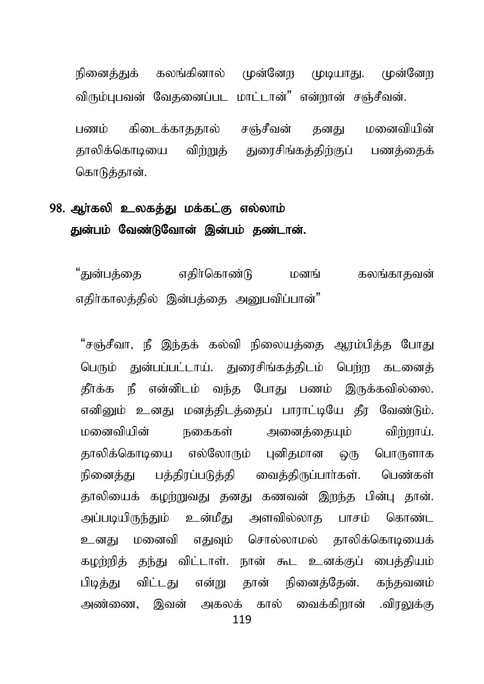நினைத்துக் கலங்கினால் முன்னேற முடியாது. முன்னேற விரும்பபவன் வேகனைப்பட மாட்டான்" என்றான் சஞ்சீவன். பணம் கிடைக்காககால் சஞ்சீவன் கனகு மனைவியின் தாலிக்கொடியை விற்றுக் துரைசிங்கக்கிற்குப் பணக்கைக் கொடுத்தான்.

## 98. அர்கலி உலகக்கு மக்கட்கு எல்லாம் துன்பம் வேண்டுவோன் இன்பம் தண்டான்.

"துன்பத்தை எதிர்கொண்டு மனங் கலங்காதவன் எதிர்காலத்தில் இன்பத்தை அனுபவிப்பான்"

"சஞ்சீவா, நீ இந்தக் கல்வி நிலையத்தை ஆரம்பித்த போது பெரும் துன்பப்பட்டாய். துரைசிங்கத்திடம் பெற்ற கடனைத் தீர்க்க நீ என்னிடம் வந்த போது பணம் இருக்கவில்லை. எனினும் உனது மனத்திடத்தைப் பாராட்டியே தீர வேண்டும். மனைவியின் நகைகள் அனைக்கையும் விற்றாய். தாலிக்கொடியை எல்லோரும் புனிதமான ஒரு பொருளாக நினைத்து பத்திரப்படுத்தி வைத்திருப்பார்கள். பெண்கள் தாலியைக் கமற்றுவது தனது கணவன் இறந்த பின்பு தான். அப்படியிருந்தும் உன்மீது அளவில்லாத பாசம் கொண்ட உனது மனைவி எதுவும் சொல்லாமல் தாலிக்கொடியைக் கழற்றித் தந்து விட்டாள். நான் கூட உனக்குப் பைத்தியம் பிடித்து விட்டது என்று தான் நினைத்தேன். கந்தவனம் அண்ணை, இவன் அகலக் கால் வைக்கிறான் .விரலுக்கு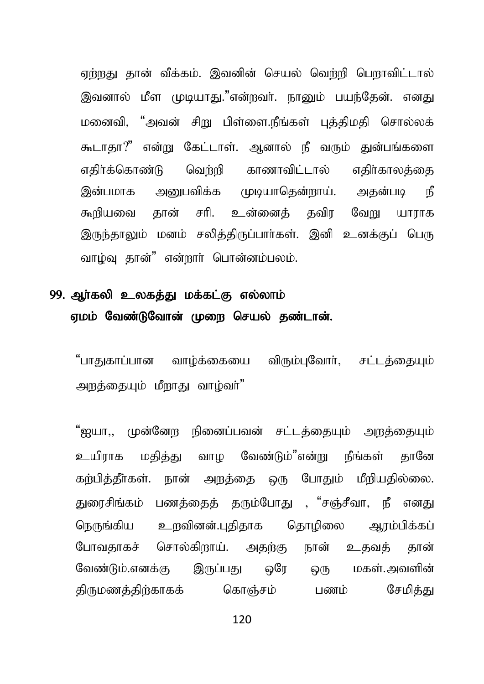ஏற்றது தான் வீக்கம். இவனின் செயல் வெற்றி பெறாவிட்டால் இவனால் மீள முடியாகு."என்றவர். நானும் பயந்தேன். எனது மனைவி, "அவன் சிறு பிள்ளை.நீங்கள் பக்கிமகி சொல்லக் கூடாகா?" என்று கேட்டாள். ஆனால் நீ வரும் குன்பங்களை எதிர்க்கொண்டு வெற்றி காணாவிட்டால் எகிர்காலக்கை இன்பமாக அனுபவிக்க முடியாதென்றாய். அதன்படி நீ கூறியவை தான் சரி. உன்னைத் தவிர வேறு யாராக இருந்தாலும் மனம் சலித்திருப்பார்கள். இனி உனக்குப் பெரு வாம்வு தான்" என்றார் பொன்னம்பலம்.

# 99. ஆர்கலி உலகத்து மக்கட்கு எல்லாம் ஏமம் வேண்டுவோன் முறை செயல் கண்டான்.

"பாகுகாப்பான வாம்க்கையை விரும்பவோர். சட்டக்கையம் அறத்தையும் மீறாகு வாம்வா்"

"ஐயா., முன்னேற நினைப்பவன் சட்டத்தையும் அறத்தையும் உயிராக மகிக்கு வாம வேண்டும்"என்று நீங்கள் கானே கற்பித்தீர்கள். நான் அறத்தை ஒரு போதும் மீறியதில்லை. துரைசிங்கம் பணக்கைக் கரும்போது , "சஞ்சீவா, நீ எனது நெருங்கிய உறவினன்.புதிதாக தொழிலை ஆரம்பிக்கப் போவதாகச் சொல்கிறாய். அதற்கு நான் உதவத் தான் வேண்டும்.எனக்கு இருப்பது ஒரே ெரு மகள்.அவளின் திருமணத்திற்காகக் கொஞ்சம் பணம் சேமிக்கு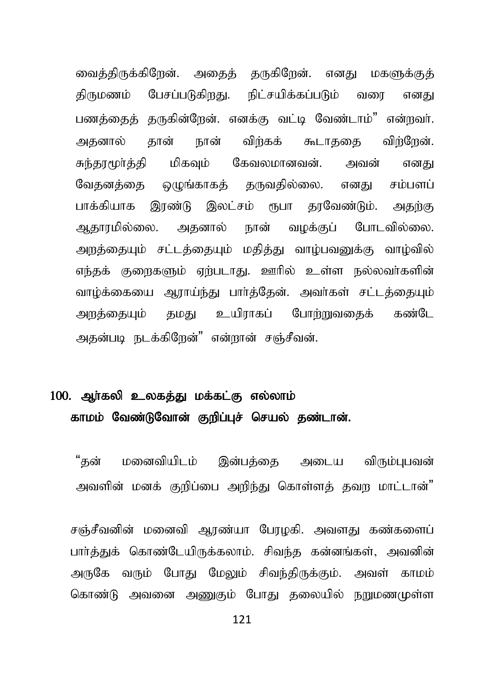வைத்திருக்கிறேன். அதைத் தருகிறேன். எனது மகளுக்குத் திருமணம் பேசப்படுகிறது. நிட்சயிக்கப்படும் வரை எனது பணக்கைக் கருகின்றேன். எனக்கு வட்டி வேண்டாம்" என்றவர். அதனால் தான் நான் விர்கக் கூடாததை விர்ரேன். சுந்தூமூர்த்தி மிகவும் கேவலமானவன். அவன் எனது வேதனத்தை ஒழுங்காகத் தருவதில்லை. எனது சம்பளப் பாக்கியாக இரண்டு இலட்சம் ரூபா தரவேண்டும். அதற்கு ஆதாரமில்லை. அதனால் நான் வழக்குப் போடவில்லை. அறத்தையும் சட்டத்தையும் மதித்து வாம்பவனுக்கு வாம்வில் எந்தக் குறைகளும் ஏற்படாது. ஊரில் உள்ள நல்லவர்களின் வாழ்க்கையை ஆராய்ந்து பார்த்தேன். அவர்கள் சட்டத்தையும் அறத்தையும் தமது உயிராகப் போற்றுவதைக் கண்டே அதன்படி நடக்கிறேன்" என்றான் சஞ்சீவன்.

# $100.$  அர்கலி உலகக்து மக்கட்கு எல்லாம் காமம் வேண்டுவோன் குறிப்புச் செயல் தண்டான்.

"தன் மனைவியிடம் இன்பத்தை அடைய விரும்புபவன் அவளின் மனக் குறிப்பை அறிந்து கொள்ளக் தவற மாட்டான்"

 $\sigma$ ஞ்சீவனின் மனைவி ஆரண்யா பேரழகி. அவளது கண்களைப் பார்த்துக் கொண்டேயிருக்கலாம். சிவந்த கன்னங்கள், அவனின் அருகே வரும் போது மேலும் சிவந்திருக்கும். அவள் காமம் கொண்டு அவனை அணுகும் போது தலையில் நறுமணமுள்ள